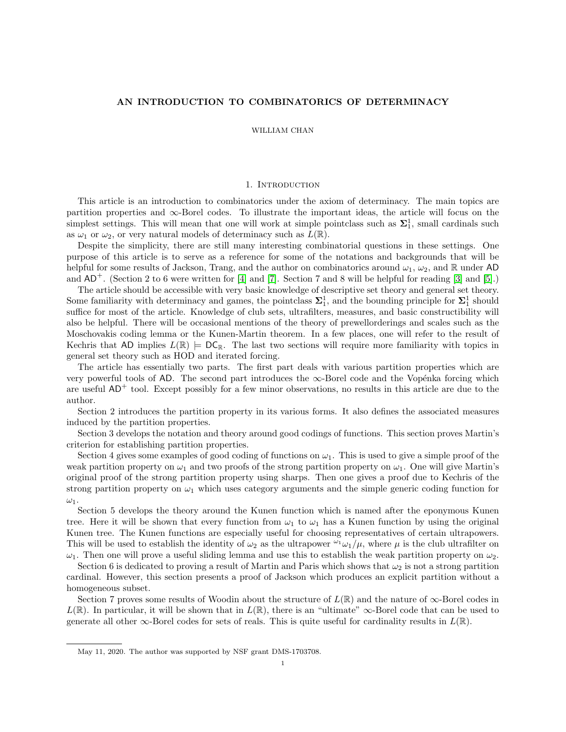# AN INTRODUCTION TO COMBINATORICS OF DETERMINACY

#### WILLIAM CHAN

### 1. INTRODUCTION

This article is an introduction to combinatorics under the axiom of determinacy. The main topics are partition properties and ∞-Borel codes. To illustrate the important ideas, the article will focus on the simplest settings. This will mean that one will work at simple pointclass such as  $\Sigma_1^1$ , small cardinals such as  $\omega_1$  or  $\omega_2$ , or very natural models of determinacy such as  $L(\mathbb{R})$ .

Despite the simplicity, there are still many interesting combinatorial questions in these settings. One purpose of this article is to serve as a reference for some of the notations and backgrounds that will be helpful for some results of Jackson, Trang, and the author on combinatorics around  $\omega_1, \omega_2$ , and R under AD and  $AD^+$ . (Section 2 to 6 were written for [\[4\]](#page-40-0) and [\[7\]](#page-40-1). Section 7 and 8 will be helpful for reading [\[3\]](#page-40-2) and [\[5\]](#page-40-3).)

The article should be accessible with very basic knowledge of descriptive set theory and general set theory. Some familiarity with determinacy and games, the pointclass  $\Sigma_1^1$ , and the bounding principle for  $\Sigma_1^1$  should suffice for most of the article. Knowledge of club sets, ultrafilters, measures, and basic constructibility will also be helpful. There will be occasional mentions of the theory of prewellorderings and scales such as the Moschovakis coding lemma or the Kunen-Martin theorem. In a few places, one will refer to the result of Kechris that AD implies  $L(\mathbb{R}) \models DC_{\mathbb{R}}$ . The last two sections will require more familiarity with topics in general set theory such as HOD and iterated forcing.

The article has essentially two parts. The first part deals with various partition properties which are very powerful tools of AD. The second part introduces the  $\infty$ -Borel code and the Vopénka forcing which are useful  $AD<sup>+</sup>$  tool. Except possibly for a few minor observations, no results in this article are due to the author.

Section 2 introduces the partition property in its various forms. It also defines the associated measures induced by the partition properties.

Section 3 develops the notation and theory around good codings of functions. This section proves Martin's criterion for establishing partition properties.

Section 4 gives some examples of good coding of functions on  $\omega_1$ . This is used to give a simple proof of the weak partition property on  $\omega_1$  and two proofs of the strong partition property on  $\omega_1$ . One will give Martin's original proof of the strong partition property using sharps. Then one gives a proof due to Kechris of the strong partition property on  $\omega_1$  which uses category arguments and the simple generic coding function for  $\omega_1$ .

Section 5 develops the theory around the Kunen function which is named after the eponymous Kunen tree. Here it will be shown that every function from  $\omega_1$  to  $\omega_1$  has a Kunen function by using the original Kunen tree. The Kunen functions are especially useful for choosing representatives of certain ultrapowers. This will be used to establish the identity of  $\omega_2$  as the ultrapower  $\omega_1/\mu$ , where  $\mu$  is the club ultrafilter on  $\omega_1$ . Then one will prove a useful sliding lemma and use this to establish the weak partition property on  $\omega_2$ .

Section 6 is dedicated to proving a result of Martin and Paris which shows that  $\omega_2$  is not a strong partition cardinal. However, this section presents a proof of Jackson which produces an explicit partition without a homogeneous subset.

Section 7 proves some results of Woodin about the structure of  $L(\mathbb{R})$  and the nature of  $\infty$ -Borel codes in  $L(\mathbb{R})$ . In particular, it will be shown that in  $L(\mathbb{R})$ , there is an "ultimate"  $\infty$ -Borel code that can be used to generate all other  $\infty$ -Borel codes for sets of reals. This is quite useful for cardinality results in  $L(\mathbb{R})$ .

May 11, 2020. The author was supported by NSF grant DMS-1703708.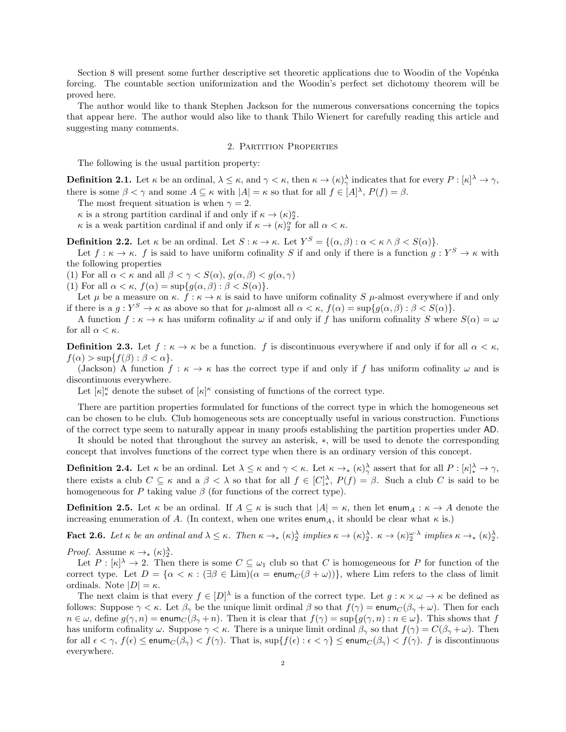Section 8 will present some further descriptive set theoretic applications due to Woodin of the Vopénka forcing. The countable section uniformization and the Woodin's perfect set dichotomy theorem will be proved here.

The author would like to thank Stephen Jackson for the numerous conversations concerning the topics that appear here. The author would also like to thank Thilo Wienert for carefully reading this article and suggesting many comments.

# 2. Partition Properties

The following is the usual partition property:

**Definition 2.1.** Let  $\kappa$  be an ordinal,  $\lambda \leq \kappa$ , and  $\gamma < \kappa$ , then  $\kappa \to (\kappa)_{\gamma}^{\lambda}$  indicates that for every  $P : [\kappa]^{\lambda} \to \gamma$ , there is some  $\beta < \gamma$  and some  $A \subseteq \kappa$  with  $|A| = \kappa$  so that for all  $f \in |A|^\lambda$ ,  $P(f) = \beta$ .

The most frequent situation is when  $\gamma = 2$ .

 $\kappa$  is a strong partition cardinal if and only if  $\kappa \to (\kappa)_{2}^{\kappa}$ .

 $\kappa$  is a weak partition cardinal if and only if  $\kappa \to (\kappa)_2^{\alpha}$  for all  $\alpha < \kappa$ .

**Definition 2.2.** Let  $\kappa$  be an ordinal. Let  $S : \kappa \to \kappa$ . Let  $Y^S = \{(\alpha, \beta) : \alpha < \kappa \wedge \beta < S(\alpha)\}.$ 

Let  $f: \kappa \to \kappa$ . f is said to have uniform cofinality S if and only if there is a function  $g: Y^S \to \kappa$  with the following properties

(1) For all  $\alpha < \kappa$  and all  $\beta < \gamma < S(\alpha)$ ,  $g(\alpha, \beta) < g(\alpha, \gamma)$ 

(1) For all  $\alpha < \kappa$ ,  $f(\alpha) = \sup\{g(\alpha, \beta) : \beta < S(\alpha)\}.$ 

Let  $\mu$  be a measure on  $\kappa$ .  $f : \kappa \to \kappa$  is said to have uniform cofinality S  $\mu$ -almost everywhere if and only if there is a  $g: Y^S \to \kappa$  as above so that for  $\mu$ -almost all  $\alpha < \kappa$ ,  $f(\alpha) = \sup\{g(\alpha, \beta) : \beta < S(\alpha)\}\.$ 

A function  $f : \kappa \to \kappa$  has uniform cofinality  $\omega$  if and only if f has uniform cofinality S where  $S(\alpha) = \omega$ for all  $\alpha < \kappa$ .

**Definition 2.3.** Let  $f : \kappa \to \kappa$  be a function. f is discontinuous everywhere if and only if for all  $\alpha < \kappa$ ,  $f(\alpha) > \sup\{f(\beta) : \beta < \alpha\}.$ 

(Jackson) A function  $f : \kappa \to \kappa$  has the correct type if and only if f has uniform cofinality  $\omega$  and is discontinuous everywhere.

Let  $[\kappa]_{*}^{\kappa}$  denote the subset of  $[\kappa]^{\kappa}$  consisting of functions of the correct type.

There are partition properties formulated for functions of the correct type in which the homogeneous set can be chosen to be club. Club homogeneous sets are conceptually useful in various construction. Functions of the correct type seem to naturally appear in many proofs establishing the partition properties under AD.

It should be noted that throughout the survey an asterisk, ∗, will be used to denote the corresponding concept that involves functions of the correct type when there is an ordinary version of this concept.

**Definition 2.4.** Let  $\kappa$  be an ordinal. Let  $\lambda \leq \kappa$  and  $\gamma < \kappa$ . Let  $\kappa \to_{\ast} (\kappa)^{\lambda}_{\gamma}$  assert that for all  $P : [\kappa]^{\lambda}_{\ast} \to \gamma$ , there exists a club  $C \subseteq \kappa$  and a  $\beta < \lambda$  so that for all  $f \in [C]_{*}^{\lambda}$ ,  $P(f) = \beta$ . Such a club C is said to be homogeneous for P taking value  $\beta$  (for functions of the correct type).

**Definition 2.5.** Let  $\kappa$  be an ordinal. If  $A \subseteq \kappa$  is such that  $|A| = \kappa$ , then let enum<sub>A</sub> :  $\kappa \to A$  denote the increasing enumeration of A. (In context, when one writes enum<sub>A</sub>, it should be clear what  $\kappa$  is.)

<span id="page-1-0"></span>**Fact 2.6.** Let  $\kappa$  be an ordinal and  $\lambda \leq \kappa$ . Then  $\kappa \to (\kappa)^{\lambda}_{2}$  implies  $\kappa \to (\kappa)^{\lambda}_{2}$ .  $\kappa \to (\kappa)^{\omega \cdot \lambda}_{2}$  implies  $\kappa \to (\kappa)^{\lambda}_{2}$ .

*Proof.* Assume  $\kappa \to_{\ast} (\kappa)^{\lambda}_{2}$ .

Let  $P: [\kappa]^{\lambda} \to 2$ . Then there is some  $C \subseteq \omega_1$  club so that C is homogeneous for P for function of the correct type. Let  $D = \{ \alpha < \kappa : (\exists \beta \in \text{Lim})(\alpha = \text{enum}_C(\beta + \omega)) \}$ , where Lim refers to the class of limit ordinals. Note  $|D| = \kappa$ .

The next claim is that every  $f \in [D]^{\lambda}$  is a function of the correct type. Let  $g : \kappa \times \omega \to \kappa$  be defined as follows: Suppose  $\gamma < \kappa$ . Let  $\beta_{\gamma}$  be the unique limit ordinal  $\beta$  so that  $f(\gamma) = \text{enum}_C(\beta_{\gamma} + \omega)$ . Then for each  $n \in \omega$ , define  $g(\gamma, n) =$  enum $C(\beta_{\gamma} + n)$ . Then it is clear that  $f(\gamma) = \sup\{g(\gamma, n) : n \in \omega\}$ . This shows that f has uniform cofinality  $\omega$ . Suppose  $\gamma < \kappa$ . There is a unique limit ordinal  $\beta_{\gamma}$  so that  $f(\gamma) = C(\beta_{\gamma} + \omega)$ . Then for all  $\epsilon < \gamma$ ,  $f(\epsilon) \leq$  enum $C(\beta_{\gamma}) < f(\gamma)$ . That is,  $\sup\{f(\epsilon) : \epsilon < \gamma\} \leq$  enum $C(\beta_{\gamma}) < f(\gamma)$ . f is discontinuous everywhere.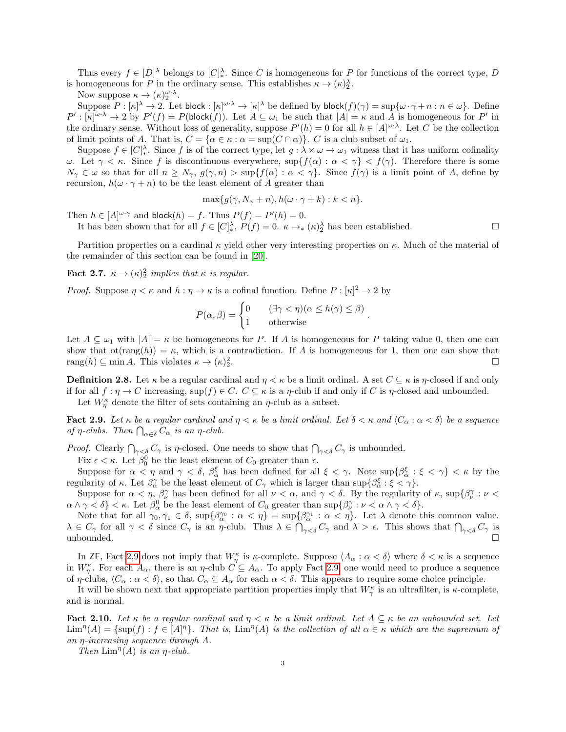Thus every  $f \in [D]^{\lambda}$  belongs to  $[C]^{\lambda}_{*}$ . Since C is homogeneous for P for functions of the correct type, D is homogeneous for P in the ordinary sense. This establishes  $\kappa \to (\kappa)_2^{\lambda}$ .

Now suppose  $\kappa \to (\kappa)_2^{\omega \cdot \lambda}$ .

Suppose  $P: [\kappa]^{\lambda} \to 2$ . Let block  $: [\kappa]^{\omega \cdot \lambda} \to [\kappa]^{\lambda}$  be defined by block $(f)(\gamma) = \sup{\{\omega \cdot \gamma + n : n \in \omega\}}$ . Define  $P': [\kappa]^{\omega \cdot \lambda} \to 2$  by  $P'(f) = P(\text{block}(f)).$  Let  $A \subseteq \omega_1$  be such that  $|A| = \kappa$  and A is homogeneous for P' in the ordinary sense. Without loss of generality, suppose  $P'(h) = 0$  for all  $h \in [A]^{\omega \cdot \lambda}$ . Let C be the collection of limit points of A. That is,  $C = {\alpha \in \kappa : \alpha = {\rm sup}(C \cap \alpha)}$ . C is a club subset of  $\omega_1$ .

Suppose  $f \in [C]^{\lambda}$ . Since f is of the correct type, let  $g : \lambda \times \omega \to \omega_1$  witness that it has uniform cofinality ω. Let  $\gamma < \kappa$ . Since f is discontinuous everywhere, sup $\{f(\alpha): \alpha < \gamma\} < f(\gamma)$ . Therefore there is some  $N_{\gamma} \in \omega$  so that for all  $n \geq N_{\gamma}$ ,  $g(\gamma, n) > \sup\{f(\alpha) : \alpha < \gamma\}$ . Since  $f(\gamma)$  is a limit point of A, define by recursion,  $h(\omega \cdot \gamma + n)$  to be the least element of A greater than

$$
\max\{g(\gamma, N_{\gamma} + n), h(\omega \cdot \gamma + k) : k < n\}.
$$

Then  $h \in [A]^{\omega \cdot \gamma}$  and block $(h) = f$ . Thus  $P(f) = P'(h) = 0$ .

It has been shown that for all  $f \in [C]_*^{\lambda}$ ,  $P(f) = 0$ .  $\kappa \to_{*} (\kappa)^{\lambda}$  has been established.

Partition properties on a cardinal  $\kappa$  yield other very interesting properties on  $\kappa$ . Much of the material of the remainder of this section can be found in [\[20\]](#page-40-4).

<span id="page-2-2"></span>**Fact 2.7.**  $\kappa \to (\kappa)_2^2$  implies that  $\kappa$  is regular.

*Proof.* Suppose  $\eta < \kappa$  and  $h : \eta \to \kappa$  is a cofinal function. Define  $P : [\kappa]^2 \to 2$  by

$$
P(\alpha, \beta) = \begin{cases} 0 & (\exists \gamma < \eta)(\alpha \le h(\gamma) \le \beta) \\ 1 & \text{otherwise} \end{cases}.
$$

Let  $A \subseteq \omega_1$  with  $|A| = \kappa$  be homogeneous for P. If A is homogeneous for P taking value 0, then one can show that  $ot(range(h)) = \kappa$ , which is a contradiction. If A is homogeneous for 1, then one can show that rang $(h) \subseteq \min A$ . This violates  $\kappa \to (\kappa)_2^2$ .

**Definition 2.8.** Let  $\kappa$  be a regular cardinal and  $\eta < \kappa$  be a limit ordinal. A set  $C \subseteq \kappa$  is  $\eta$ -closed if and only if for all  $f : \eta \to C$  increasing,  $\sup(f) \in C$ .  $C \subseteq \kappa$  is a  $\eta$ -club if and only if C is  $\eta$ -closed and unbounded.

Let  $W_{\eta}^{\kappa}$  denote the filter of sets containing an  $\eta$ -club as a subset.

<span id="page-2-0"></span>**Fact 2.9.** Let  $\kappa$  be a regular cardinal and  $\eta < \kappa$  be a limit ordinal. Let  $\delta < \kappa$  and  $\langle C_{\alpha} : \alpha < \delta \rangle$  be a sequence of  $\eta$ -clubs. Then  $\bigcap_{\alpha \in \delta} C_{\alpha}$  is an  $\eta$ -club.

*Proof.* Clearly  $\bigcap_{\gamma<\delta}C_{\gamma}$  is  $\eta$ -closed. One needs to show that  $\bigcap_{\gamma<\delta}C_{\gamma}$  is unbounded.

Fix  $\epsilon < \kappa$ . Let  $\beta_0^0$  be the least element of  $C_0$  greater than  $\epsilon$ .

Suppose for  $\alpha < \eta$  and  $\gamma < \delta$ ,  $\beta_{\alpha}^{\xi}$  has been defined for all  $\xi < \gamma$ . Note  $\sup\{\beta_{\alpha}^{\xi} : \xi < \gamma\} < \kappa$  by the regularity of  $\kappa$ . Let  $\beta_{\alpha}^{\gamma}$  be the least element of  $C_{\gamma}$  which is larger than  $\sup\{\beta_{\alpha}^{\xi}: \xi < \gamma\}.$ 

Suppose for  $\alpha < \eta$ ,  $\beta_{\nu}^{\gamma}$  has been defined for all  $\nu < \alpha$ , and  $\gamma < \delta$ . By the regularity of  $\kappa$ , sup $\{\beta_{\nu}^{\gamma} : \nu < \delta\}$  $\alpha \wedge \gamma < \delta$   $\} < \kappa$ . Let  $\beta^0_\alpha$  be the least element of  $C_0$  greater than  $\sup\{\beta^\gamma_\nu : \nu < \alpha \wedge \gamma < \delta\}.$ 

Note that for all  $\gamma_0, \gamma_1 \in \delta$ ,  $\sup\{\beta_\alpha^{\gamma_0} : \alpha < \eta\} = \sup\{\beta_\alpha^{\gamma_1} : \alpha < \eta\}$ . Let  $\lambda$  denote this common value.  $\lambda \in C_{\gamma}$  for all  $\gamma < \delta$  since  $C_{\gamma}$  is an  $\eta$ -club. Thus  $\lambda \in \bigcap_{\gamma < \delta} C_{\gamma}$  and  $\lambda > \epsilon$ . This shows that  $\bigcap_{\gamma < \delta} C_{\gamma}$  is unbounded.  $\Box$ 

In ZF, Fact [2.9](#page-2-0) does not imply that  $W^{\kappa}_{\eta}$  is  $\kappa$ -complete. Suppose  $\langle A_{\alpha} : \alpha < \delta \rangle$  where  $\delta < \kappa$  is a sequence in  $W_{\eta}^{\kappa}$ . For each  $A_{\alpha}$ , there is an  $\eta$ -club  $C \subseteq A_{\alpha}$ . To apply Fact [2.9,](#page-2-0) one would need to produce a sequence of  $\eta$ -clubs,  $\langle C_\alpha : \alpha < \delta \rangle$ , so that  $C_\alpha \subseteq A_\alpha$  for each  $\alpha < \delta$ . This appears to require some choice principle.

It will be shown next that appropriate partition properties imply that  $W^{\kappa}_{\gamma}$  is an ultrafilter, is  $\kappa$ -complete, and is normal.

<span id="page-2-1"></span>Fact 2.10. Let  $\kappa$  be a regular cardinal and  $\eta < \kappa$  be a limit ordinal. Let  $A \subseteq \kappa$  be an unbounded set. Let  $\text{Lim}^{\eta}(A) = \{\text{sup}(f) : f \in [A]^{\eta}\}.$  That is,  $\text{Lim}^{\eta}(A)$  is the collection of all  $\alpha \in \kappa$  which are the supremum of an η-increasing sequence through A.

Then  $\lim^{\eta}(A)$  is an  $\eta$ -club.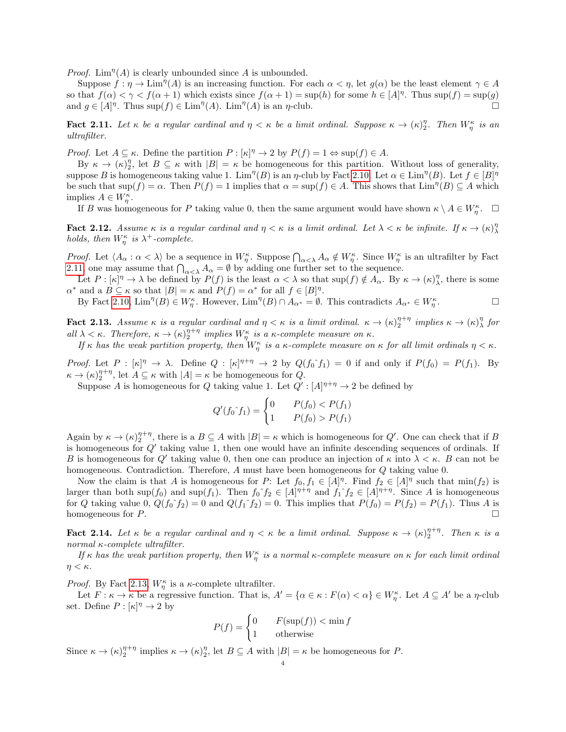*Proof.* Lim<sup> $\eta$ </sup>(A) is clearly unbounded since A is unbounded.

Suppose  $f: \eta \to \text{Lim}^{\eta}(A)$  is an increasing function. For each  $\alpha < \eta$ , let  $g(\alpha)$  be the least element  $\gamma \in A$ so that  $f(\alpha) < \gamma < f(\alpha + 1)$  which exists since  $f(\alpha + 1) = \sup(h)$  for some  $h \in [A]^{\eta}$ . Thus  $\sup(f) = \sup(g)$ and  $g \in [A]^{\eta}$ . Thus sup $(f) \in \text{Lim}^{\eta}(A)$ .  $\text{Lim}^{\eta}(A)$  is an  $\eta$ -club.

<span id="page-3-0"></span>**Fact 2.11.** Let  $\kappa$  be a regular cardinal and  $\eta < \kappa$  be a limit ordinal. Suppose  $\kappa \to (\kappa)_2^{\eta}$ . Then  $W_{\eta}^{\kappa}$  is an ultrafilter.

*Proof.* Let  $A \subseteq \kappa$ . Define the partition  $P : [\kappa]^{\eta} \to 2$  by  $P(f) = 1 \Leftrightarrow \sup(f) \in A$ .

By  $\kappa \to (\kappa)_2^{\eta}$ , let  $B \subseteq \kappa$  with  $|B| = \kappa$  be homogeneous for this partition. Without loss of generality, suppose B is homogeneous taking value 1.  $\lim^{\eta}(B)$  is an  $\eta$ -club by Fact [2.10.](#page-2-1) Let  $\alpha \in \lim^{\eta}(B)$ . Let  $f \in [B]^{\eta}$ be such that  $\sup(f) = \alpha$ . Then  $P(f) = 1$  implies that  $\alpha = \sup(f) \in A$ . This shows that  $\lim^{n}(B) \subseteq A$  which implies  $A \in W^{\kappa}_{\eta}$ .

If B was homogeneous for P taking value 0, then the same argument would have shown  $\kappa \setminus A \in W_{\eta}^{\kappa}$ .  $\Box$ 

Fact 2.12. Assume  $\kappa$  is a regular cardinal and  $\eta < \kappa$  is a limit ordinal. Let  $\lambda < \kappa$  be infinite. If  $\kappa \to (\kappa)_{\lambda}^{\eta}$ holds, then  $W_{\eta}^{\kappa}$  is  $\lambda^{+}$ -complete.

*Proof.* Let  $\langle A_{\alpha} : \alpha < \lambda \rangle$  be a sequence in  $W_{\eta}^{\kappa}$ . Suppose  $\bigcap_{\alpha < \lambda} A_{\alpha} \notin W_{\eta}^{\kappa}$ . Since  $W_{\eta}^{\kappa}$  is an ultrafilter by Fact [2.11,](#page-3-0) one may assume that  $\bigcap_{\alpha<\lambda} A_{\alpha} = \emptyset$  by adding one further set to the sequence.

Let  $P: [\kappa]^{\eta} \to \lambda$  be defined by  $P(f)$  is the least  $\alpha < \lambda$  so that  $\sup(f) \notin A_{\alpha}$ . By  $\kappa \to (\kappa)^{\eta}_{\lambda}$ , there is some  $\alpha^*$  and  $a B \subseteq \kappa$  so that  $|B| = \kappa$  and  $P(f) = \alpha^*$  for all  $f \in [B]^{\eta}$ .

By Fact [2.10,](#page-2-1)  $\lim^{\eta}(B) \in W_{\eta}^{\kappa}$ . However,  $\lim^{\eta}(B) \cap A_{\alpha^*} = \emptyset$ . This contradicts  $A_{\alpha^*} \in W_{\eta}^{\kappa}$  $\Box$ 

<span id="page-3-1"></span>Fact 2.13. Assume  $\kappa$  is a regular cardinal and  $\eta < \kappa$  is a limit ordinal.  $\kappa \to (\kappa)_{2}^{\eta+\eta}$  implies  $\kappa \to (\kappa)_{\lambda}^{\eta}$  for all  $\lambda < \kappa$ . Therefore,  $\kappa \to (\kappa)_2^{n+\eta}$  implies  $W_{\eta}^{\kappa}$  is a  $\kappa$ -complete measure on  $\kappa$ .

If  $\kappa$  has the weak partition property, then  $W_{\eta}^{\kappa}$  is a  $\kappa$ -complete measure on  $\kappa$  for all limit ordinals  $\eta < \kappa$ .

Proof. Let  $P : [\kappa]^{\eta} \to \lambda$ . Define  $Q : [\kappa]^{\eta+\eta} \to 2$  by  $Q(f_0 \hat{f}_1) = 0$  if and only if  $P(f_0) = P(f_1)$ . By  $\kappa \to (\kappa)_2^{\eta+\eta}$ , let  $A \subseteq \kappa$  with  $|A| = \kappa$  be homogeneous for Q.

Suppose A is homogeneous for Q taking value 1. Let  $Q' : [A]^{n+\eta} \to 2$  be defined by

$$
Q'(f_0 \hat{f}_1) = \begin{cases} 0 & P(f_0) < P(f_1) \\ 1 & P(f_0) > P(f_1) \end{cases}
$$

Again by  $\kappa \to (\kappa)_2^{\eta+\eta}$ , there is a  $B \subseteq A$  with  $|B| = \kappa$  which is homogeneous for  $Q'$ . One can check that if B is homogeneous for  $Q'$  taking value 1, then one would have an infinite descending sequences of ordinals. If B is homogeneous for Q' taking value 0, then one can produce an injection of  $\kappa$  into  $\lambda < \kappa$ . B can not be homogeneous. Contradiction. Therefore, A must have been homogeneous for Q taking value 0.

Now the claim is that A is homogeneous for P: Let  $f_0, f_1 \in [A]^{\eta}$ . Find  $f_2 \in [A]^{\eta}$  such that  $\min(f_2)$  is larger than both sup $(f_0)$  and sup $(f_1)$ . Then  $f_0 \hat{f}_2 \in [A]^{\eta+\eta}$  and  $f_1 \hat{f}_2 \in [A]^{\eta+\eta}$ . Since A is homogeneous for Q taking value 0,  $Q(f_0 \hat{f}_2) = 0$  and  $Q(f_1 \hat{f}_2) = 0$ . This implies that  $P(f_0) = P(f_2) = P(f_1)$ . Thus A is homogeneous for  $P$ .

**Fact 2.14.** Let  $\kappa$  be a regular cardinal and  $\eta < \kappa$  be a limit ordinal. Suppose  $\kappa \to (\kappa)_{2}^{\eta+\eta}$ . Then  $\kappa$  is a normal κ-complete ultrafilter.

If  $\kappa$  has the weak partition property, then  $W^{\kappa}_{\eta}$  is a normal  $\kappa$ -complete measure on  $\kappa$  for each limit ordinal  $\eta < \kappa$ .

*Proof.* By Fact [2.13,](#page-3-1)  $W_{\eta}^{\kappa}$  is a  $\kappa$ -complete ultrafilter.

Let  $F: \kappa \to \kappa$  be a regressive function. That is,  $A' = {\alpha \in \kappa : F(\alpha) < \alpha} \in W_n^{\kappa}$ . Let  $A \subseteq A'$  be a  $\eta$ -club set. Define  $P : [\kappa]^{\eta} \to 2$  by

$$
P(f) = \begin{cases} 0 & F(\sup(f)) < \min f \\ 1 & \text{otherwise} \end{cases}
$$

Since  $\kappa \to (\kappa)_2^{\eta+\eta}$  implies  $\kappa \to (\kappa)_2^{\eta}$ , let  $B \subseteq A$  with  $|B| = \kappa$  be homogeneous for P.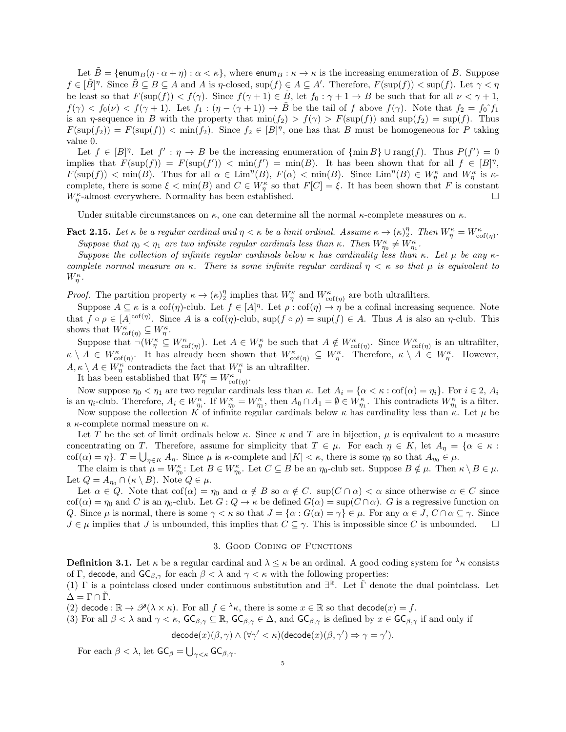Let  $\hat{B} = \{\text{enum}_B(\eta \cdot \alpha + \eta) : \alpha < \kappa\},\$  where  $\text{enum}_B : \kappa \to \kappa$  is the increasing enumeration of B. Suppose  $f \in [\tilde{B}]^{\eta}$ . Since  $\tilde{B} \subseteq B \subseteq A$  and A is  $\eta$ -closed,  $\sup(f) \in A \subseteq A'$ . Therefore,  $F(\sup(f)) < \sup(f)$ . Let  $\gamma < \eta$ be least so that  $F(\sup(f)) < f(\gamma)$ . Since  $f(\gamma + 1) \in \tilde{B}$ , let  $f_0 : \gamma + 1 \to B$  be such that for all  $\nu < \gamma + 1$ ,  $f(\gamma) < f_0(\nu) < f(\gamma + 1)$ . Let  $f_1 : (\eta - (\gamma + 1)) \to \tilde{B}$  be the tail of f above  $f(\gamma)$ . Note that  $f_2 = f_0 \hat{f}_1$ is an  $\eta$ -sequence in B with the property that  $\min(f_2) > f(\gamma) > F(\sup(f))$  and  $\sup(f_2) = \sup(f)$ . Thus  $F(\sup(f_2)) = F(\sup(f)) < \min(f_2)$ . Since  $f_2 \in [B]^{\eta}$ , one has that B must be homogeneous for P taking value 0.

Let  $f \in [B]^{\eta}$ . Let  $f' : \eta \to B$  be the increasing enumeration of  $\{\min B\} \cup \text{rang}(f)$ . Thus  $P(f') = 0$ implies that  $F(\sup(f)) = F(\sup(f')) < \min(f') = \min(B)$ . It has been shown that for all  $f \in [B]^{\eta}$ ,  $F(\sup(f)) < \min(B)$ . Thus for all  $\alpha \in \text{Lim}^{\eta}(B)$ ,  $F(\alpha) < \min(B)$ . Since  $\text{Lim}^{\eta}(B) \in W_{\eta}^{\kappa}$  and  $W_{\eta}^{\kappa}$  is  $\kappa$ complete, there is some  $\xi < \min(B)$  and  $C \in W^{\kappa}_{\eta}$  so that  $F[C] = \xi$ . It has been shown that F is constant  $W_{\eta}^{\kappa}$ -almost everywhere. Normality has been established.

Under suitable circumstances on  $\kappa$ , one can determine all the normal  $\kappa$ -complete measures on  $\kappa$ .

<span id="page-4-0"></span>Fact 2.15. Let  $\kappa$  be a regular cardinal and  $\eta < \kappa$  be a limit ordinal. Assume  $\kappa \to (\kappa)_{2}^{\eta}$ . Then  $W_{\eta}^{\kappa} = W_{\text{cof}(\eta)}^{\kappa}$ . Suppose that  $\eta_0 < \eta_1$  are two infinite regular cardinals less than  $\kappa$ . Then  $W_{\eta_0}^{\kappa} \neq W_{\eta_1}^{\kappa}$ .

Suppose the collection of infinite regular cardinals below  $\kappa$  has cardinality less than  $\kappa$ . Let  $\mu$  be any  $\kappa$ complete normal measure on κ. There is some infinite regular cardinal  $\eta < \kappa$  so that  $\mu$  is equivalent to  $W_{\eta}^{\kappa}$ .

*Proof.* The partition property  $\kappa \to (\kappa)_2^{\eta}$  implies that  $W_{\eta}^{\kappa}$  and  $W_{\text{cof}(\eta)}^{\kappa}$  are both ultrafilters.

Suppose  $A \subseteq \kappa$  is a cof(η)-club. Let  $f \in [A]^{\eta}$ . Let  $\rho : \text{cof}(\eta) \to \eta$  be a cofinal increasing sequence. Note that  $f \circ \rho \in [A]^{\text{cof}(\eta)}$ . Since A is a cof( $\eta$ )-club, sup( $f \circ \rho$ ) = sup( $f$ )  $\in A$ . Thus A is also an  $\eta$ -club. This shows that  $W_{\operatorname{cof}(\eta)}^{\kappa} \subseteq W_{\eta}^{\kappa}$ .

Suppose that  $\neg(W_{\eta}^{\kappa} \subseteq W_{\text{cof}(\eta)}^{\kappa})$ . Let  $A \in W_{\eta}^{\kappa}$  be such that  $A \notin W_{\text{cof}(\eta)}^{\kappa}$ . Since  $W_{\text{cof}(\eta)}^{\kappa}$  is an ultrafilter,  $\kappa \setminus A \in W_{\operatorname{cof}(\eta)}^{\kappa}$ . It has already been shown that  $W_{\operatorname{cof}(\eta)}^{\kappa} \subseteq W_{\eta}^{\kappa}$ . Therefore,  $\kappa \setminus A \in W_{\eta}^{\kappa}$ . However,  $A, \kappa \setminus A \in W_{\eta}^{\kappa}$  contradicts the fact that  $W_{\eta}^{\kappa}$  is an ultrafilter.

It has been established that  $W_{\eta}^{\kappa} = W_{\text{cof}(\eta)}^{\kappa}$ .

Now suppose  $\eta_0 < \eta_1$  are two regular cardinals less than  $\kappa$ . Let  $A_i = \{ \alpha < \kappa : \text{cof}(\alpha) = \eta_i \}$ . For  $i \in \{2, A_i\}$ is an  $\eta_i$ -club. Therefore,  $A_i \in W_{\eta_i}^{\kappa}$ . If  $W_{\eta_0}^{\kappa} = W_{\eta_1}^{\kappa}$ , then  $A_0 \cap A_1 = \emptyset \in W_{\eta_1}^{\kappa}$ . This contradicts  $W_{\eta_1}^{\kappa}$  is a filter. Now suppose the collection K of infinite regular cardinals below  $\kappa$  has cardinality less than  $\kappa$ . Let  $\mu$  be

a κ-complete normal measure on κ.

Let T be the set of limit ordinals below  $\kappa$ . Since  $\kappa$  and T are in bijection,  $\mu$  is equivalent to a measure concentrating on T. Therefore, assume for simplicity that  $T \in \mu$ . For each  $\eta \in K$ , let  $A_{\eta} = {\alpha \in \kappa : \eta$ cof( $\alpha$ ) =  $\eta$ .  $T = \bigcup_{\eta \in K} A_{\eta}$ . Since  $\mu$  is  $\kappa$ -complete and  $|K| < \kappa$ , there is some  $\eta_0$  so that  $A_{\eta_0} \in \mu$ .

The claim is that  $\mu = W_{\eta_0}^{\kappa}$ : Let  $B \in W_{\eta_0}^{\kappa}$ . Let  $C \subseteq B$  be an  $\eta_0$ -club set. Suppose  $B \notin \mu$ . Then  $\kappa \setminus B \in \mu$ . Let  $Q = A_{\eta_0} \cap (\kappa \setminus B)$ . Note  $Q \in \mu$ .

Let  $\alpha \in Q$ . Note that  $\text{cof}(\alpha) = \eta_0$  and  $\alpha \notin B$  so  $\alpha \notin C$ .  $\text{sup}(C \cap \alpha) < \alpha$  since otherwise  $\alpha \in C$  since  $\text{cof}(\alpha) = \eta_0$  and C is an  $\eta_0$ -club. Let  $G: Q \to \kappa$  be defined  $G(\alpha) = \text{sup}(C \cap \alpha)$ . G is a regressive function on Q. Since  $\mu$  is normal, there is some  $\gamma < \kappa$  so that  $J = {\alpha : G(\alpha) = \gamma} \in \mu$ . For any  $\alpha \in J$ ,  $C \cap \alpha \subseteq \gamma$ . Since  $J \in \mu$  implies that J is unbounded, this implies that  $C \subseteq \gamma$ . This is impossible since C is unbounded.  $\square$ 

#### 3. Good Coding of Functions

**Definition 3.1.** Let  $\kappa$  be a regular cardinal and  $\lambda \leq \kappa$  be an ordinal. A good coding system for  $\lambda_{\kappa}$  consists of Γ, decode, and  $\mathsf{GC}_{\beta,\gamma}$  for each  $\beta < \lambda$  and  $\gamma < \kappa$  with the following properties:

(1)  $\Gamma$  is a pointclass closed under continuous substitution and  $\exists^{\mathbb{R}}$ . Let  $\check{\Gamma}$  denote the dual pointclass. Let  $\Delta = \Gamma \cap \Gamma$ .

(2) decode :  $\mathbb{R} \to \mathscr{P}(\lambda \times \kappa)$ . For all  $f \in {}^{\lambda}\kappa$ , there is some  $x \in \mathbb{R}$  so that decode $(x) = f$ .

(3) For all  $\beta < \lambda$  and  $\gamma < \kappa$ ,  $\mathsf{GC}_{\beta,\gamma} \subseteq \mathbb{R}$ ,  $\mathsf{GC}_{\beta,\gamma} \in \Delta$ , and  $\mathsf{GC}_{\beta,\gamma}$  is defined by  $x \in \mathsf{GC}_{\beta,\gamma}$  if and only if

$$
\mathsf{decode}(x)(\beta, \gamma) \land (\forall \gamma' < \kappa)(\mathsf{decode}(x)(\beta, \gamma') \Rightarrow \gamma = \gamma').
$$

For each  $\beta < \lambda$ , let  $\mathsf{GC}_{\beta} = \bigcup_{\gamma < \kappa} \mathsf{GC}_{\beta,\gamma}$ .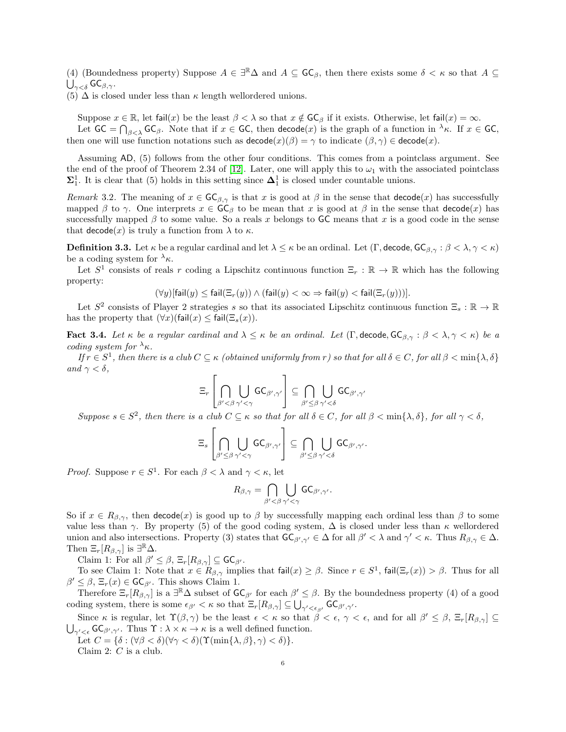(4) (Boundedness property) Suppose  $A \in \exists^{\mathbb{R}} \Delta$  and  $A \subseteq \mathsf{GC}_{\beta}$ , then there exists some  $\delta < \kappa$  so that  $A \subseteq$  $\bigcup_{\gamma<\delta} \mathsf{GC}_{\beta,\gamma}.$ 

(5)  $\Delta$  is closed under less than  $\kappa$  length wellordered unions.

Suppose  $x \in \mathbb{R}$ , let fail $(x)$  be the least  $\beta < \lambda$  so that  $x \notin \mathsf{GC}_\beta$  if it exists. Otherwise, let fail $(x) = \infty$ .

Let  $GC = \bigcap_{\beta < \lambda} GC_{\beta}$ . Note that if  $x \in GC$ , then  $decode(x)$  is the graph of a function in  $\lambda_{\kappa}$ . If  $x \in GC$ , then one will use function notations such as  $\mathsf{decode}(x)(\beta) = \gamma$  to indicate  $(\beta, \gamma) \in \mathsf{decode}(x)$ .

Assuming AD, (5) follows from the other four conditions. This comes from a pointclass argument. See the end of the proof of Theorem 2.34 of [\[12\]](#page-40-5). Later, one will apply this to  $\omega_1$  with the associated pointclass  $\Sigma_1^1$ . It is clear that (5) holds in this setting since  $\Delta_1^1$  is closed under countable unions.

Remark 3.2. The meaning of  $x \in \mathsf{GC}_{\beta,\gamma}$  is that x is good at  $\beta$  in the sense that  $\mathsf{decode}(x)$  has successfully mapped β to γ. One interprets  $x \in \mathsf{GC}_\beta$  to be mean that x is good at β in the sense that  $\mathsf{decode}(x)$  has successfully mapped  $\beta$  to some value. So a reals x belongs to GC means that x is a good code in the sense that  $\text{decode}(x)$  is truly a function from  $\lambda$  to  $\kappa$ .

**Definition 3.3.** Let  $\kappa$  be a regular cardinal and let  $\lambda \leq \kappa$  be an ordinal. Let  $(\Gamma, \text{decode}, \text{GC}_{\beta,\gamma} : \beta < \lambda, \gamma < \kappa)$ be a coding system for  $\lambda_{\kappa}$ .

Let  $S^1$  consists of reals r coding a Lipschitz continuous function  $\Xi_r : \mathbb{R} \to \mathbb{R}$  which has the following property:

$$
(\forall y)[\mathsf{fail}(y) \le \mathsf{fail}(\Xi_r(y)) \land (\mathsf{fail}(y) < \infty \Rightarrow \mathsf{fail}(y) < \mathsf{fail}(\Xi_r(y)))].
$$

Let  $S^2$  consists of Player 2 strategies s so that its associated Lipschitz continuous function  $\Xi_s : \mathbb{R} \to \mathbb{R}$ has the property that  $(\forall x)(\text{fail}(x) \leq \text{fail}(\Xi_s(x)).$ 

<span id="page-5-0"></span>Fact 3.4. Let  $\kappa$  be a regular cardinal and  $\lambda \leq \kappa$  be an ordinal. Let  $(\Gamma, \text{decode}, \text{GC}_{\beta, \gamma} : \beta < \lambda, \gamma < \kappa)$  be a coding system for  $\lambda_{\kappa}$ .

If  $r \in S^1$ , then there is a club  $C \subseteq \kappa$  (obtained uniformly from r) so that for all  $\delta \in C$ , for all  $\beta < \min\{\lambda, \delta\}$ and  $\gamma < \delta$ ,

$$
\Xi_r \left[ \bigcap_{\beta' < \beta} \bigcup_{\gamma' < \gamma} \mathsf{GC}_{\beta',\gamma'} \right] \subseteq \bigcap_{\beta' \leq \beta} \bigcup_{\gamma' < \delta} \mathsf{GC}_{\beta',\gamma'}
$$

Suppose  $s \in S^2$ , then there is a club  $C \subseteq \kappa$  so that for all  $\delta \in C$ , for all  $\beta < \min\{\lambda, \delta\}$ , for all  $\gamma < \delta$ ,

$$
\Xi_s\left[\bigcap_{\beta'\leq\beta}\bigcup_{\gamma'<\gamma}\mathsf{GC}_{\beta',\gamma'}\right]\subseteq\bigcap_{\beta'\leq\beta}\bigcup_{\gamma'<\delta}\mathsf{GC}_{\beta',\gamma'}.
$$

*Proof.* Suppose  $r \in S^1$ . For each  $\beta < \lambda$  and  $\gamma < \kappa$ , let

$$
R_{\beta,\gamma}=\bigcap_{\beta'<\beta}\bigcup_{\gamma'<\gamma}\mathsf{GC}_{\beta',\gamma'}.
$$

So if  $x \in R_{\beta,\gamma}$ , then  $\text{decode}(x)$  is good up to  $\beta$  by successfully mapping each ordinal less than  $\beta$  to some value less than  $\gamma$ . By property (5) of the good coding system,  $\Delta$  is closed under less than  $\kappa$  wellordered union and also intersections. Property (3) states that  $\mathsf{GC}_{\beta',\gamma'} \in \Delta$  for all  $\beta' < \lambda$  and  $\gamma' < \kappa$ . Thus  $R_{\beta,\gamma} \in \Delta$ . Then  $\Xi_r[R_{\beta,\gamma}]$  is  $\exists^{\mathbb{R}} \Delta$ .

Claim 1: For all  $\beta' \leq \beta$ ,  $\Xi_r[R_{\beta,\gamma}] \subseteq \mathsf{GC}_{\beta'}$ .

To see Claim 1: Note that  $x \in R_{\beta,\gamma}$  implies that  $\text{fail}(x) \geq \beta$ . Since  $r \in S^1$ ,  $\text{fail}(\Xi_r(x)) > \beta$ . Thus for all  $\beta' \leq \beta$ ,  $\Xi_r(x) \in \mathsf{GC}_{\beta'}$ . This shows Claim 1.

Therefore  $\Xi_r[R_{\beta,\gamma}]$  is a  $\exists^{\mathbb{R}}\Delta$  subset of  $\mathsf{GC}_{\beta'}$  for each  $\beta' \leq \beta$ . By the boundedness property (4) of a good coding system, there is some  $\epsilon_{\beta'} < \kappa$  so that  $\Xi_r[R_{\beta,\gamma}] \subseteq \bigcup_{\gamma' < \epsilon_{\beta'}} {\sf GC}_{\beta',\gamma'}.$ 

Since  $\kappa$  is regular, let  $\Upsilon(\beta, \gamma)$  be the least  $\epsilon < \kappa$  so that  $\beta < \epsilon$ ,  $\gamma < \epsilon$ , and for all  $\beta' \leq \beta$ ,  $\Xi_r[R_{\beta, \gamma}] \subseteq$  $\bigcup_{\gamma' < \epsilon} \mathsf{GC}_{\beta',\gamma'}$ . Thus  $\Upsilon : \lambda \times \kappa \to \kappa$  is a well defined function.

Let  $C = \{\delta : (\forall \beta < \delta)(\forall \gamma < \delta)(\Upsilon(\min\{\lambda, \beta\}, \gamma) < \delta)\}.$ Claim 2:  $C$  is a club.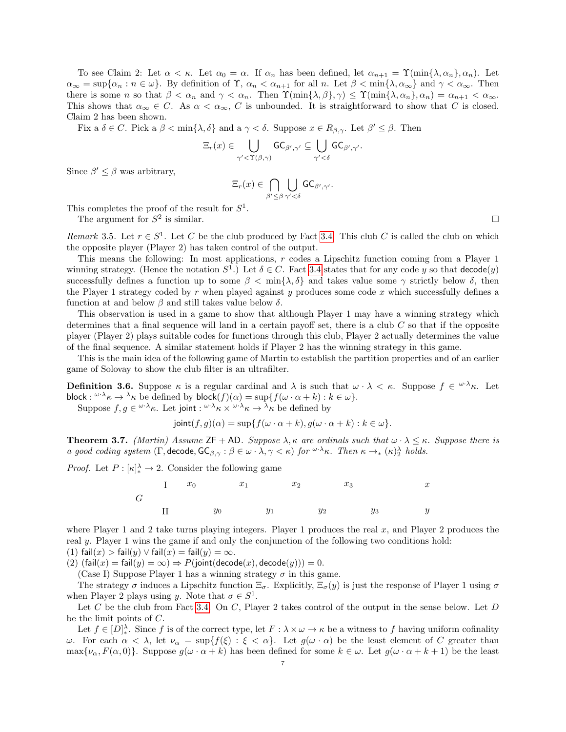To see Claim 2: Let  $\alpha < \kappa$ . Let  $\alpha_0 = \alpha$ . If  $\alpha_n$  has been defined, let  $\alpha_{n+1} = \Upsilon(\min\{\lambda, \alpha_n\}, \alpha_n)$ . Let  $\alpha_{\infty} = \sup\{\alpha_n : n \in \omega\}.$  By definition of  $\Upsilon$ ,  $\alpha_n < \alpha_{n+1}$  for all n. Let  $\beta < \min\{\lambda, \alpha_{\infty}\}\$  and  $\gamma < \alpha_{\infty}$ . Then there is some n so that  $\beta < \alpha_n$  and  $\gamma < \alpha_n$ . Then  $\Upsilon(\min\{\lambda, \beta\}, \gamma) \leq \Upsilon(\min\{\lambda, \alpha_n\}, \alpha_n) = \alpha_{n+1} < \alpha_\infty$ . This shows that  $\alpha_{\infty} \in C$ . As  $\alpha < \alpha_{\infty}$ , C is unbounded. It is straightforward to show that C is closed. Claim 2 has been shown.

Fix a  $\delta \in C$ . Pick a  $\beta < \min\{\lambda, \delta\}$  and a  $\gamma < \delta$ . Suppose  $x \in R_{\beta, \gamma}$ . Let  $\beta' \leq \beta$ . Then

$$
\Xi_r(x) \in \bigcup_{\gamma' < \Upsilon(\beta,\gamma)} \mathsf{GC}_{\beta',\gamma'} \subseteq \bigcup_{\gamma' < \delta} \mathsf{GC}_{\beta',\gamma'}.
$$

Since  $\beta' \leq \beta$  was arbitrary,

$$
\Xi_r(x) \in \bigcap_{\beta' \leq \beta} \bigcup_{\gamma' < \delta} \mathsf{GC}_{\beta',\gamma'}.
$$

This completes the proof of the result for  $S^1$ .

The argument for  $S^2$  is similar.

Remark 3.5. Let  $r \in S^1$ . Let C be the club produced by Fact [3.4.](#page-5-0) This club C is called the club on which the opposite player (Player 2) has taken control of the output.

This means the following: In most applications, r codes a Lipschitz function coming from a Player 1 winning strategy. (Hence the notation  $S^1$ .) Let  $\delta \in C$ . Fact [3.4](#page-5-0) states that for any code y so that decode(y) successfully defines a function up to some  $\beta < \min\{\lambda, \delta\}$  and takes value some  $\gamma$  strictly below  $\delta$ , then the Player 1 strategy coded by r when played against y produces some code x which successfully defines a function at and below  $\beta$  and still takes value below  $\delta$ .

This observation is used in a game to show that although Player 1 may have a winning strategy which determines that a final sequence will land in a certain payoff set, there is a club  $C$  so that if the opposite player (Player 2) plays suitable codes for functions through this club, Player 2 actually determines the value of the final sequence. A similar statement holds if Player 2 has the winning strategy in this game.

This is the main idea of the following game of Martin to establish the partition properties and of an earlier game of Solovay to show the club filter is an ultrafilter.

**Definition 3.6.** Suppose  $\kappa$  is a regular cardinal and  $\lambda$  is such that  $\omega \cdot \lambda < \kappa$ . Suppose  $f \in \omega \cdot \lambda_{\kappa}$ . Let block :  $\omega \cdot \lambda_{\kappa} \to \lambda_{\kappa}$  be defined by block $(f)(\alpha) = \sup\{f(\omega \cdot \alpha + k) : k \in \omega\}.$ 

Suppose  $f, g \in \omega^{\lambda} \kappa$ . Let joint :  $\omega^{\lambda} \kappa \times \omega^{\lambda} \kappa \to \lambda \kappa$  be defined by

$$
joint(f,g)(\alpha) = \sup\{f(\omega \cdot \alpha + k), g(\omega \cdot \alpha + k) : k \in \omega\}.
$$

<span id="page-6-0"></span>**Theorem 3.7.** (Martin) Assume ZF + AD. Suppose  $\lambda$ ,  $\kappa$  are ordinals such that  $\omega \cdot \lambda \leq \kappa$ . Suppose there is a good coding system  $(\Gamma, \text{decode}, \text{GC}_{\beta, \gamma} : \beta \in \omega \cdot \lambda, \gamma < \kappa)$  for  $\omega \cdot \lambda \kappa$ . Then  $\kappa \to_{\ast} (\kappa)_{2}^{\lambda}$  holds.

*Proof.* Let  $P : [\kappa]_*^{\lambda} \to 2$ . Consider the following game



where Player 1 and 2 take turns playing integers. Player 1 produces the real  $x$ , and Player 2 produces the real y. Player 1 wins the game if and only the conjunction of the following two conditions hold: (1) fail $(x)$  > fail $(y)$   $\vee$  fail $(x)$  = fail $(y)$  =  $\infty$ .

(2)  $(\text{fail}(x) = \text{fail}(y) = \infty) \Rightarrow P(\text{joint}(decode(x), decode(y))) = 0.$ 

(Case I) Suppose Player 1 has a winning strategy  $\sigma$  in this game.

The strategy  $\sigma$  induces a Lipschitz function  $\Xi_{\sigma}$ . Explicitly,  $\Xi_{\sigma}(y)$  is just the response of Player 1 using  $\sigma$ when Player 2 plays using y. Note that  $\sigma \in S^1$ .

Let C be the club from Fact [3.4.](#page-5-0) On C, Player 2 takes control of the output in the sense below. Let D be the limit points of C.

Let  $f \in [D]^{\lambda}_{*}$ . Since f is of the correct type, let  $F : \lambda \times \omega \to \kappa$  be a witness to f having uniform cofinality ω. For each  $\alpha < \lambda$ , let  $\nu_{\alpha} = \sup\{f(\xi) : \xi < \alpha\}$ . Let  $g(\omega \cdot \alpha)$  be the least element of C greater than  $\max{\nu_{\alpha}, F(\alpha, 0)}$ . Suppose  $g(\omega \cdot \alpha + k)$  has been defined for some  $k \in \omega$ . Let  $g(\omega \cdot \alpha + k + 1)$  be the least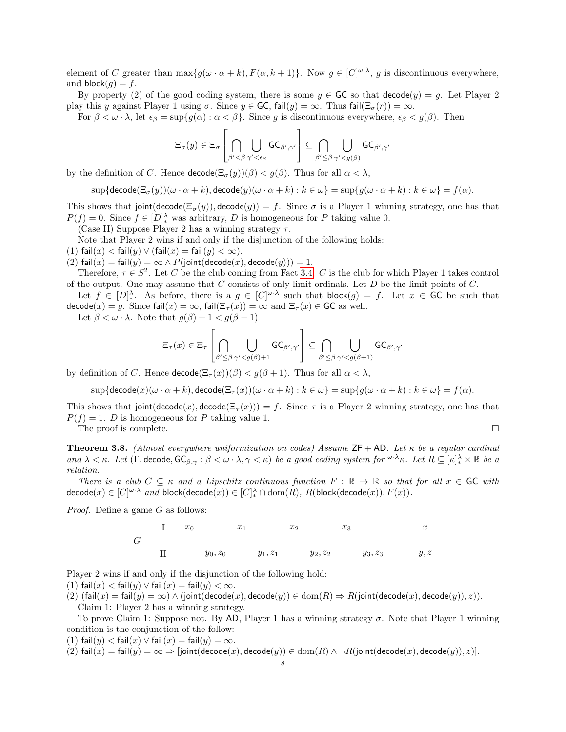element of C greater than  $\max\{g(\omega \cdot \alpha + k), F(\alpha, k+1)\}\$ . Now  $g \in [C]^{\omega \cdot \lambda}$ , g is discontinuous everywhere, and block $(g) = f$ .

By property (2) of the good coding system, there is some  $y \in \mathsf{GC}$  so that  $\mathsf{decode}(y) = q$ . Let Player 2 play this y against Player 1 using  $\sigma$ . Since  $y \in \mathsf{GC}$ , fail $(y) = \infty$ . Thus fail $(\Xi_{\sigma}(r)) = \infty$ .

For  $\beta < \omega \cdot \lambda$ , let  $\epsilon_{\beta} = \sup\{g(\alpha) : \alpha < \beta\}$ . Since g is discontinuous everywhere,  $\epsilon_{\beta} < g(\beta)$ . Then

$$
\Xi_{\sigma}(y) \in \Xi_{\sigma} \left[ \bigcap_{\beta' < \beta} \bigcup_{\gamma' < \epsilon_{\beta}} \mathsf{GC}_{\beta',\gamma'} \right] \subseteq \bigcap_{\beta' \leq \beta} \bigcup_{\gamma' < g(\beta)} \mathsf{GC}_{\beta',\gamma'}
$$

by the definition of C. Hence  $\mathsf{decode}(\Xi_{\sigma}(y))(\beta) < g(\beta)$ . Thus for all  $\alpha < \lambda$ ,

 $\sup{\{\text{decode}(\Xi_{\sigma}(y))(\omega \cdot \alpha + k), \text{decode}(y)(\omega \cdot \alpha + k) : k \in \omega\}} = \sup{\{g(\omega \cdot \alpha + k) : k \in \omega\}} = f(\alpha).$ 

This shows that joint(decode( $\Xi_{\sigma}(y)$ ), decode(y)) = f. Since  $\sigma$  is a Player 1 winning strategy, one has that  $P(f) = 0$ . Since  $f \in [D]_*^{\lambda}$  was arbitrary, D is homogeneous for P taking value 0.

(Case II) Suppose Player 2 has a winning strategy  $\tau$ .

Note that Player 2 wins if and only if the disjunction of the following holds:

(1) fail $(x) <$  fail $(y) \vee$  (fail $(x) =$  fail $(y) < \infty$ ).

(2) fail $(x)$  = fail $(y)$  =  $\infty \wedge P$ (joint(decode $(x)$ , decode $(y)$ )) = 1.

Therefore,  $\tau \in S^2$ . Let C be the club coming from Fact [3.4.](#page-5-0) C is the club for which Player 1 takes control of the output. One may assume that  $C$  consists of only limit ordinals. Let  $D$  be the limit points of  $C$ .

Let  $f \in [D]^{\lambda}_{*}$ . As before, there is a  $g \in [C]^{\omega \cdot \lambda}$  such that block $(g) = f$ . Let  $x \in \mathsf{GC}$  be such that  $\text{decode}(x) = g$ . Since  $\text{fail}(x) = \infty$ ,  $\text{fail}(\Xi_\tau(x)) = \infty$  and  $\Xi_\tau(x) \in \text{GC}$  as well.

Let  $\beta < \omega \cdot \lambda$ . Note that  $g(\beta) + 1 < g(\beta + 1)$ 

$$
\Xi_{\tau}(x) \in \Xi_{\tau} \left[ \bigcap_{\beta' \leq \beta} \bigcup_{\gamma' < g(\beta)+1} \mathsf{GC}_{\beta',\gamma'} \right] \subseteq \bigcap_{\beta' \leq \beta} \bigcup_{\gamma' < g(\beta+1)} \mathsf{GC}_{\beta',\gamma'}
$$

by definition of C. Hence  $\text{decode}(\Xi_\tau(x))(\beta) < g(\beta + 1)$ . Thus for all  $\alpha < \lambda$ ,

$$
\sup\{\mathsf{decode}(x)(\omega \cdot \alpha + k), \mathsf{decode}(\Xi_\tau(x))(\omega \cdot \alpha + k) : k \in \omega\} = \sup\{g(\omega \cdot \alpha + k) : k \in \omega\} = f(\alpha).
$$

This shows that joint(decode(x), decode( $\Xi_{\tau}(x)$ )) = f. Since  $\tau$  is a Player 2 winning strategy, one has that  $P(f) = 1$ . *D* is homogeneous for *P* taking value 1.

The proof is complete.  $\Box$ 

<span id="page-7-0"></span>**Theorem 3.8.** (Almost everywhere uniformization on codes) Assume  $ZF + AD$ . Let  $\kappa$  be a regular cardinal and  $\lambda < \kappa$ . Let  $(\Gamma, \text{decode}, \text{GC}_{\beta, \gamma}: \beta < \omega \cdot \lambda, \gamma < \kappa)$  be a good coding system for  $\omega \cdot \lambda \kappa$ . Let  $R \subseteq [\kappa]^{\lambda} \times \mathbb{R}$  be a relation.

There is a club  $C \subseteq \kappa$  and a Lipschitz continuous function  $F : \mathbb{R} \to \mathbb{R}$  so that for all  $x \in \mathsf{GC}$  with  $\mathsf{decode}(x) \in [C]^{\omega \cdot \lambda} \; \textit{and} \; \mathsf{block}(\mathsf{decode}(x)) \in [C]_*^\lambda \cap \mathsf{dom}(R), \, R(\mathsf{block}(\mathsf{decode}(x)), F(x)).$ 

Proof. Define a game G as follows:

| I | $x_0$ | $x_1$      | $x_2$      | $x_3$      | $x$        |        |
|---|-------|------------|------------|------------|------------|--------|
| G | II    | $y_0, z_0$ | $y_1, z_1$ | $y_2, z_2$ | $y_3, z_3$ | $y, z$ |

Player 2 wins if and only if the disjunction of the following hold:

(1) fail $(x)$  < fail $(y)$   $\vee$  fail $(x)$  = fail $(y)$  <  $\infty$ .

(2)  $(fail(x) = fail(y) = \infty) \wedge (joint(decode(x),decode(y)) \in dom(R) \Rightarrow R(joint(decode(x), decode(y)), z)).$ Claim 1: Player 2 has a winning strategy.

To prove Claim 1: Suppose not. By AD, Player 1 has a winning strategy  $\sigma$ . Note that Player 1 winning condition is the conjunction of the follow:

(1) 
$$
fail(y) < fail(x) \vee fail(x) = fail(y) = \infty
$$
.

(2)  $\text{fail}(x) = \text{fail}(y) = \infty \Rightarrow [\text{joint}( \text{decode}(x), \text{decode}(y)) \in \text{dom}(R) \land \neg R(\text{joint}( \text{decode}(x), \text{decode}(y)), z)].$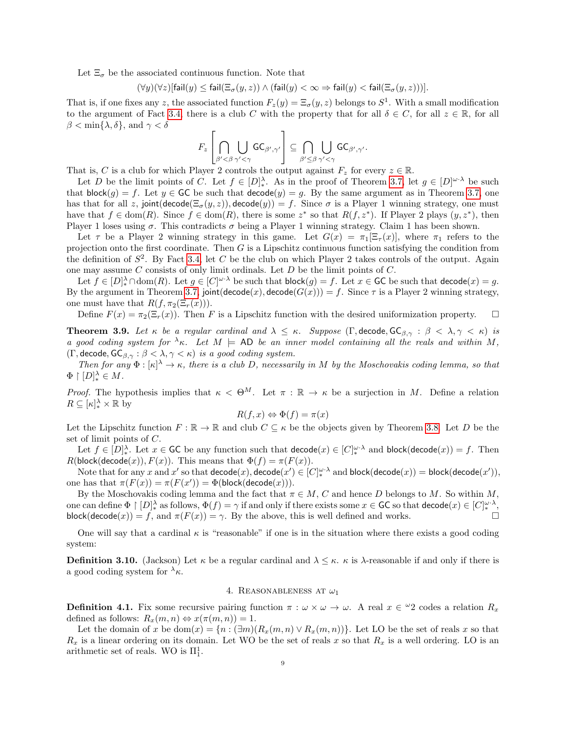Let  $\Xi_{\sigma}$  be the associated continuous function. Note that

$$
(\forall y)(\forall z)[\mathsf{fail}(y) \le \mathsf{fail}(\Xi_{\sigma}(y,z)) \land (\mathsf{fail}(y) < \infty \Rightarrow \mathsf{fail}(y) < \mathsf{fail}(\Xi_{\sigma}(y,z)))].
$$

That is, if one fixes any z, the associated function  $F_z(y) = \Xi_{\sigma}(y, z)$  belongs to  $S^1$ . With a small modification to the argument of Fact [3.4,](#page-5-0) there is a club C with the property that for all  $\delta \in C$ , for all  $z \in \mathbb{R}$ , for all  $\beta < \min\{\lambda, \delta\},\$  and  $\gamma < \delta$ 

$$
F_z\left[\bigcap_{\beta'<\beta}\bigcup_{\gamma'<\gamma}\mathsf{GC}_{\beta',\gamma'}\right]\subseteq\bigcap_{\beta'\leq\beta}\bigcup_{\gamma'<\gamma}\mathsf{GC}_{\beta',\gamma'}.
$$

That is, C is a club for which Player 2 controls the output against  $F_z$  for every  $z \in \mathbb{R}$ .

Let D be the limit points of C. Let  $f \in [D]_*^{\lambda}$ . As in the proof of Theorem [3.7,](#page-6-0) let  $g \in [D]^{\omega \cdot \lambda}$  be such that  $\text{block}(g) = f$ . Let  $y \in \text{GC}$  be such that  $\text{decode}(y) = g$ . By the same argument as in Theorem [3.7,](#page-6-0) one has that for all z, joint( $\text{decode}(\Xi_{\sigma}(y, z))$ ,  $\text{decode}(y)) = f$ . Since  $\sigma$  is a Player 1 winning strategy, one must have that  $f \in \text{dom}(R)$ . Since  $f \in \text{dom}(R)$ , there is some  $z^*$  so that  $R(f, z^*)$ . If Player 2 plays  $(y, z^*)$ , then Player 1 loses using  $\sigma$ . This contradicts  $\sigma$  being a Player 1 winning strategy. Claim 1 has been shown.

Let  $\tau$  be a Player 2 winning strategy in this game. Let  $G(x) = \pi_1[\Xi_\tau(x)]$ , where  $\pi_1$  refers to the projection onto the first coordinate. Then  $G$  is a Lipschitz continuous function satisfying the condition from the definition of  $S^2$ . By Fact [3.4,](#page-5-0) let C be the club on which Player 2 takes controls of the output. Again one may assume  $C$  consists of only limit ordinals. Let  $D$  be the limit points of  $C$ .

Let  $f \in [D]^{\lambda}_{*} \cap \text{dom}(R)$ . Let  $g \in [C]^{\omega \cdot \lambda}$  be such that  $\text{block}(g) = f$ . Let  $x \in \mathsf{GC}$  be such that  $\text{decode}(x) = g$ . By the argument in Theorem [3.7,](#page-6-0) joint( $\text{decode}(x)$ ,  $\text{decode}(G(x)) = f$ . Since  $\tau$  is a Player 2 winning strategy, one must have that  $R(f, \pi_2(\Xi_r(x)))$ .

Define  $F(x) = \pi_2(\Xi_r(x))$ . Then F is a Lipschitz function with the desired uniformization property.  $\Box$ 

<span id="page-8-0"></span>**Theorem 3.9.** Let  $\kappa$  be a regular cardinal and  $\lambda \leq \kappa$ . Suppose (Γ, decode,  $\mathsf{GC}_{\beta,\gamma}$ :  $\beta < \lambda, \gamma < \kappa$ ) is a good coding system for  $\lambda_{\kappa}$ . Let  $M \models$  AD be an inner model containing all the reals and within M, (Γ, decode,  $GC_{\beta,\gamma} : \beta < \lambda, \gamma < \kappa$ ) is a good coding system.

Then for any  $\Phi : [\kappa]^{\lambda} \to \kappa$ , there is a club D, necessarily in M by the Moschovakis coding lemma, so that  $\Phi \restriction [D]_*^{\lambda} \in M$ .

*Proof.* The hypothesis implies that  $\kappa < \Theta^M$ . Let  $\pi : \mathbb{R} \to \kappa$  be a surjection in M. Define a relation  $R \subseteq [\kappa]^{\lambda}_* \times \mathbb{R}$  by

$$
R(f, x) \Leftrightarrow \Phi(f) = \pi(x)
$$

Let the Lipschitz function  $F : \mathbb{R} \to \mathbb{R}$  and club  $C \subseteq \kappa$  be the objects given by Theorem [3.8.](#page-7-0) Let D be the set of limit points of C.

Let  $f \in [D]_*^\lambda$ . Let  $x \in \mathsf{GC}$  be any function such that  $\mathsf{decode}(x) \in [C]_*^{\omega \cdot \lambda}$  and  $\mathsf{block}(\mathsf{decode}(x)) = f$ . Then  $R(\text{block}(\text{decode}(x)), F(x))$ . This means that  $\Phi(f) = \pi(F(x))$ .

Note that for any  $x$  and  $x'$  so that  $\mathsf{decode}(x)$ ,  $\mathsf{decode}(x') \in [C]_{*}^{\omega \cdot \lambda}$  and  $\mathsf{block}(\mathsf{decode}(x)) = \mathsf{block}(\mathsf{decode}(x')),$ one has that  $\pi(F(x)) = \pi(F(x')) = \Phi(\text{block}(\text{decode}(x))).$ 

By the Moschovakis coding lemma and the fact that  $\pi \in M$ , C and hence D belongs to M. So within M, one can define  $\Phi \restriction [D]^{\lambda}_*$  as follows,  $\Phi(f) = \gamma$  if and only if there exists some  $x \in \mathsf{GC}$  so that  $\mathsf{decode}(x) \in [C]^{\omega \cdot \lambda}_*$ , block(decode(x)) = f, and  $\pi(F(x)) = \gamma$ . By the above, this is well defined and works.

One will say that a cardinal  $\kappa$  is "reasonable" if one is in the situation where there exists a good coding system:

**Definition 3.10.** (Jackson) Let  $\kappa$  be a regular cardinal and  $\lambda \leq \kappa$ .  $\kappa$  is  $\lambda$ -reasonable if and only if there is a good coding system for  $\lambda_{\kappa}$ .

# 4. REASONABLENESS AT  $\omega_1$

<span id="page-8-1"></span>**Definition 4.1.** Fix some recursive pairing function  $\pi : \omega \times \omega \to \omega$ . A real  $x \in {}^{\omega}2$  codes a relation  $R_x$ defined as follows:  $R_x(m, n) \Leftrightarrow x(\pi(m, n)) = 1$ .

Let the domain of x be dom $(x) = \{n : (\exists m)(R_x(m, n) \vee R_x(m, n))\}$ . Let LO be the set of reals x so that  $R_x$  is a linear ordering on its domain. Let WO be the set of reals x so that  $R_x$  is a well ordering. LO is an arithmetic set of reals. WO is  $\Pi_1^1$ .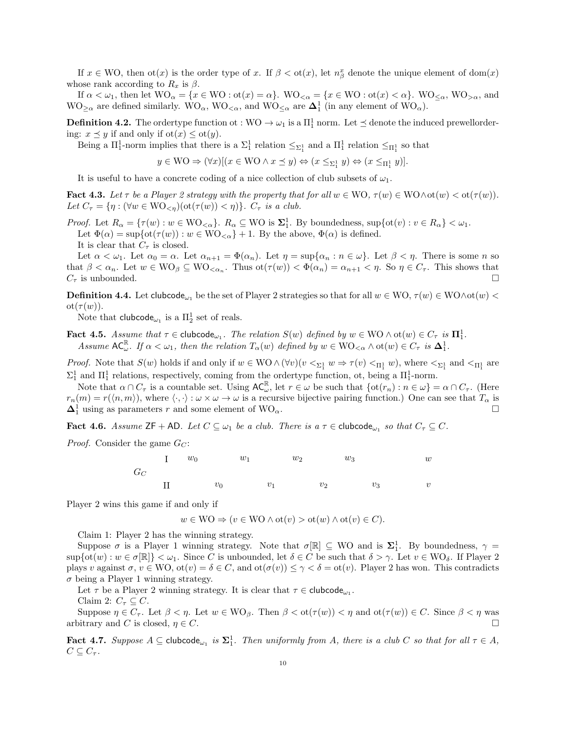If  $x \in WO$ , then  $ot(x)$  is the order type of x. If  $\beta < ot(x)$ , let  $n_{\beta}^{x}$  denote the unique element of  $dom(x)$ whose rank according to  $R_x$  is  $\beta$ .

If  $\alpha < \omega_1$ , then let  $\text{WO}_\alpha = \{x \in \text{WO} : \text{ot}(x) = \alpha\}$ .  $\text{WO}_{\leq \alpha} = \{x \in \text{WO} : \text{ot}(x) < \alpha\}$ .  $\text{WO}_{\leq \alpha}$ ,  $\text{WO}_{\geq \alpha}$ , and  $WO_{\geq \alpha}$  are defined similarly.  $WO_{\alpha}$ ,  $WO_{\leq \alpha}$ , and  $WO_{\leq \alpha}$  are  $\Delta_1^1$  (in any element of  $WO_{\alpha}$ ).

**Definition 4.2.** The ordertype function ot :  $WO \rightarrow \omega_1$  is a  $\Pi_1^1$  norm. Let  $\preceq$  denote the induced prewellordering:  $x \preceq y$  if and only if  $ot(x) \leq ot(y)$ .

Being a  $\Pi_1^1$ -norm implies that there is a  $\Sigma_1^1$  relation  $\leq_{\Sigma_1^1}$  and a  $\Pi_1^1$  relation  $\leq_{\Pi_1^1}$  so that

$$
y \in \mathcal{WO} \Rightarrow (\forall x)[(x \in \mathcal{WO} \land x \preceq y) \Leftrightarrow (x \leq_{\Sigma_1^1} y) \Leftrightarrow (x \leq_{\Pi_1^1} y)].
$$

It is useful to have a concrete coding of a nice collection of club subsets of  $\omega_1$ .

**Fact 4.3.** Let  $\tau$  be a Player 2 strategy with the property that for all  $w \in \text{WO}$ ,  $\tau(w) \in \text{WO} \wedge \text{ot}(w) < \text{ot}(\tau(w))$ . Let  $C_{\tau} = {\eta : (\forall w \in \text{WO}_{\leq \eta})(\text{ot}(\tau(w)) \leq \eta)}$ .  $C_{\tau}$  is a club.

*Proof.* Let  $R_{\alpha} = \{\tau(w): w \in \text{WO}_{\leq \alpha}\}$ .  $R_{\alpha} \subseteq \text{WO}$  is  $\Sigma_1^1$ . By boundedness,  $\sup\{\text{ot}(v): v \in R_{\alpha}\} < \omega_1$ . Let  $\Phi(\alpha) = \sup \{ \text{ot}(\tau(w)) : w \in \text{WO}_{\leq \alpha} \} + 1$ . By the above,  $\Phi(\alpha)$  is defined. It is clear that  $C_{\tau}$  is closed.

Let  $\alpha < \omega_1$ . Let  $\alpha_0 = \alpha$ . Let  $\alpha_{n+1} = \Phi(\alpha_n)$ . Let  $\eta = \sup{\{\alpha_n : n \in \omega\}}$ . Let  $\beta < \eta$ . There is some n so that  $\beta < \alpha_n$ . Let  $w \in WO_\beta \subseteq WO_{\leq \alpha_n}$ . Thus  $\text{ot}(\tau(w)) < \Phi(\alpha_n) = \alpha_{n+1} < \eta$ . So  $\eta \in C_\tau$ . This shows that  $C_{\tau}$  is unbounded.

**Definition 4.4.** Let clubcode<sub> $\omega_1$ </sub> be the set of Player 2 strategies so that for all  $w \in \text{WO}, \tau(w) \in \text{WONot}(w)$  <  $\mathrm{ot}(\tau(w)).$ 

Note that  $\mathsf{clude}_{\omega_1}$  is a  $\Pi^1_2$  set of reals.

<span id="page-9-2"></span>**Fact 4.5.** Assume that  $\tau \in \text{clubcode}_{\omega_1}$ . The relation  $S(w)$  defined by  $w \in \text{WO} \wedge \text{ot}(w) \in C_{\tau}$  is  $\Pi_1^1$ . Assume  $AC_{\omega}^{\mathbb{R}}$ . If  $\alpha < \omega_1$ , then the relation  $T_{\alpha}(w)$  defined by  $w \in \mathrm{WO}_{<\alpha} \wedge \mathrm{ot}(w) \in C_{\tau}$  is  $\Delta_1^1$ .

*Proof.* Note that  $S(w)$  holds if and only if  $w \in WO \wedge (\forall v)(v \leq_{\Sigma_1^1} w \Rightarrow \tau(v) \leq_{\Pi_1^1} w)$ , where  $\leq_{\Sigma_1^1}$  and  $\leq_{\Pi_1^1}$  are  $\Sigma_1^1$  and  $\Pi_1^1$  relations, respectively, coming from the ordertype function, ot, being a  $\Pi_1^1$ -norm.

Note that  $\alpha \cap C_{\tau}$  is a countable set. Using  $AC_{\omega}^{\mathbb{R}}$ , let  $r \in \omega$  be such that  $\{\text{ot}(r_n) : n \in \omega\} = \alpha \cap C_{\tau}$ . (Here  $r_n(m) = r(\langle n,m \rangle)$ , where  $\langle \cdot, \cdot \rangle : \omega \times \omega \to \omega$  is a recursive bijective pairing function.) One can see that  $T_\alpha$  is  $\Delta_1^1$  using as parameters r and some element of  $WO_\alpha$ .

<span id="page-9-0"></span>**Fact 4.6.** Assume  $\mathsf{ZF} + \mathsf{AD}$ . Let  $C \subseteq \omega_1$  be a club. There is  $a \tau \in \mathsf{clubcode}_{\omega_1}$  so that  $C_\tau \subseteq C$ .

*Proof.* Consider the game  $G_C$ :

|       | $1 \quad w_0$ | $w_1$ |  | $w_2$ $w_3$ |                   |                | w |
|-------|---------------|-------|--|-------------|-------------------|----------------|---|
| $G_C$ |               |       |  |             |                   |                |   |
|       | $v_0$         |       |  |             | $v_1$ $v_2$ $v_3$ | $\overline{v}$ |   |

Player 2 wins this game if and only if

 $w \in \text{WO} \Rightarrow (v \in \text{WO} \land \text{ot}(v) > \text{ot}(w) \land \text{ot}(v) \in C).$ 

Claim 1: Player 2 has the winning strategy.

Suppose  $\sigma$  is a Player 1 winning strategy. Note that  $\sigma[\mathbb{R}] \subseteq WO$  and is  $\Sigma_1^1$ . By boundedness,  $\gamma =$  $\sup\{\cot(w): w \in \sigma[\mathbb{R}]\} < \omega_1$ . Since C is unbounded, let  $\delta \in C$  be such that  $\delta > \gamma$ . Let  $v \in WO_\delta$ . If Player 2 plays v against  $\sigma, v \in \text{WO}, \text{ot}(v) = \delta \in C$ , and  $\text{ot}(\sigma(v)) \leq \gamma < \delta = \text{ot}(v)$ . Player 2 has won. This contradicts  $\sigma$  being a Player 1 winning strategy.

Let  $\tau$  be a Player 2 winning strategy. It is clear that  $\tau \in \mathsf{clubcode}_{\omega_1}$ .

Claim 2:  $C_{\tau} \subseteq C$ .

Suppose  $\eta \in C_{\tau}$ . Let  $\beta < \eta$ . Let  $w \in WO_{\beta}$ . Then  $\beta < \text{ot}(\tau(w)) < \eta$  and  $\text{ot}(\tau(w)) \in C$ . Since  $\beta < \eta$  was arbitrary and C is closed,  $\eta \in C$ .

<span id="page-9-1"></span>Fact 4.7. Suppose  $A \subseteq$  clubcode<sub> $\omega_1$ </sub> is  $\Sigma_1^1$ . Then uniformly from A, there is a club C so that for all  $\tau \in A$ ,  $C \subseteq C_{\tau}$ .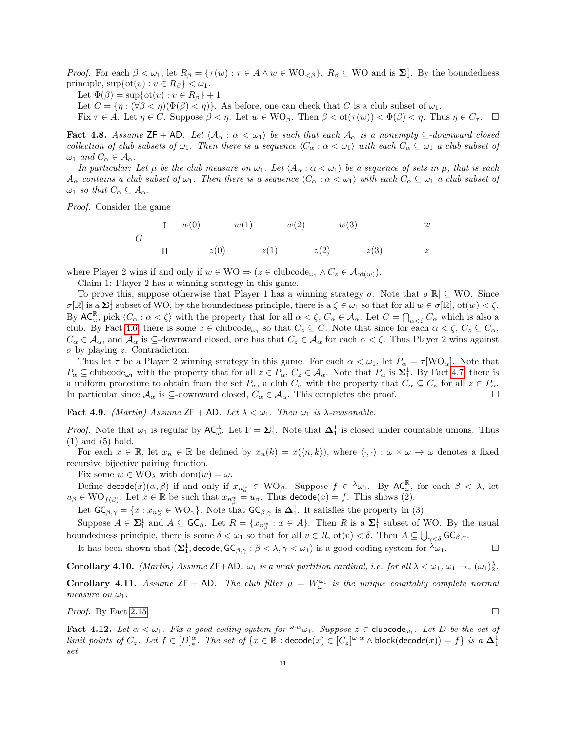*Proof.* For each  $\beta < \omega_1$ , let  $R_{\beta} = {\tau(w) : \tau \in A \land w \in WO_{\leq \beta}}$ .  $R_{\beta} \subseteq WO$  and is  $\Sigma_1^1$ . By the boundedness principle,  $\sup \{ot(v) : v \in R_\beta\} < \omega_1$ .

Let  $\Phi(\beta) = \sup \{ \operatorname{ot}(v) : v \in R_{\beta} \} + 1.$ 

Let  $C = {\eta : (\forall \beta < \eta)(\Phi(\beta) < \eta)}$ . As before, one can check that C is a club subset of  $\omega_1$ .

Fix  $\tau \in A$ . Let  $\eta \in C$ . Suppose  $\beta < \eta$ . Let  $w \in WO_{\beta}$ . Then  $\beta < \text{ot}(\tau(w)) < \Phi(\beta) < \eta$ . Thus  $\eta \in C_{\tau}$ .  $\Box$ 

<span id="page-10-1"></span>**Fact 4.8.** Assume ZF + AD. Let  $\langle A_{\alpha} : \alpha < \omega_1 \rangle$  be such that each  $A_{\alpha}$  is a nonempty  $\subseteq$ -downward closed collection of club subsets of  $\omega_1$ . Then there is a sequence  $\langle C_\alpha : \alpha < \omega_1 \rangle$  with each  $C_\alpha \subseteq \omega_1$  a club subset of  $\omega_1$  and  $C_\alpha \in \mathcal{A}_\alpha$ .

In particular: Let  $\mu$  be the club measure on  $\omega_1$ . Let  $\langle A_\alpha : \alpha < \omega_1 \rangle$  be a sequence of sets in  $\mu$ , that is each  $A_{\alpha}$  contains a club subset of  $\omega_1$ . Then there is a sequence  $\langle C_{\alpha} : \alpha < \omega_1 \rangle$  with each  $C_{\alpha} \subseteq \omega_1$  a club subset of  $\omega_1$  so that  $C_\alpha \subseteq A_\alpha$ .

Proof. Consider the game

G I w(0) w(1) w(2) w(3) w II z(0) z(1) z(2) z(3) z

where Player 2 wins if and only if  $w \in WO \Rightarrow (z \in \text{clubcode}_{\omega_1} \wedge C_z \in \mathcal{A}_{\text{ot}(w)})$ .

Claim 1: Player 2 has a winning strategy in this game.

To prove this, suppose otherwise that Player 1 has a winning strategy  $\sigma$ . Note that  $\sigma[\mathbb{R}] \subseteq WO$ . Since  $\sigma[\mathbb{R}]$  is a  $\Sigma_1^1$  subset of WO, by the boundedness principle, there is a  $\zeta \in \omega_1$  so that for all  $w \in \sigma[\mathbb{R}]$ ,  $\text{ot}(w) < \zeta$ . By  $AC_{\omega}^{\mathbb{R}}$ , pick  $\langle C_{\alpha} : \alpha < \zeta \rangle$  with the property that for all  $\alpha < \zeta$ ,  $C_{\alpha} \in A_{\alpha}$ . Let  $C = \bigcap_{\alpha < \zeta} C_{\alpha}$  which is also a club. By Fact [4.6,](#page-9-0) there is some  $z \in \text{clubcode}_{\omega_1}$  so that  $C_z \subseteq C$ . Note that since for each  $\alpha < \zeta$ ,  $C_z \subseteq C_\alpha$ ,  $C_{\alpha} \in A_{\alpha}$ , and  $A_{\alpha}$  is  $\subseteq$ -downward closed, one has that  $C_z \in A_{\alpha}$  for each  $\alpha < \zeta$ . Thus Player 2 wins against  $\sigma$  by playing z. Contradiction.

Thus let  $\tau$  be a Player 2 winning strategy in this game. For each  $\alpha < \omega_1$ , let  $P_\alpha = \tau[\text{WO}_\alpha]$ . Note that  $P_{\alpha} \subseteq$  clubcode<sub> $\omega_1$ </sub> with the property that for all  $z \in P_{\alpha}$ ,  $C_z \in \mathcal{A}_{\alpha}$ . Note that  $P_{\alpha}$  is  $\Sigma_1^1$ . By Fact [4.7,](#page-9-1) there is a uniform procedure to obtain from the set  $P_{\alpha}$ , a club  $C_{\alpha}$  with the property that  $C_{\alpha} \subseteq C_z$  for all  $z \in P_{\alpha}$ . In particular since  $\mathcal{A}_{\alpha}$  is  $\subseteq$ -downward closed,  $C_{\alpha} \in \mathcal{A}_{\alpha}$ . This completes the proof.

<span id="page-10-0"></span>Fact 4.9. (Martin) Assume ZF + AD. Let  $\lambda < \omega_1$ . Then  $\omega_1$  is  $\lambda$ -reasonable.

*Proof.* Note that  $\omega_1$  is regular by  $AC_{\omega}^{\mathbb{R}}$ . Let  $\Gamma = \Sigma_1^1$ . Note that  $\Delta_1^1$  is closed under countable unions. Thus (1) and (5) hold.

For each  $x \in \mathbb{R}$ , let  $x_n \in \mathbb{R}$  be defined by  $x_n(k) = x(\langle n, k \rangle)$ , where  $\langle \cdot, \cdot \rangle : \omega \times \omega \to \omega$  denotes a fixed recursive bijective pairing function.

Fix some  $w \in \text{WO}_\lambda$  with  $\text{dom}(w) = \omega$ .

Define  $\mathsf{decode}(x)(\alpha, \beta)$  if and only if  $x_{n_{\alpha}^w} \in \mathrm{WO}_{\beta}$ . Suppose  $f \in {^{\lambda}\omega_1}$ . By  $\mathsf{AC}_{\omega}^{\mathbb{R}}$ , for each  $\beta < \lambda$ , let  $u_{\beta} \in \text{WO}_{f(\beta)}$ . Let  $x \in \mathbb{R}$  be such that  $x_{n_{\beta}} = u_{\beta}$ . Thus decode $(x) = f$ . This shows  $(2)$ .

Let  $\mathsf{GC}_{\beta,\gamma} = \{x : x_{n^w_{\beta}} \in \mathrm{WO}_{\gamma}\}\.$  Note that  $\mathsf{GC}_{\beta,\gamma}$  is  $\Delta_1^1$ . It satisfies the property in (3).

Suppose  $A \in \Sigma_1^1$  and  $A \subseteq \mathsf{GC}_{\beta}$ . Let  $R = \{x_{n_\beta^w} : x \in A\}$ . Then R is a  $\Sigma_1^1$  subset of WO. By the usual boundedness principle, there is some  $\delta < \omega_1$  so that for all  $v \in R$ ,  $\text{ot}(v) < \delta$ . Then  $A \subseteq \bigcup_{\gamma < \delta} \text{GC}_{\beta,\gamma}$ .

It has been shown that  $(\Sigma_1^1, \text{decode}, \text{GC}_{\beta, \gamma} : \beta < \lambda, \gamma < \omega_1)$  is a good coding system for  $\lambda_{\omega_1}$ .

**Corollary 4.10.** (Martin) Assume ZF+AD.  $\omega_1$  is a weak partition cardinal, i.e. for all  $\lambda < \omega_1$ ,  $\omega_1 \rightarrow_{\ast} (\omega_1)^{\lambda}_2$ .

**Corollary 4.11.** Assume  $ZF + AD$ . The club filter  $\mu = W_{\omega}^{\omega_1}$  is the unique countably complete normal measure on  $\omega_1$ .

*Proof.* By Fact [2.15.](#page-4-0)

Fact 4.12. Let  $\alpha < \omega_1$ . Fix a good coding system for  $\omega^{\alpha} \omega_1$ . Suppose  $z \in$  clubcode<sub> $\omega_1$ </sub>. Let D be the set of limit points of  $C_z$ . Let  $f \in [D]_*^\alpha$ . The set of  $\{x \in \mathbb{R} : \text{decode}(x) \in [C_z]^{\omega \cdot \alpha} \wedge \text{block}(\text{decode}(x)) = f\}$  is a  $\Delta_1^1$ set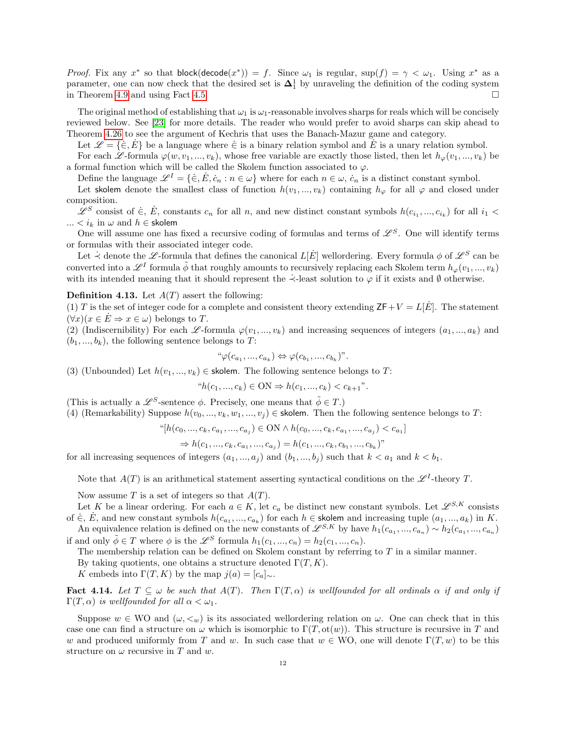*Proof.* Fix any  $x^*$  so that block(decode $(x^*)$ ) = f. Since  $\omega_1$  is regular,  $\sup(f) = \gamma < \omega_1$ . Using  $x^*$  as a parameter, one can now check that the desired set is  $\Delta_1^1$  by unraveling the definition of the coding system in Theorem [4.9](#page-10-0) and using Fact [4.5.](#page-9-2)

The original method of establishing that  $\omega_1$  is  $\omega_1$ -reasonable involves sharps for reals which will be concisely reviewed below. See [\[23\]](#page-41-0) for more details. The reader who would prefer to avoid sharps can skip ahead to Theorem [4.26](#page-15-0) to see the argument of Kechris that uses the Banach-Mazur game and category.

Let  $\mathscr{L} = \{\dot{\in}, \dot{E}\}$  be a language where  $\dot{\in}$  is a binary relation symbol and  $\dot{E}$  is a unary relation symbol.

For each L-formula  $\varphi(w, v_1, ..., v_k)$ , whose free variable are exactly those listed, then let  $h_{\varphi}(v_1, ..., v_k)$  be a formal function which will be called the Skolem function associated to  $\varphi$ .

Define the language  $\mathscr{L}^I = \{\dot{\in}, E, \dot{c}_n : n \in \omega\}$  where for each  $n \in \omega$ ,  $\dot{c}_n$  is a distinct constant symbol.

Let skolem denote the smallest class of function  $h(v_1, ..., v_k)$  containing  $h_{\varphi}$  for all  $\varphi$  and closed under composition.

 $\mathscr{L}^S$  consist of  $\dot{\in}$ ,  $\dot{E}$ , constants  $c_n$  for all n, and new distinct constant symbols  $h(c_{i_1},...,c_{i_k})$  for all  $i_1$  $... < i_k$  in  $\omega$  and  $h \in \mathsf{skolem}$ 

One will assume one has fixed a recursive coding of formulas and terms of  $\mathscr{L}^S$ . One will identify terms or formulas with their associated integer code.

Let  $\dot{\prec}$  denote the  $\mathscr L$ -formula that defines the canonical  $L[\dot E]$  wellordering. Every formula  $\phi$  of  $\mathscr L^S$  can be converted into a  $\mathscr{L}^I$  formula  $\tilde{\phi}$  that roughly amounts to recursively replacing each Skolem term  $h_{\varphi}(v_1, ..., v_k)$ with its intended meaning that it should represent the  $\prec$ -least solution to  $\varphi$  if it exists and  $\emptyset$  otherwise.

# **Definition 4.13.** Let  $A(T)$  assert the following:

(1) T is the set of integer code for a complete and consistent theory extending  $ZF + V = L[\dot{E}]$ . The statement  $(\forall x)(x \in \dot{E} \Rightarrow x \in \omega)$  belongs to T.

(2) (Indiscernibility) For each  $\mathscr{L}$ -formula  $\varphi(v_1, ..., v_k)$  and increasing sequences of integers  $(a_1, ..., a_k)$  and  $(b_1, ..., b_k)$ , the following sentence belongs to T:

$$
\text{``}\varphi(c_{a_1},...,c_{a_k}) \Leftrightarrow \varphi(c_{b_1},...,c_{b_k})\text{''}.
$$

(3) (Unbounded) Let  $h(v_1, ..., v_k) \in \text{skolem}$ . The following sentence belongs to T:

$$
"h(c_1, ..., c_k) \in ON \Rightarrow h(c_1, ..., c_k) < c_{k+1}".
$$

(This is actually a  $\mathscr{L}^S$ -sentence  $\phi$ . Precisely, one means that  $\tilde{\phi} \in T$ .)

(4) (Remarkability) Suppose  $h(v_0, ..., v_k, w_1, ..., v_j) \in \text{skolem}$ . Then the following sentence belongs to T:

$$
``[h(c_0, ..., c_k, c_{a_1}, ..., c_{a_j}) \in \text{ON} \land h(c_0, ..., c_k, c_{a_1}, ..., c_{a_j}) < c_{a_1}]
$$

 $\Rightarrow h(c_1, ..., c_k, c_{a_1}, ..., c_{a_j}) = h(c_1, ..., c_k, c_{b_1}, ..., c_{b_k})^n$ 

for all increasing sequences of integers  $(a_1, ..., a_j)$  and  $(b_1, ..., b_j)$  such that  $k < a_1$  and  $k < b_1$ .

Note that  $A(T)$  is an arithmetical statement asserting syntactical conditions on the  $\mathscr{L}^I$ -theory T.

Now assume T is a set of integers so that  $A(T)$ .

Let K be a linear ordering. For each  $a \in K$ , let  $c_a$  be distinct new constant symbols. Let  $\mathscr{L}^{S,K}$  consists of  $\dot{\in}, \dot{E}$ , and new constant symbols  $h(c_{a_1},...,c_{a_k})$  for each  $h \in \text{skolem}$  and increasing tuple  $(a_1,...,a_k)$  in K.

An equivalence relation is defined on the new constants of  $\mathscr{L}^{S,K}$  by have  $h_1(c_{a_1},...,c_{a_n}) \sim h_2(c_{a_1},...,c_{a_n})$ if and only  $\tilde{\phi} \in T$  where  $\phi$  is the  $\mathscr{L}^S$  formula  $h_1(c_1, ..., c_n) = h_2(c_1, ..., c_n)$ .

The membership relation can be defined on Skolem constant by referring to T in a similar manner.

By taking quotients, one obtains a structure denoted  $\Gamma(T, K)$ .

K embeds into  $\Gamma(T, K)$  by the map  $j(a) = [c_a]_{\sim}$ .

Fact 4.14. Let  $T \subseteq \omega$  be such that  $A(T)$ . Then  $\Gamma(T, \alpha)$  is wellfounded for all ordinals  $\alpha$  if and only if  $\Gamma(T, \alpha)$  is wellfounded for all  $\alpha < \omega_1$ .

Suppose  $w \in WO$  and  $(\omega, \langle w \rangle)$  is its associated wellordering relation on  $\omega$ . One can check that in this case one can find a structure on  $\omega$  which is isomorphic to  $\Gamma(T, \text{ot}(w))$ . This structure is recursive in T and w and produced uniformly from T and w. In such case that  $w \in WO$ , one will denote  $\Gamma(T, w)$  to be this structure on  $\omega$  recursive in T and w.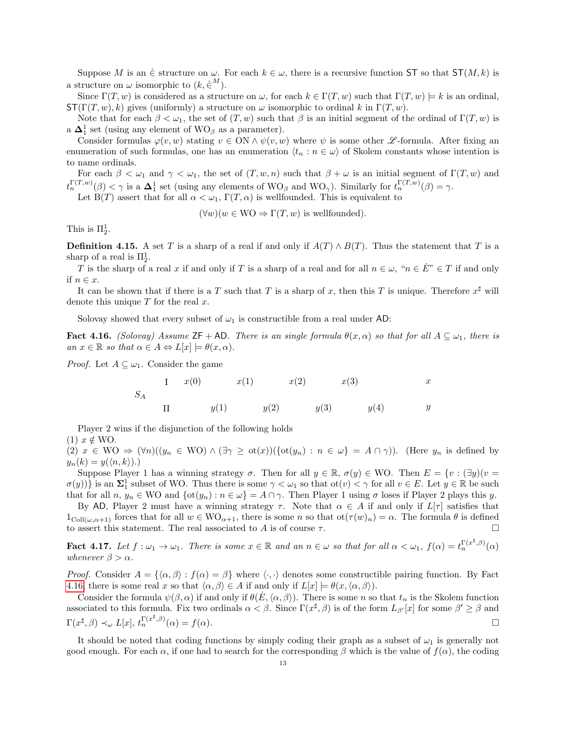Suppose M is an  $\in$  structure on  $\omega$ . For each  $k \in \omega$ , there is a recursive function ST so that  $ST(M, k)$  is a structure on  $\omega$  isomorphic to  $(k, \in^M)$ .

Since  $\Gamma(T, w)$  is considered as a structure on  $\omega$ , for each  $k \in \Gamma(T, w)$  such that  $\Gamma(T, w) \models k$  is an ordinal,  $ST(\Gamma(T, w), k)$  gives (uniformly) a structure on  $\omega$  isomorphic to ordinal k in  $\Gamma(T, w)$ .

Note that for each  $\beta < \omega_1$ , the set of  $(T, w)$  such that  $\beta$  is an initial segment of the ordinal of  $\Gamma(T, w)$  is a  $\mathbf{\Delta}^1_1$  set (using any element of  $\mathrm{WO}_\beta$  as a parameter).

Consider formulas  $\varphi(v, w)$  stating  $v \in ON \wedge \psi(v, w)$  where  $\psi$  is some other L-formula. After fixing an enumeration of such formulas, one has an enumeration  $\langle t_n : n \in \omega \rangle$  of Skolem constants whose intention is to name ordinals.

For each  $\beta < \omega_1$  and  $\gamma < \omega_1$ , the set of  $(T, w, n)$  such that  $\beta + \omega$  is an initial segment of  $\Gamma(T, w)$  and  $t_n^{\Gamma(T,w)}(\beta) < \gamma$  is a  $\Delta_1^1$  set (using any elements of  $WO_\beta$  and  $WO_\gamma$ ). Similarly for  $t_n^{\Gamma(T,w)}(\beta) = \gamma$ .

Let B(T) assert that for all  $\alpha < \omega_1$ ,  $\Gamma(T, \alpha)$  is wellfounded. This is equivalent to

$$
(\forall w)(w \in \text{WO} \Rightarrow \Gamma(T, w)
$$
 is well  
founded).

This is  $\Pi^1_2$ .

**Definition 4.15.** A set T is a sharp of a real if and only if  $A(T) \wedge B(T)$ . Thus the statement that T is a sharp of a real is  $\Pi_2^1$ .

T is the sharp of a real x if and only if T is a sharp of a real and for all  $n \in \omega$ , " $n \in \dot{E}$ "  $\in T$  if and only if  $n \in \mathcal{X}$ .

It can be shown that if there is a T such that T is a sharp of x, then this T is unique. Therefore  $x^{\sharp}$  will denote this unique  $T$  for the real  $x$ .

Solovay showed that every subset of  $\omega_1$  is constructible from a real under AD:

<span id="page-12-0"></span>**Fact 4.16.** (Solovay) Assume ZF + AD. There is an single formula  $\theta(x, \alpha)$  so that for all  $A \subseteq \omega_1$ , there is an  $x \in \mathbb{R}$  so that  $\alpha \in A \Leftrightarrow L[x] \models \theta(x, \alpha)$ .

*Proof.* Let  $A \subseteq \omega_1$ . Consider the game

S<sup>A</sup> I x(0) x(1) x(2) x(3) x II y(1) y(2) y(3) y(4) y

Player 2 wins if the disjunction of the following holds

(1)  $x \notin WO$ .

(2)  $x \in WO \Rightarrow (\forall n)((y_n \in WO) \wedge (\exists \gamma \geq \text{ot}(x))(\{\text{ot}(y_n) : n \in \omega\}) = A \cap \gamma)).$  (Here  $y_n$  is defined by  $y_n(k) = y(\langle n, k \rangle).$ 

Suppose Player 1 has a winning strategy  $\sigma$ . Then for all  $y \in \mathbb{R}$ ,  $\sigma(y) \in \mathbb{W}$ O. Then  $E = \{v : (\exists y)(v = 1\})$  $\sigma(y)$ } is an  $\Sigma_1^1$  subset of WO. Thus there is some  $\gamma < \omega_1$  so that  $\sigma(v) < \gamma$  for all  $v \in E$ . Let  $y \in \mathbb{R}$  be such that for all  $n, y_n \in \mathbb{W}$ O and  $\{\text{ot}(y_n) : n \in \omega\} = A \cap \gamma$ . Then Player 1 using  $\sigma$  loses if Player 2 plays this y.

By AD, Player 2 must have a winning strategy  $\tau$ . Note that  $\alpha \in A$  if and only if  $L[\tau]$  satisfies that  $1_{\text{Coll}(\omega,\alpha+1)}$  forces that for all  $w \in \text{WO}_{\alpha+1}$ , there is some n so that  $\text{ot}(\tau(w)_n) = \alpha$ . The formula  $\theta$  is defined to assert this statement. The real associated to A is of course  $\tau$ .

<span id="page-12-1"></span>**Fact 4.17.** Let  $f: \omega_1 \to \omega_1$ . There is some  $x \in \mathbb{R}$  and an  $n \in \omega$  so that for all  $\alpha < \omega_1$ ,  $f(\alpha) = t_n^{\Gamma(x^{\sharp},\beta)}(\alpha)$ whenever  $\beta > \alpha$ .

*Proof.* Consider  $A = \{\langle \alpha, \beta \rangle : f(\alpha) = \beta\}$  where  $\langle \cdot, \cdot \rangle$  denotes some constructible pairing function. By Fact [4.16,](#page-12-0) there is some real x so that  $\langle \alpha, \beta \rangle \in A$  if and only if  $L[x] \models \theta(x, \langle \alpha, \beta \rangle)$ .

Consider the formula  $\psi(\beta,\alpha)$  if and only if  $\theta(E,\langle \alpha,\beta \rangle)$ . There is some n so that  $t_n$  is the Skolem function associated to this formula. Fix two ordinals  $\alpha < \beta$ . Since  $\Gamma(x^{\sharp}, \beta)$  is of the form  $L_{\beta'}[x]$  for some  $\beta' \geq \beta$  and  $\Gamma(x^{\sharp},\beta) \prec_{\omega} L[x],$   $t_n^{\Gamma(x^{\sharp},\beta)}(\alpha) = f(\alpha).$ 

It should be noted that coding functions by simply coding their graph as a subset of  $\omega_1$  is generally not good enough. For each  $\alpha$ , if one had to search for the corresponding  $\beta$  which is the value of  $f(\alpha)$ , the coding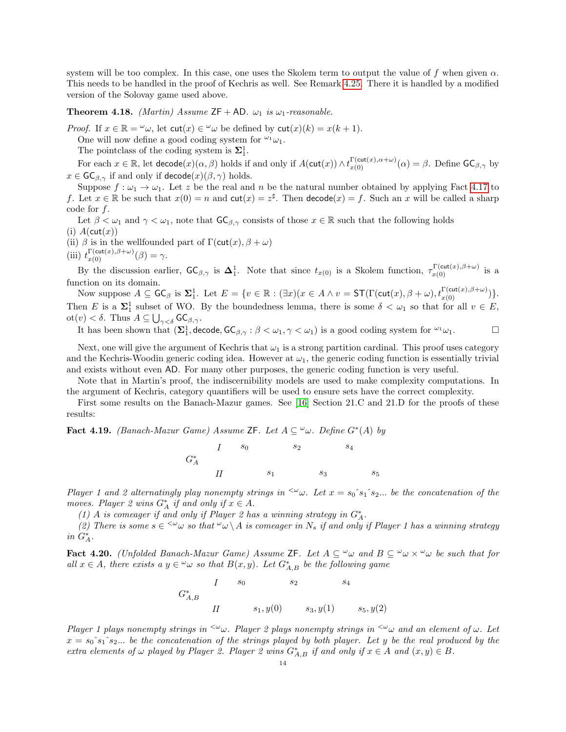system will be too complex. In this case, one uses the Skolem term to output the value of f when given  $\alpha$ . This needs to be handled in the proof of Kechris as well. See Remark [4.25.](#page-15-1) There it is handled by a modified version of the Solovay game used above.

**Theorem 4.18.** *(Martin) Assume*  $ZF + AD$ .  $\omega_1$  *is*  $\omega_1$ -reasonable.

*Proof.* If  $x \in \mathbb{R} = \omega$ , let  $\text{cut}(x) \in \omega$  be defined by  $\text{cut}(x)(k) = x(k+1)$ .

One will now define a good coding system for  $\omega_1$ .

The pointclass of the coding system is  $\Sigma_1^1$ .

The pointclass of the coding system is  $\mathcal{Z}_1$ .<br>For each  $x \in \mathbb{R}$ , let  $\text{decode}(x)(\alpha, \beta)$  holds if and only if  $A(\text{cut}(x)) \wedge t_{x(0)}^{\Gamma(\text{cut}(x), \alpha + \omega)}(\alpha) = \beta$ . Define  $\text{GC}_{\beta, \gamma}$  by  $x \in \mathsf{GC}_{\beta,\gamma}$  if and only if  $\mathsf{decode}(x)(\beta,\gamma)$  holds.

Suppose  $f : \omega_1 \to \omega_1$ . Let z be the real and n be the natural number obtained by applying Fact [4.17](#page-12-1) to f. Let  $x \in \mathbb{R}$  be such that  $x(0) = n$  and  $\text{cut}(x) = z^{\sharp}$ . Then  $\text{decode}(x) = f$ . Such an x will be called a sharp code for  $f$ .

Let  $\beta < \omega_1$  and  $\gamma < \omega_1$ , note that  $\mathsf{GC}_{\beta,\gamma}$  consists of those  $x \in \mathbb{R}$  such that the following holds  $(i)$   $A(cut(x))$ 

(ii)  $\beta$  is in the wellfounded part of  $\Gamma(\text{cut}(x), \beta + \omega)$ 

(iii)  $t_{x(0)}^{\Gamma(\text{cut}(x),\beta+\omega)}(\beta)=\gamma.$ 

By the discussion earlier,  $GC_{\beta,\gamma}$  is  $\Delta_1^1$ . Note that since  $t_{x(0)}$  is a Skolem function,  $\tau_{x(0)}^{\Gamma(\text{cut}(x),\beta+\omega)}$  is a function on its domain.

Now suppose  $A \subseteq \mathsf{GC}_{\beta}$  is  $\Sigma_1^1$ . Let  $E = \{v \in \mathbb{R} : (\exists x)(x \in A \land v = \mathsf{ST}(\Gamma(\mathsf{cut}(x), \beta + \omega), t_{x(0)}^{\Gamma(\mathsf{cut}(x), \beta + \omega)})\}.$ Then E is a  $\Sigma_1^1$  subset of WO. By the boundedness lemma, there is some  $\delta < \omega_1$  so that for all  $v \in E$ ,  $\mathrm{ot}(v) < \delta$ . Thus  $A \subseteq \bigcup_{\gamma < \delta} \mathsf{GC}_{\beta,\gamma}$ .

It has been shown that  $(\Sigma_1^1, \text{decode}, \text{GC}_{\beta, \gamma} : \beta < \omega_1, \gamma < \omega_1)$  is a good coding system for  $\omega_1$ .

Next, one will give the argument of Kechris that  $\omega_1$  is a strong partition cardinal. This proof uses category and the Kechris-Woodin generic coding idea. However at  $\omega_1$ , the generic coding function is essentially trivial and exists without even AD. For many other purposes, the generic coding function is very useful.

Note that in Martin's proof, the indiscernibility models are used to make complexity computations. In the argument of Kechris, category quantifiers will be used to ensure sets have the correct complexity.

First some results on the Banach-Mazur games. See [\[16\]](#page-40-6) Section 21.C and 21.D for the proofs of these results:

<span id="page-13-0"></span>Fact 4.19. (Banach-Mazur Game) Assume ZF. Let  $A \subseteq \omega$ . Define  $G^*(A)$  by

|         | $I \qquad s_0$ |                | $s_2$ |       | $s_4$ |       |
|---------|----------------|----------------|-------|-------|-------|-------|
| $G_A^*$ |                |                |       |       |       |       |
|         | Н              | S <sub>1</sub> |       | $s_3$ |       | $s_5$ |

Player 1 and 2 alternatingly play nonempty strings in  $\zeta^{\omega}\omega$ . Let  $x = s_0$ °s<sub>1</sub>°s<sub>2</sub>... be the concatenation of the moves. Player 2 wins  $G_A^*$  if and only if  $x \in A$ .

(1) A is comeager if and only if Player 2 has a winning strategy in  $G_A^*$ .

(2) There is some  $s \in \langle \omega \rangle$  so that  $\omega \setminus \Lambda$  is comeager in  $N_s$  if and only if Player 1 has a winning strategy in  $G_A^*$ .

<span id="page-13-1"></span>Fact 4.20. (Unfolded Banach-Mazur Game) Assume ZF. Let  $A \subseteq \omega \omega$  and  $B \subseteq \omega \omega \times \omega$  be such that for all  $x \in A$ , there exists a  $y \in \omega$  so that  $B(x, y)$ . Let  $G_{A, B}^*$  be the following game

$$
G_{A,B}^* = \begin{cases} I & s_0 \\ H & s_1, y(0) \end{cases} \qquad s_2 \qquad s_4 \\ S_3, y(1) \qquad s_5, y(2)
$$

Player 1 plays nonempty strings in  $\leq \omega_{\omega}$ . Player 2 plays nonempty strings in  $\leq \omega_{\omega}$  and an element of  $\omega$ . Let  $x = s_0$ <sup>o</sup>s<sub>1</sub><sup>o</sup>s<sub>2</sub>... be the concatenation of the strings played by both player. Let y be the real produced by the extra elements of  $\omega$  played by Player 2. Player 2 wins  $G_{A,B}^*$  if and only if  $x \in A$  and  $(x, y) \in B$ .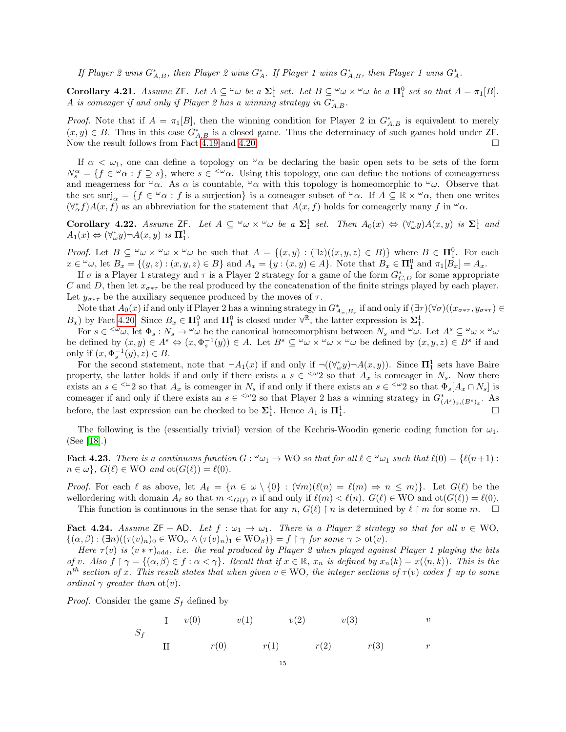If Player 2 wins  $G_{A,B}^*$ , then Player 2 wins  $G_A^*$ . If Player 1 wins  $G_{A,B}^*$ , then Player 1 wins  $G_A^*$ .

**Corollary 4.21.** Assume ZF. Let  $A \subseteq \omega \omega$  be a  $\Sigma_1^1$  set. Let  $B \subseteq \omega \omega \times \omega \omega$  be a  $\Pi_1^0$  set so that  $A = \pi_1[B]$ . A is comeager if and only if Player 2 has a winning strategy in  $G_{A,B}^*$ .

*Proof.* Note that if  $A = \pi_1[B]$ , then the winning condition for Player 2 in  $G_{A,B}^*$  is equivalent to merely  $(x, y) \in B$ . Thus in this case  $G_{A,B}^*$  is a closed game. Thus the determinacy of such games hold under ZF. Now the result follows from Fact [4.19](#page-13-0) and [4.20.](#page-13-1)

If  $\alpha < \omega_1$ , one can define a topology on  $\omega_\alpha$  be declaring the basic open sets to be sets of the form  $N_s^{\alpha} = \{f \in {}^{\omega}\alpha : f \supseteq s\}$ , where  $s \in {}^{\langle\omega}\alpha$ . Using this topology, one can define the notions of comeagerness and meagerness for  $\alpha$ . As  $\alpha$  is countable,  $\alpha$  with this topology is homeomorphic to  $\alpha$ . Observe that the set  $\text{surj}_{\alpha} = \{f \in {}^{\omega}\alpha : f \text{ is a surjection}\}\$ is a comeager subset of  ${}^{\omega}\alpha$ . If  $A \subseteq \mathbb{R} \times {}^{\omega}\alpha$ , then one writes  $(\forall^*_{\alpha} f)A(x,f)$  as an abbreviation for the statement that  $A(x,f)$  holds for comeagerly many f in  $\alpha$ .

<span id="page-14-1"></span>**Corollary 4.22.** Assume **ZF**. Let  $A \subseteq \omega \times \omega$  be a  $\Sigma_1^1$  set. Then  $A_0(x) \Leftrightarrow (\forall_{\omega}^* y)A(x,y)$  is  $\Sigma_1^1$  and  $A_1(x) \Leftrightarrow (\forall_{\omega}^* y) \neg A(x, y)$  is  $\mathbf{\Pi}_1^1$ .

*Proof.* Let  $B \subseteq \omega \cup \omega \times \omega \cup \omega$  be such that  $A = \{(x, y) : (\exists z)((x, y, z) \in B)\}\$  where  $B \in \Pi_1^0$ . For each  $x \in \omega$ , let  $B_x = \{(y, z) : (x, y, z) \in B\}$  and  $A_x = \{y : (x, y) \in A\}$ . Note that  $B_x \in \Pi_1^0$  and  $\pi_1[B_x] = A_x$ .

If  $\sigma$  is a Player 1 strategy and  $\tau$  is a Player 2 strategy for a game of the form  $G^*_{C,D}$  for some appropriate C and D, then let  $x_{\sigma*\tau}$  be the real produced by the concatenation of the finite strings played by each player. Let  $y_{\sigma*\tau}$  be the auxiliary sequence produced by the moves of  $\tau$ .

Note that  $A_0(x)$  if and only if Player 2 has a winning strategy in  $G^*_{A_x,B_x}$  if and only if  $(\exists \tau)(\forall \sigma)((x_{\sigma*\tau}, y_{\sigma*\tau}) \in$  $B_x$ ) by Fact [4.20.](#page-13-1) Since  $B_x \in \Pi_1^0$  and  $\Pi_1^0$  is closed under  $\forall^{\mathbb{R}}$ , the latter expression is  $\Sigma_1^1$ .

For  $s \in \langle \omega_\omega \rangle$ , let  $\Phi_s : N_s \to \omega_\omega$  be the canonical homeomorphism between  $N_s$  and  $\omega_\omega$ . Let  $A^s \subseteq \omega_\omega \times \omega_\omega$ be defined by  $(x, y) \in A^s \Leftrightarrow (x, \Phi_s^{-1}(y)) \in A$ . Let  $B^s \subseteq {}^{\omega} \omega \times {}^{\omega} \omega \times {}^{\omega} \omega$  be defined by  $(x, y, z) \in B^s$  if and only if  $(x, \Phi_s^{-1}(y), z) \in B$ .

For the second statement, note that  $\neg A_1(x)$  if and only if  $\neg((\forall^*_{\omega} y)\neg A(x,y))$ . Since  $\Pi_1^1$  sets have Baire property, the latter holds if and only if there exists a  $s \in \langle \omega_2 \rangle$  so that  $A_x$  is comeager in  $N_s$ . Now there exists an  $s \in \langle \omega_2 \rangle$  so that  $A_x$  is comeager in  $N_s$  if and only if there exists an  $s \in \langle \omega_2 \rangle$  so that  $\Phi_s[A_x \cap N_s]$  is comeager if and only if there exists an  $s \in \langle \omega_2 \rangle$  so that Player 2 has a winning strategy in  $G^*_{(A^s)_x,(B^s)_x}$ . As before, the last expression can be checked to be  $\Sigma^1_1$ . Hence  $A_1$  is  $\Pi^1_1$ .

The following is the (essentially trivial) version of the Kechris-Woodin generic coding function for  $\omega_1$ . (See [\[18\]](#page-40-7).)

<span id="page-14-0"></span>**Fact 4.23.** There is a continuous function  $G: \omega_1 \to WO$  so that for all  $\ell \in \omega_1$  such that  $\ell(0) = \{\ell(n+1):$  $n \in \omega$ ,  $G(\ell) \in \text{WO}$  and  $ot(G(\ell)) = \ell(0)$ .

*Proof.* For each  $\ell$  as above, let  $A_{\ell} = \{n \in \omega \setminus \{0\} : (\forall m)(\ell(n) = \ell(m) \Rightarrow n \le m)\}.$  Let  $G(\ell)$  be the wellordering with domain  $A_\ell$  so that  $m <_{G(\ell)} n$  if and only if  $\ell(m) < \ell(n)$ .  $G(\ell) \in WO$  and  $ot(G(\ell)) = \ell(0)$ . This function is continuous in the sense that for any n,  $G(\ell) \restriction n$  is determined by  $\ell \restriction m$  for some m.  $\Box$ 

<span id="page-14-2"></span>**Fact 4.24.** Assume  $ZF + AD$ . Let  $f : \omega_1 \to \omega_1$ . There is a Player 2 strategy so that for all  $v \in WO$ ,  $\{(\alpha,\beta):(\exists n)((\tau(v)_n)_0\in\mathrm{WO}_{\alpha}\wedge(\tau(v)_n)_1\in\mathrm{WO}_{\beta}\} = f\upharpoonright \gamma \text{ for some } \gamma > \mathrm{ot}(v).$ 

Here  $\tau(v)$  is  $(v * \tau)_{odd}$ , i.e. the real produced by Player 2 when played against Player 1 playing the bits of v. Also  $f \restriction \gamma = \{(\alpha, \beta) \in f : \alpha < \gamma\}$ . Recall that if  $x \in \mathbb{R}$ ,  $x_n$  is defined by  $x_n(k) = x(\langle n, k \rangle)$ . This is the  $n^{th}$  section of x. This result states that when given  $v \in \text{WO}$ , the integer sections of  $\tau(v)$  codes f up to some ordinal  $\gamma$  greater than ot(v).

*Proof.* Consider the game  $S_f$  defined by

Sf I v(0) v(1) v(2) v(3) v II r(0) r(1) r(2) r(3) r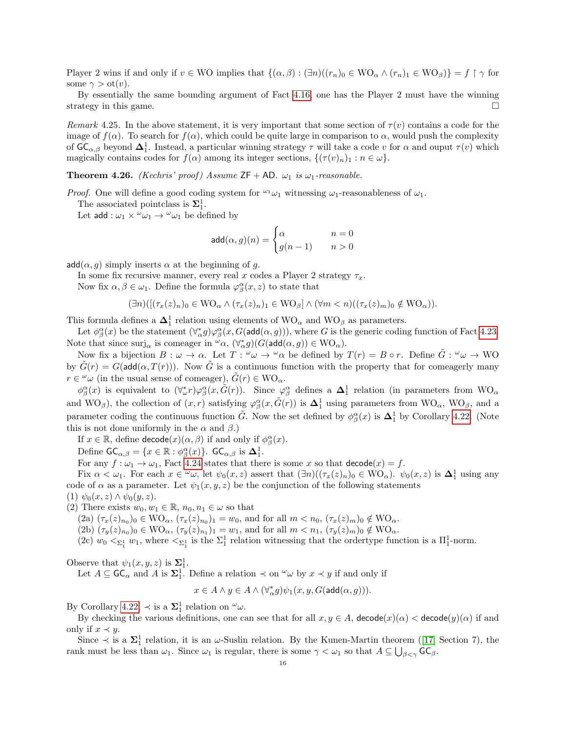Player 2 wins if and only if  $v \in WO$  implies that  $\{(\alpha,\beta): (\exists n)((r_n)_0 \in WO_\alpha \wedge (r_n)_1 \in WO_\beta)\} = f \upharpoonright \gamma$  for some  $\gamma > \text{ot}(v)$ .

By essentially the same bounding argument of Fact [4.16,](#page-12-0) one has the Player 2 must have the winning strategy in this game.

<span id="page-15-1"></span>Remark 4.25. In the above statement, it is very important that some section of  $\tau(v)$  contains a code for the image of  $f(\alpha)$ . To search for  $f(\alpha)$ , which could be quite large in comparison to  $\alpha$ , would push the complexity of  $\mathsf{GC}_{\alpha,\beta}$  beyond  $\mathbf{\Delta}^1_1$ . Instead, a particular winning strategy  $\tau$  will take a code v for  $\alpha$  and ouput  $\tau(v)$  which magically contains codes for  $f(\alpha)$  among its integer sections,  $\{(\tau(v_n))_1 : n \in \omega\}$ .

<span id="page-15-0"></span>**Theorem 4.26.** (Kechris' proof) Assume  $ZF + AD$ .  $\omega_1$  is  $\omega_1$ -reasonable.

*Proof.* One will define a good coding system for  $\omega_1$  witnessing  $\omega_1$ -reasonableness of  $\omega_1$ .

The associated pointclass is  $\Sigma_1^1$ .

Let add :  $\omega_1 \times \omega_1 \rightarrow \omega_1$  be defined by

$$
\operatorname{add}(\alpha,g)(n)=\begin{cases}\alpha & n=0\\ g(n-1) & n>0\end{cases}
$$

 $\text{add}(\alpha, g)$  simply inserts  $\alpha$  at the beginning of g.

In some fix recursive manner, every real x codes a Player 2 strategy  $\tau_x$ .

Now fix  $\alpha, \beta \in \omega_1$ . Define the formula  $\varphi^{\alpha}_{\beta}(x, z)$  to state that

$$
(\exists n)([(\tau_x(z)_n)_0 \in \mathrm{WO}_{\alpha} \wedge (\tau_x(z)_n)_1 \in \mathrm{WO}_{\beta}] \wedge (\forall m < n)((\tau_x(z)_m)_0 \notin \mathrm{WO}_{\alpha})).
$$

This formula defines a  $\Delta_1^1$  relation using elements of  $WO_\alpha$  and  $WO_\beta$  as parameters.

Let  $\phi_{\beta}^{\alpha}(x)$  be the statement  $(\forall_{\alpha}^{*} g)\varphi_{\beta}^{\alpha}(x, G(\text{add}(\alpha, g))),$  where G is the generic coding function of Fact [4.23.](#page-14-0) Note that since surj<sub>α</sub> is comeager in  $\omega_{\alpha}$ ,  $(\forall_{\alpha}^* g)(G(\text{add}(\alpha, g)) \in \text{WO}_{\alpha})$ .

Now fix a bijection  $B: \omega \to \alpha$ . Let  $T: {}^{\omega}\omega \to {}^{\omega}\alpha$  be defined by  $T(r) = B \circ r$ . Define  $\tilde{G}: {}^{\omega}\omega \to WO$ by  $\tilde{G}(r) = G(\text{add}(\alpha, T(r)))$ . Now  $\tilde{G}$  is a continuous function with the property that for comeagerly many  $r \in \omega$  (in the usual sense of comeager),  $\tilde{G}(r) \in \text{WO}_{\alpha}$ .

 $\phi_{\beta}^{\alpha}(x)$  is equivalent to  $(\forall_{\alpha}^{*} r)\varphi_{\beta}^{\alpha}(x,\tilde{G}(r))$ . Since  $\varphi_{\beta}^{\alpha}$  defines a  $\Delta_{1}^{1}$  relation (in parameters from WO<sub> $\alpha$ </sub> and WO<sub>β</sub>), the collection of  $(x, r)$  satisfying  $\varphi^{\alpha}_{\beta}(x, \tilde{G}(r))$  is  $\Delta_1^1$  using parameters from WO<sub>α</sub>, WO<sub>β</sub>, and a parameter coding the continuous function  $\tilde{G}$ . Now the set defined by  $\phi^{\alpha}_{\beta}(x)$  is  $\Delta_1^1$  by Corollary [4.22.](#page-14-1) (Note this is not done uniformly in the  $\alpha$  and  $\beta$ .)

If  $x \in \mathbb{R}$ , define  $\text{decode}(x)(\alpha, \beta)$  if and only if  $\phi^{\alpha}_{\beta}(x)$ .

Define  $\mathsf{GC}_{\alpha,\beta} = \{x \in \mathbb{R} : \phi^{\alpha}_{\beta}(x)\}\text{. } \mathsf{GC}_{\alpha,\beta} \text{ is } \mathbf{\Delta}^1_1\text{.}$ 

For any  $f: \omega_1 \to \omega_1$ , Fact [4.24](#page-14-2) states that there is some x so that  $\text{decode}(x) = f$ .

Fix  $\alpha < \omega_1$ . For each  $x \in \omega$ , let  $\psi_0(x, z)$  assert that  $(\exists n)((\tau_x(z)_n)_0 \in \mathbb{W}\mathbb{O}_{\alpha})$ .  $\psi_0(x, z)$  is  $\Delta_1^1$  using any code of  $\alpha$  as a parameter. Let  $\psi_1(x, y, z)$  be the conjunction of the following statements

(1)  $\psi_0(x, z) \wedge \psi_0(y, z)$ .

(2) There exists  $w_0, w_1 \in \mathbb{R}$ ,  $n_0, n_1 \in \omega$  so that

(2a)  $(\tau_x(z)_{n_0})_0 \in \text{WO}_{\alpha}, \, (\tau_x(z)_{n_0})_1 = w_0$ , and for all  $m < n_0, \, (\tau_x(z)_m)_0 \notin \text{WO}_{\alpha}$ .

(2b)  $(\tau_y(z)_{n_0})_0 \in \text{WO}_\alpha$ ,  $(\tau_y(z)_{n_1})_1 = w_1$ , and for all  $m < n_1$ ,  $(\tau_y(z)_m)_0 \notin \text{WO}_\alpha$ .

(2c)  $w_0 <_{\Sigma_1^1} w_1$ , where  $\le_{\Sigma_1^1}$  is the  $\Sigma_1^1$  relation witnessing that the ordertype function is a  $\Pi_1^1$ -norm.

Observe that  $\psi_1(x, y, z)$  is  $\Sigma_1^1$ .

Let  $A \subseteq \mathsf{GC}_{\alpha}$  and A is  $\Sigma_1^1$ . Define a relation  $\prec$  on  $\omega \omega$  by  $x \prec y$  if and only if

 $x \in A \land y \in A \land (\forall_{\alpha}^* g)\psi_1(x,y,G(\textsf{add}(\alpha,g))).$ 

By Corollary [4.22,](#page-14-1)  $\prec$  is a  $\Sigma_1^1$  relation on  $\omega$ .

By checking the various definitions, one can see that for all  $x, y \in A$ ,  $\text{decode}(x)(\alpha) < \text{decode}(y)(\alpha)$  if and only if  $x \prec y$ .

Since $\prec$  is a  $\Sigma_1^1$  relation, it is an  $\omega$ -Suslin relation. By the Kunen-Martin theorem ([\[17\]](#page-40-8) Section 7), the rank must be less than  $\omega_1$ . Since  $\omega_1$  is regular, there is some  $\gamma < \omega_1$  so that  $A \subseteq \bigcup_{\beta < \gamma} \mathsf{GC}_\beta$ .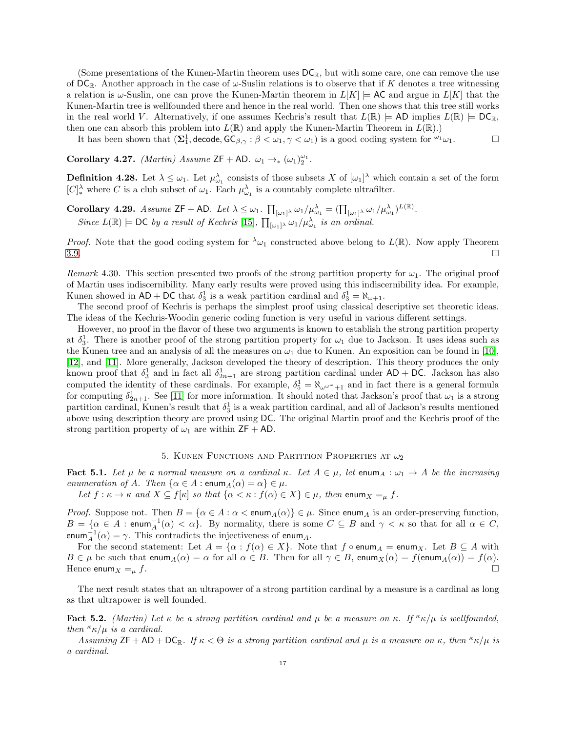(Some presentations of the Kunen-Martin theorem uses  $DC_{\mathbb{R}}$ , but with some care, one can remove the use of  $DC_{\mathbb{R}}$ . Another approach in the case of  $\omega$ -Suslin relations is to observe that if K denotes a tree witnessing a relation is  $\omega$ -Suslin, one can prove the Kunen-Martin theorem in  $L[K] \models AC$  and argue in  $L[K]$  that the Kunen-Martin tree is wellfounded there and hence in the real world. Then one shows that this tree still works in the real world V. Alternatively, if one assumes Kechris's result that  $L(\mathbb{R}) \models AD$  implies  $L(\mathbb{R}) \models DC_{\mathbb{R}}$ , then one can absorb this problem into  $L(\mathbb{R})$  and apply the Kunen-Martin Theorem in  $L(\mathbb{R})$ .

It has been shown that  $(\Sigma_1^1, \text{decode}, \text{GC}_{\beta, \gamma} : \beta < \omega_1, \gamma < \omega_1)$  is a good coding system for  $\omega_1 \omega_1$ .

Corollary 4.27. (Martin) Assume ZF + AD.  $\omega_1 \rightarrow_{\ast} (\omega_1)_2^{\omega_1}$ .

**Definition 4.28.** Let  $\lambda \leq \omega_1$ . Let  $\mu_{\omega_1}^{\lambda}$  consists of those subsets X of  $[\omega_1]^{\lambda}$  which contain a set of the form  $[C]_*^{\lambda}$  where C is a club subset of  $\omega_1$ . Each  $\mu_{\omega_1}^{\lambda}$  is a countably complete ultrafilter.

Corollary 4.29. Assume  $\mathsf{ZF} + \mathsf{AD}$ . Let  $\lambda \leq \omega_1$ .  $\prod_{[\omega_1]^\lambda} \omega_1 / \mu_{\omega_1}^\lambda = (\prod_{[\omega_1]^\lambda} \omega_1 / \mu_{\omega_1}^\lambda)^{L(\mathbb{R})}$ . Since  $L(\mathbb{R}) \models \mathsf{DC}$  by a result of Kechris [\[15\]](#page-40-9),  $\prod_{[\omega_1]^\lambda} \omega_1/\mu_{\omega_1}^\lambda$  is an ordinal.

*Proof.* Note that the good coding system for  $^{\lambda}\omega_1$  constructed above belong to  $L(\mathbb{R})$ . Now apply Theorem  $3.9.$ 

Remark 4.30. This section presented two proofs of the strong partition property for  $\omega_1$ . The original proof of Martin uses indiscernibility. Many early results were proved using this indiscernibility idea. For example, Kunen showed in  $AD + DC$  that  $\delta_3^1$  is a weak partition cardinal and  $\delta_3^1 = \aleph_{\omega+1}$ .

The second proof of Kechris is perhaps the simplest proof using classical descriptive set theoretic ideas. The ideas of the Kechris-Woodin generic coding function is very useful in various different settings.

However, no proof in the flavor of these two arguments is known to establish the strong partition property at  $\delta_3^1$ . There is another proof of the strong partition property for  $\omega_1$  due to Jackson. It uses ideas such as the Kunen tree and an analysis of all the measures on  $\omega_1$  due to Kunen. An exposition can be found in [\[10\]](#page-40-10), [\[12\]](#page-40-5), and [\[11\]](#page-40-11). More generally, Jackson developed the theory of description. This theory produces the only known proof that  $\delta_3^1$  and in fact all  $\delta_{2n+1}^1$  are strong partition cardinal under AD + DC. Jackson has also computed the identity of these cardinals. For example,  $\delta_5^1 = \aleph_{\omega^{\omega^{\omega}}+1}$  and in fact there is a general formula for computing  $\delta_{2n+1}^1$ . See [\[11\]](#page-40-11) for more information. It should noted that Jackson's proof that  $\omega_1$  is a strong partition cardinal, Kunen's result that  $\delta_3^1$  is a weak partition cardinal, and all of Jackson's results mentioned above using description theory are proved using DC. The original Martin proof and the Kechris proof of the strong partition property of  $\omega_1$  are within  $ZF + AD$ .

# 5. KUNEN FUNCTIONS AND PARTITION PROPERTIES AT  $\omega_2$

<span id="page-16-1"></span>Fact 5.1. Let  $\mu$  be a normal measure on a cardinal κ. Let  $A \in \mu$ , let enum $\Lambda : \omega_1 \to A$  be the increasing enumeration of A. Then  $\{\alpha \in A : \text{enum}_A(\alpha) = \alpha\} \in \mu$ .

Let  $f : \kappa \to \kappa$  and  $X \subseteq f[\kappa]$  so that  $\{\alpha < \kappa : f(\alpha) \in X\} \in \mu$ , then enum  $X =_{\mu} f$ .

*Proof.* Suppose not. Then  $B = \{ \alpha \in A : \alpha < \text{enum}_A(\alpha) \} \in \mu$ . Since enum<sub>A</sub> is an order-preserving function,  $B = \{ \alpha \in A : \text{enum}_A^{-1}(\alpha) < \alpha \}.$  By normality, there is some  $C \subseteq B$  and  $\gamma < \kappa$  so that for all  $\alpha \in C$ , enum<sup>-1</sup><sub>A</sub> $(\alpha) = \gamma$ . This contradicts the injectiveness of enum<sub>A</sub>.

For the second statement: Let  $A = \{ \alpha : f(\alpha) \in X \}$ . Note that  $f \circ \text{enum}_A = \text{enum}_X$ . Let  $B \subseteq A$  with  $B \in \mu$  be such that enum $_A(\alpha) = \alpha$  for all  $\alpha \in B$ . Then for all  $\gamma \in B$ , enum $_X(\alpha) = f$ (enum $_A(\alpha) = f(\alpha)$ . Hence enum  $X = \mu f$ .

The next result states that an ultrapower of a strong partition cardinal by a measure is a cardinal as long as that ultrapower is well founded.

<span id="page-16-0"></span>Fact 5.2. (Martin) Let  $\kappa$  be a strong partition cardinal and  $\mu$  be a measure on  $\kappa$ . If  $\kappa \kappa / \mu$  is wellfounded, then  $\kappa \kappa / \mu$  is a cardinal.

Assuming  $\mathsf{ZF} + \mathsf{AD} + \mathsf{DC}_{\mathbb{R}}$ . If  $\kappa < \Theta$  is a strong partition cardinal and  $\mu$  is a measure on  $\kappa$ , then  $\kappa \kappa / \mu$  is a cardinal.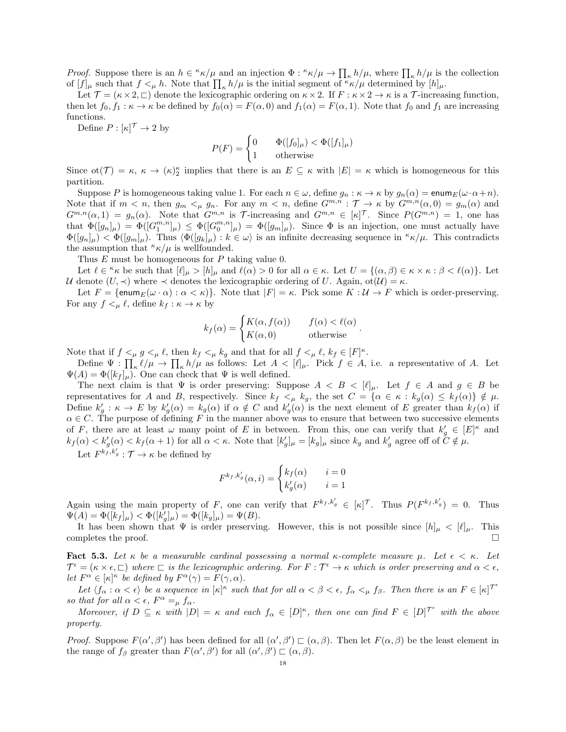*Proof.* Suppose there is an  $h \in \kappa \kappa / \mu$  and an injection  $\Phi : \kappa / \mu \to \prod_{\kappa} h / \mu$ , where  $\prod_{\kappa} h / \mu$  is the collection of  $[f]_\mu$  such that  $f \leq_\mu h$ . Note that  $\prod_{\kappa} h/\mu$  is the initial segment of  $\kappa \kappa / \mu$  determined by  $[h]_\mu$ .

Let  $\mathcal{T} = (\kappa \times 2, \square)$  denote the lexicographic ordering on  $\kappa \times 2$ . If  $F : \kappa \times 2 \to \kappa$  is a  $\mathcal{T}$ -increasing function, then let  $f_0, f_1 : \kappa \to \kappa$  be defined by  $f_0(\alpha) = F(\alpha, 0)$  and  $f_1(\alpha) = F(\alpha, 1)$ . Note that  $f_0$  and  $f_1$  are increasing functions.

Define  $P: [\kappa]^{\mathcal{T}} \to 2$  by

$$
P(F) = \begin{cases} 0 & \Phi([f_0]_\mu) < \Phi([f_1]_\mu) \\ 1 & \text{otherwise} \end{cases}
$$

Since  $\text{ot}(\mathcal{T}) = \kappa, \ \kappa \to (\kappa)_2^{\kappa}$  implies that there is an  $E \subseteq \kappa$  with  $|E| = \kappa$  which is homogeneous for this partition.

Suppose P is homogeneous taking value 1. For each  $n \in \omega$ , define  $g_n : \kappa \to \kappa$  by  $g_n(\alpha) = \text{enum}_E(\omega \cdot \alpha + n)$ . Note that if  $m < n$ , then  $g_m <_{\mu} g_n$ . For any  $m < n$ , define  $G^{m,n}$  :  $\mathcal{T} \to \kappa$  by  $G^{m,n}(\alpha,0) = g_m(\alpha)$  and  $G^{m,n}(\alpha,1) = g_n(\alpha)$ . Note that  $G^{m,n}$  is T-increasing and  $G^{m,n} \in [\kappa]^T$ . Since  $P(G^{m,n}) = 1$ , one has that  $\Phi([g_n]_\mu) = \Phi([G_1^{m,n}]_\mu) \leq \Phi([G_0^{m,n}]_\mu) = \Phi([g_m]_\mu)$ . Since  $\Phi$  is an injection, one must actually have  $\Phi([g_n]_\mu) < \Phi([g_m]_\mu)$ . Thus  $\langle \Phi([g_k]_\mu) : k \in \omega \rangle$  is an infinite decreasing sequence in  $\kappa/\mu$ . This contradicts the assumption that  $\kappa / \mu$  is wellfounded.

Thus  $E$  must be homogeneous for  $P$  taking value 0.

Let  $\ell \in \kappa \kappa$  be such that  $[\ell]_{\mu} > [h]_{\mu}$  and  $\ell(\alpha) > 0$  for all  $\alpha \in \kappa$ . Let  $U = \{(\alpha, \beta) \in \kappa \times \kappa : \beta < \ell(\alpha)\}\)$ . Let U denote  $(U, \prec)$  where  $\prec$  denotes the lexicographic ordering of U. Again, ot $(U) = \kappa$ .

Let  $F = \{\text{enum}_E(\omega \cdot \alpha) : \alpha < \kappa\}$ . Note that  $|F| = \kappa$ . Pick some  $K : \mathcal{U} \to F$  which is order-preserving. For any  $f \leq_{\mu} \ell$ , define  $k_f : \kappa \to \kappa$  by

$$
k_f(\alpha) = \begin{cases} K(\alpha, f(\alpha)) & f(\alpha) < \ell(\alpha) \\ K(\alpha, 0) & \text{otherwise} \end{cases}.
$$

Note that if  $f \leq_{\mu} g \leq_{\mu} \ell$ , then  $k_f \leq_{\mu} k_g$  and that for all  $f \leq_{\mu} \ell$ ,  $k_f \in [F]^{\kappa}$ .

Define  $\Psi : \prod_{\kappa} \ell/\mu \to \prod_{\kappa} h/\mu$  as follows: Let  $A < [\ell]_{\mu}$ . Pick  $f \in A$ , i.e. a representative of A. Let  $\Psi(A) = \Phi([k_f]_\mu)$ . One can check that  $\Psi$  is well defined.

The next claim is that  $\Psi$  is order preserving: Suppose  $A \leq B \leq [\ell]_{\mu}$ . Let  $f \in A$  and  $g \in B$  be representatives for A and B, respectively. Since  $k_f \leq_\mu k_g$ , the set  $C = \{ \alpha \in \kappa : k_g(\alpha) \leq k_f(\alpha) \} \notin \mu$ . Define  $k'_{g}: \kappa \to E$  by  $k'_{g}(\alpha) = k_{g}(\alpha)$  if  $\alpha \notin C$  and  $k'_{g}(\alpha)$  is the next element of E greater than  $k_{f}(\alpha)$  if  $\alpha \in C$ . The purpose of defining F in the manner above was to ensure that between two successive elements of F, there are at least  $\omega$  many point of E in between. From this, one can verify that  $k'_{g} \in [E]^{\kappa}$  and  $k_f(\alpha) < k_g'(\alpha) < k_f(\alpha+1)$  for all  $\alpha < \kappa$ . Note that  $[k'_g]_\mu = [k_g]_\mu$  since  $k_g$  and  $k'_g$  agree off of  $C \notin \mu$ .

Let  $F^{k_f, k'_g} : \mathcal{T} \to \kappa$  be defined by

$$
F^{k_f, k'_g}(\alpha, i) = \begin{cases} k_f(\alpha) & i = 0\\ k'_g(\alpha) & i = 1 \end{cases}
$$

Again using the main property of F, one can verify that  $F^{k_f, k'_g} \in [\kappa]^{\mathcal{T}}$ . Thus  $P(F^{k_f, k'_g}) = 0$ . Thus  $\Psi(A) = \Phi([k_f]_\mu) < \Phi([k'_g]_\mu) = \Phi([k_g]_\mu) = \Psi(B).$ 

It has been shown that  $\Psi$  is order preserving. However, this is not possible since  $[h]_\mu \langle [\ell]_\mu$ . This completes the proof.

<span id="page-17-0"></span>Fact 5.3. Let  $\kappa$  be a measurable cardinal possessing a normal  $\kappa$ -complete measure  $\mu$ . Let  $\epsilon < \kappa$ . Let  $\mathcal{T}^{\epsilon} = (\kappa \times \epsilon, \Box)$  where  $\Box$  is the lexicographic ordering. For  $F : \mathcal{T}^{\epsilon} \to \kappa$  which is order preserving and  $\alpha < \epsilon$ , let  $F^{\alpha} \in [\kappa]^{\kappa}$  be defined by  $F^{\alpha}(\gamma) = F(\gamma, \alpha)$ .

Let  $\langle f_\alpha : \alpha < \epsilon \rangle$  be a sequence in  $[\kappa]^{\kappa}$  such that for all  $\alpha < \beta < \epsilon$ ,  $f_\alpha <_{\mu} f_\beta$ . Then there is an  $F \in [\kappa]^{\mathcal{T}^{\epsilon}}$ so that for all  $\alpha < \epsilon$ ,  $F^{\alpha} =_{\mu} f_{\alpha}$ .

Moreover, if  $D \subseteq \kappa$  with  $|D| = \kappa$  and each  $f_\alpha \in [D]^\kappa$ , then one can find  $F \in [D]^{T^{\epsilon}}$  with the above property.

Proof. Suppose  $F(\alpha', \beta')$  has been defined for all  $(\alpha', \beta') \sqsubset (\alpha, \beta)$ . Then let  $F(\alpha, \beta)$  be the least element in the range of  $f_\beta$  greater than  $F(\alpha', \beta')$  for all  $(\alpha', \beta') \sqsubset (\alpha, \beta)$ .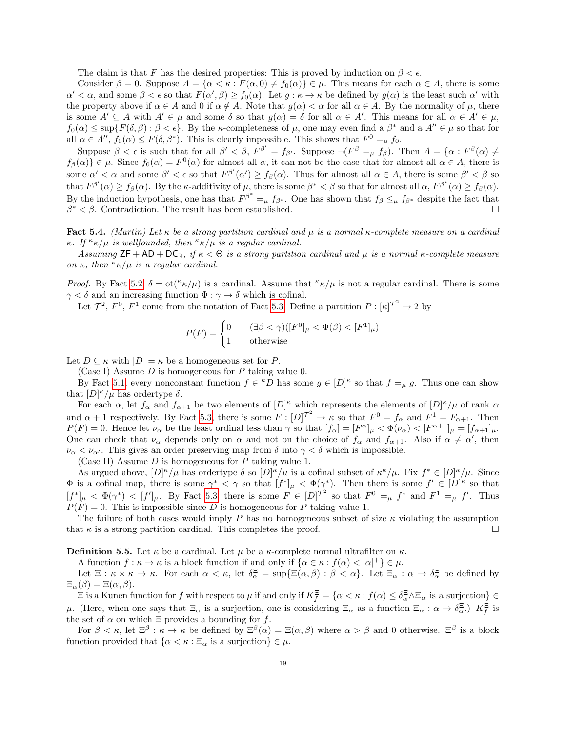The claim is that F has the desired properties: This is proved by induction on  $\beta < \epsilon$ .

Consider  $\beta = 0$ . Suppose  $A = {\alpha \lt \kappa : F(\alpha, 0) \neq f_0(\alpha)} \in \mu$ . This means for each  $\alpha \in A$ , there is some  $\alpha' < \alpha$ , and some  $\beta < \epsilon$  so that  $F(\alpha', \beta) \ge f_0(\alpha)$ . Let  $g : \kappa \to \kappa$  be defined by  $g(\alpha)$  is the least such  $\alpha'$  with the property above if  $\alpha \in A$  and 0 if  $\alpha \notin A$ . Note that  $g(\alpha) < \alpha$  for all  $\alpha \in A$ . By the normality of  $\mu$ , there is some  $A' \subseteq A$  with  $A' \in \mu$  and some  $\delta$  so that  $g(\alpha) = \delta$  for all  $\alpha \in A'$ . This means for all  $\alpha \in A' \in \mu$ ,  $f_0(\alpha) \leq \sup\{F(\delta,\beta): \beta < \epsilon\}.$  By the  $\kappa$ -completeness of  $\mu$ , one may even find a  $\beta^*$  and a  $A'' \in \mu$  so that for all  $\alpha \in A''$ ,  $f_0(\alpha) \leq F(\delta, \beta^*)$ . This is clearly impossible. This shows that  $F^0 =_{\mu} f_0$ .

Suppose  $\beta < \epsilon$  is such that for all  $\beta' < \beta$ ,  $F^{\beta'} = f_{\beta'}$ . Suppose  $\neg(F^{\beta} =_{\mu} f_{\beta})$ . Then  $A = {\alpha : F^{\beta}(\alpha) \neq \emptyset}$  $f_\beta(\alpha)$   $\in \mu$ . Since  $f_0(\alpha) = F^0(\alpha)$  for almost all  $\alpha$ , it can not be the case that for almost all  $\alpha \in A$ , there is some  $\alpha' < \alpha$  and some  $\beta' < \epsilon$  so that  $F^{\beta'}(\alpha') \ge f_{\beta}(\alpha)$ . Thus for almost all  $\alpha \in A$ , there is some  $\beta' < \beta$  so that  $F^{\beta'}(\alpha) \ge f_{\beta}(\alpha)$ . By the *κ*-additivity of  $\mu$ , there is some  $\beta^* < \beta$  so that for almost all  $\alpha$ ,  $F^{\beta^*}(\alpha) \ge f_{\beta}(\alpha)$ . By the induction hypothesis, one has that  $F^{\beta^*} =_{\mu} f_{\beta^*}$ . One has shown that  $f_{\beta} \leq_{\mu} f_{\beta^*}$  despite the fact that  $\beta^* < \beta$ . Contradiction. The result has been established.

<span id="page-18-1"></span>Fact 5.4. (Martin) Let  $\kappa$  be a strong partition cardinal and  $\mu$  is a normal  $\kappa$ -complete measure on a cardinal κ. If  $\kappa / \mu$  is wellfounded, then  $\kappa / \mu$  is a regular cardinal.

Assuming  $ZF + AD + DC_R$ , if  $\kappa < \Theta$  is a strong partition cardinal and  $\mu$  is a normal  $\kappa$ -complete measure on  $\kappa$ , then  $\kappa/\mu$  is a regular cardinal.

*Proof.* By Fact [5.2,](#page-16-0)  $\delta = \text{ot}(\kappa \kappa/\mu)$  is a cardinal. Assume that  $\kappa \kappa/\mu$  is not a regular cardinal. There is some  $\gamma < \delta$  and an increasing function  $\Phi : \gamma \to \delta$  which is cofinal.

Let  $\mathcal{T}^2$ ,  $F^0$ ,  $F^1$  come from the notation of Fact [5.3.](#page-17-0) Define a partition  $P: [\kappa]^{T^2} \to 2$  by

$$
P(F) = \begin{cases} 0 & (\exists \beta < \gamma)([F^0]_\mu < \Phi(\beta) < [F^1]_\mu) \\ 1 & \text{otherwise} \end{cases}
$$

Let  $D \subseteq \kappa$  with  $|D| = \kappa$  be a homogeneous set for P.

(Case I) Assume  $D$  is homogeneous for  $P$  taking value 0.

By Fact [5.1,](#page-16-1) every nonconstant function  $f \in {}^{\kappa}D$  has some  $g \in [D]^{\kappa}$  so that  $f =_{\mu} g$ . Thus one can show that  $[D]^{\kappa}/\mu$  has ordertype  $\delta$ .

For each  $\alpha$ , let  $f_{\alpha}$  and  $f_{\alpha+1}$  be two elements of  $[D]^{\kappa}$  which represents the elements of  $[D]^{\kappa}/\mu$  of rank  $\alpha$ and  $\alpha + 1$  respectively. By Fact [5.3,](#page-17-0) there is some  $F : [D]^{T^2} \to \kappa$  so that  $F^0 = f_\alpha$  and  $F^1 = F_{\alpha+1}$ . Then  $P(F) = 0$ . Hence let  $\nu_{\alpha}$  be the least ordinal less than  $\gamma$  so that  $[f_{\alpha}] = [F^{\alpha}]_{\mu} < \Phi(\nu_{\alpha}) < [F^{\alpha+1}]_{\mu} = [f_{\alpha+1}]_{\mu}$ . One can check that  $\nu_{\alpha}$  depends only on  $\alpha$  and not on the choice of  $f_{\alpha}$  and  $f_{\alpha+1}$ . Also if  $\alpha \neq \alpha'$ , then  $\nu_{\alpha} < \nu_{\alpha'}$ . This gives an order preserving map from  $\delta$  into  $\gamma < \delta$  which is impossible.

(Case II) Assume  $D$  is homogeneous for  $P$  taking value 1.

As argued above,  $[D]^{\kappa}/\mu$  has ordertype  $\delta$  so  $[D]^{\kappa}/\mu$  is a cofinal subset of  $\kappa^{\kappa}/\mu$ . Fix  $f^* \in [D]^{\kappa}/\mu$ . Since  $\Phi$  is a cofinal map, there is some  $\gamma^* < \gamma$  so that  $[f^*]_\mu < \Phi(\gamma^*)$ . Then there is some  $f' \in [D]^\kappa$  so that  $[f^*]_\mu < \Phi(\gamma^*) < [f']_\mu$ . By Fact [5.3,](#page-17-0) there is some  $F \in [D]^{\mathcal{T}^2}$  so that  $F^0 =_{\mu} f^*$  and  $F^1 =_{\mu} f'$ . Thus  $P(F) = 0$ . This is impossible since D is homogeneous for P taking value 1.

The failure of both cases would imply P has no homogeneous subset of size  $\kappa$  violating the assumption that  $\kappa$  is a strong partition cardinal. This completes the proof.

<span id="page-18-0"></span>**Definition 5.5.** Let  $\kappa$  be a cardinal. Let  $\mu$  be a  $\kappa$ -complete normal ultrafilter on  $\kappa$ .

A function  $f : \kappa \to \kappa$  is a block function if and only if  $\{\alpha \in \kappa : f(\alpha) < |\alpha|^+\} \in \mu$ .

Let  $\Xi : \kappa \times \kappa \to \kappa$ . For each  $\alpha < \kappa$ , let  $\delta_{\alpha}^{\Xi} = \sup \{\Xi(\alpha, \beta) : \beta < \alpha\}$ . Let  $\Xi_{\alpha} : \alpha \to \delta_{\alpha}^{\Xi}$  be defined by  $\Xi_{\alpha}(\beta) = \Xi(\alpha,\beta).$ 

 $\Xi$  is a Kunen function for f with respect to  $\mu$  if and only if  $K_f^{\Xi} = {\alpha \lt \kappa : f(\alpha) \leq \delta_{\alpha}^{\Xi} \wedge \Xi_{\alpha}}$  is a surjection ${\alpha \in \Lambda}$ μ. (Here, when one says that  $\Xi_{\alpha}$  is a surjection, one is considering  $\Xi_{\alpha}$  as a function  $\Xi_{\alpha}: \alpha \to \delta_{\alpha}^{\Xi}$ .)  $K_{f}^{\Xi}$  is the set of  $\alpha$  on which  $\Xi$  provides a bounding for f.

For  $\beta < \kappa$ , let  $\Xi^{\beta} : \kappa \to \kappa$  be defined by  $\Xi^{\beta}(\alpha) = \Xi(\alpha, \beta)$  where  $\alpha > \beta$  and 0 otherwise.  $\Xi^{\beta}$  is a block function provided that  $\{\alpha < \kappa : \Xi_\alpha \text{ is a surjection}\}\in \mu$ .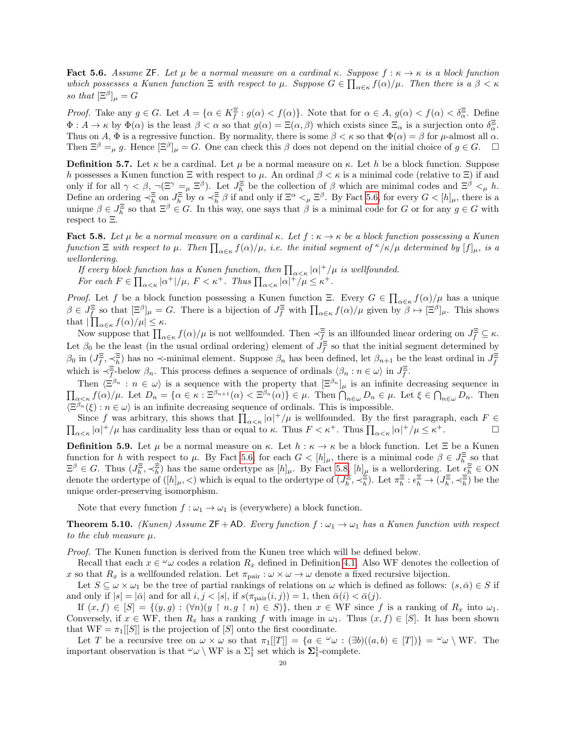<span id="page-19-0"></span>Fact 5.6. Assume ZF. Let  $\mu$  be a normal measure on a cardinal κ. Suppose  $f : \kappa \to \kappa$  is a block function which possesses a Kunen function  $\Xi$  with respect to  $\mu$ . Suppose  $G \in \prod_{\alpha \in \kappa} f(\alpha)/\mu$ . Then there is a  $\beta < \kappa$ so that  $[\Xi^{\beta}]_{\mu} = G$ 

*Proof.* Take any  $g \in G$ . Let  $A = \{ \alpha \in K_f^{\Xi} : g(\alpha) < f(\alpha) \}$ . Note that for  $\alpha \in A$ ,  $g(\alpha) < f(\alpha) < \delta_{\alpha}^{\Xi}$ . Define  $\Phi: A \to \kappa$  by  $\Phi(\alpha)$  is the least  $\beta < \alpha$  so that  $g(\alpha) = \Xi(\alpha, \beta)$  which exists since  $\Xi_{\alpha}$  is a surjection onto  $\delta_{\alpha}^{\Xi}$ . Thus on A,  $\Phi$  is a regressive function. By normality, there is some  $\beta < \kappa$  so that  $\Phi(\alpha) = \beta$  for  $\mu$ -almost all  $\alpha$ . Then  $\Xi^{\beta} =_{\mu} g$ . Hence  $[\Xi^{\beta}]_{\mu} = G$ . One can check this  $\beta$  does not depend on the initial choice of  $g \in G$ .

**Definition 5.7.** Let  $\kappa$  be a cardinal. Let  $\mu$  be a normal measure on  $\kappa$ . Let h be a block function. Suppose h possesses a Kunen function  $\Xi$  with respect to  $\mu$ . An ordinal  $\beta < \kappa$  is a minimal code (relative to  $\Xi$ ) if and only if for all  $\gamma < \beta$ ,  $\neg(\Xi^{\gamma} =_{\mu} \Xi^{\beta})$ . Let  $J_h^{\Xi}$  be the collection of  $\beta$  which are minimal codes and  $\Xi^{\beta} <_{\mu} h$ . Define an ordering  $\prec_h^{\Xi}$  on  $J_h^{\Xi}$  by  $\alpha \prec_h^{\Xi} \beta$  if and only if  $\Xi^{\alpha} \leq_{\mu} \Xi^{\beta}$ . By Fact [5.6,](#page-19-0) for every  $G \leq [h]_{\mu}$ , there is a unique  $\beta \in J_h^{\Xi}$  so that  $\Xi^{\beta} \in G$ . In this way, one says that  $\beta$  is a minimal code for G or for any  $g \in G$  with respect to Ξ.

<span id="page-19-1"></span>Fact 5.8. Let  $\mu$  be a normal measure on a cardinal κ. Let  $f : \kappa \to \kappa$  be a block function possessing a Kunen function  $\Xi$  with respect to  $\mu$ . Then  $\prod_{\alpha \in \kappa} f(\alpha)/\mu$ , i.e. the initial segment of  $\kappa/\kappa/\mu$  determined by  $[f]_{\mu}$ , is a wellordering.

If every block function has a Kunen function, then  $\prod_{\alpha<\kappa}|\alpha|^+/\mu$  is wellfounded.

For each  $F \in \prod_{\alpha<\kappa} |\alpha^+|/\mu$ ,  $F < \kappa^+$ . Thus  $\prod_{\alpha<\kappa} |\alpha|^+/\mu \leq \kappa^+$ .

*Proof.* Let f be a block function possessing a Kunen function Ξ. Every  $G \in \prod_{\alpha \in \kappa} f(\alpha)/\mu$  has a unique  $\beta \in J_f^{\Xi}$  so that  $[\Xi^{\beta}]_{\mu} = G$ . There is a bijection of  $J_f^{\Xi}$  with  $\prod_{\alpha \in \kappa} f(\alpha)/\mu$  given by  $\beta \mapsto [\Xi^{\beta}]_{\mu}$ . This shows that  $|\prod_{\alpha \in \kappa} f(\alpha)/\mu| \leq \kappa$ .

Now suppose that  $\prod_{\alpha \in \kappa} f(\alpha)/\mu$  is not wellfounded. Then  $\prec_f^{\Xi}$  is an illfounded linear ordering on  $J_f^{\Xi} \subseteq \kappa$ . Let  $\beta_0$  be the least (in the usual ordinal ordering) element of  $J_f^{\Xi}$  so that the initial segment determined by  $\beta_0$  in  $(J_f^{\Xi}, \prec_h^{\Xi})$  has no  $\prec$ -minimal element. Suppose  $\beta_n$  has been defined, let  $\beta_{n+1}$  be the least ordinal in  $J_f^{\Xi}$ which is  $\prec_f^{\Xi}$ -below  $\beta_n$ . This process defines a sequence of ordinals  $\langle \beta_n : n \in \omega \rangle$  in  $J_f^{\Xi}$ .

Then  $\langle \Xi^{\beta_n} : n \in \omega \rangle$  is a sequence with the property that  $[\Xi^{\beta_n}]_\mu$  is an infinite decreasing sequence in  $\prod_{\alpha<\kappa}f(\alpha)/\mu$ . Let  $D_n=\{\alpha\in\kappa:\Xi^{\beta_{n+1}}(\alpha)<\Xi^{\beta_n}(\alpha)\}\in\mu$ . Then  $\bigcap_{n\in\omega}D_n\in\mu$ . Let  $\xi\in\bigcap_{n\in\omega}D_n$ . Then  $\langle \Xi^{\beta_n}(\xi) : n \in \omega \rangle$  is an infinite decreasing sequence of ordinals. This is impossible.

Since f was arbitrary, this shows that  $\prod_{\alpha<\kappa}|\alpha|^+/\mu$  is wellfounded. By the first paragraph, each  $F\in$  $\prod_{\alpha<\kappa} |\alpha|^+/\mu$  has cardinality less than or equal to  $\kappa$ . Thus  $F < \kappa^+$ . Thus  $\prod_{\alpha<\kappa} |\alpha|^+/\mu \leq \kappa^+$ .

**Definition 5.9.** Let  $\mu$  be a normal measure on  $\kappa$ . Let  $h : \kappa \to \kappa$  be a block function. Let  $\Xi$  be a Kunen function for h with respect to  $\mu$ . By Fact [5.6,](#page-19-0) for each  $G < [h]_{\mu}$ , there is a minimal code  $\beta \in J_h^{\Xi}$  so that  $\Xi^{\beta} \in G$ . Thus  $(J_h^{\Xi}, \prec_h^{\Xi})$  has the same ordertype as  $[h]_{\mu}$ . By Fact [5.8,](#page-19-1)  $[h]_{\mu}$  is a wellordering. Let  $\epsilon_h^{\Xi} \in ON$ denote the ordertype of  $([h]_\mu,<)$  which is equal to the ordertype of  $(J_h^{\Xi}, \prec_h^{\Xi})$ . Let  $\pi_h^{\Xi} : \epsilon_h^{\Xi} \to (J_h^{\Xi}, \prec_h^{\Xi})$  be the unique order-preserving isomorphism.

Note that every function  $f : \omega_1 \to \omega_1$  is (everywhere) a block function.

<span id="page-19-2"></span>**Theorem 5.10.** (Kunen) Assume  $\mathsf{ZF} + \mathsf{AD}$ . Every function  $f : \omega_1 \to \omega_1$  has a Kunen function with respect to the club measure µ.

Proof. The Kunen function is derived from the Kunen tree which will be defined below.

Recall that each  $x \in \omega$  codes a relation  $R_x$  defined in Definition [4.1.](#page-8-1) Also WF denotes the collection of x so that  $R_x$  is a wellfounded relation. Let  $\pi_{\text{pair}} : \omega \times \omega \to \omega$  denote a fixed recursive bijection.

Let  $S \subseteq \omega \times \omega_1$  be the tree of partial rankings of relations on  $\omega$  which is defined as follows:  $(s, \bar{\alpha}) \in S$  if and only if  $|s| = |\bar{\alpha}|$  and for all  $i, j < |s|$ , if  $s(\pi_{\text{pair}}(i, j)) = 1$ , then  $\bar{\alpha}(i) < \bar{\alpha}(j)$ .

If  $(x, f) \in [S] = \{(y, g) : (\forall n)(y \restriction n, g \restriction n) \in S)\}\$ , then  $x \in \text{WF}$  since f is a ranking of  $R_x$  into  $\omega_1$ . Conversely, if  $x \in \text{WF}$ , then  $R_x$  has a ranking f with image in  $\omega_1$ . Thus  $(x, f) \in [S]$ . It has been shown that  $WF = \pi_1[[S]]$  is the projection of  $[S]$  onto the first coordinate.

Let T be a recursive tree on  $\omega \times \omega$  so that  $\pi_1[[T]] = \{a \in {}^{\omega}\omega : (\exists b)((a, b) \in [T])\} = {}^{\omega}\omega \setminus \text{WF}$ . The important observation is that  $\omega \setminus WF$  is a  $\Sigma_1^1$  set which is  $\Sigma_1^1$ -complete.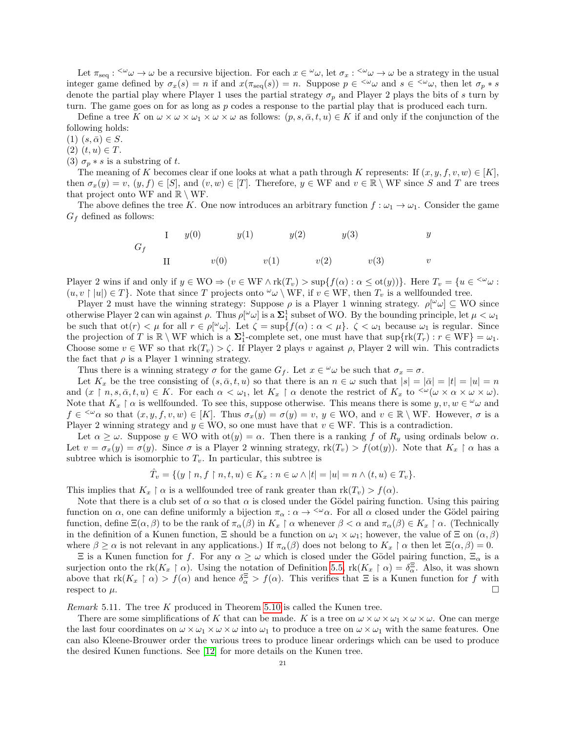Let  $\pi_{\text{seq}} : \langle \omega \rangle \to \omega$  be a recursive bijection. For each  $x \in \langle \omega, \text{ let } \sigma_x : \langle \omega \rangle \to \omega$  be a strategy in the usual integer game defined by  $\sigma_x(s) = n$  if and  $x(\pi_{\text{seq}}(s)) = n$ . Suppose  $p \in \langle \omega \omega \rangle$  and  $s \in \langle \omega \omega \rangle$ , then let  $\sigma_p * s$ denote the partial play where Player 1 uses the partial strategy  $\sigma_p$  and Player 2 plays the bits of s turn by turn. The game goes on for as long as p codes a response to the partial play that is produced each turn.

Define a tree K on  $\omega \times \omega_1 \times \omega_2 \times \omega_3$  as follows:  $(p, s, \bar{\alpha}, t, u) \in K$  if and only if the conjunction of the following holds:

 $(1)$   $(s,\bar{\alpha}) \in S$ .

 $(2)$   $(t, u) \in T$ .

(3)  $\sigma_p * s$  is a substring of t.

The meaning of K becomes clear if one looks at what a path through K represents: If  $(x, y, f, v, w) \in [K]$ , then  $\sigma_x(y) = v$ ,  $(y, f) \in [S]$ , and  $(v, w) \in [T]$ . Therefore,  $y \in WF$  and  $v \in \mathbb{R} \setminus WF$  since S and T are trees that project onto WF and  $\mathbb{R} \setminus \text{WF}$ .

The above defines the tree K. One now introduces an arbitrary function  $f : \omega_1 \to \omega_1$ . Consider the game  $G_f$  defined as follows:

$$
G_f
$$
 I  $y(0)$   $y(1)$   $y(2)$   $y(3)$   $y(3)$   
II  $v(0)$   $v(1)$   $v(2)$   $v(3)$   $v(3)$ 

Player 2 wins if and only if  $y \in WO \Rightarrow (v \in WF \wedge \text{rk}(T_v) > \sup\{f(\alpha) : \alpha \leq \text{ot}(y)\})$ . Here  $T_v = \{u \in \leq^{\omega} \omega :$  $(u, v \mid |u|) \in T$ . Note that since T projects onto  $\omega \setminus \text{WF}$ , if  $v \in \text{WF}$ , then  $T_v$  is a wellfounded tree.

Player 2 must have the winning strategy: Suppose  $\rho$  is a Player 1 winning strategy.  $\rho[\omega_\nu] \subseteq WO$  since otherwise Player 2 can win against  $\rho$ . Thus  $\rho[\omega_\omega]$  is a  $\Sigma_1^1$  subset of WO. By the bounding principle, let  $\mu < \omega_1$ be such that  $\cot(r) < \mu$  for all  $r \in \rho[\omega_\nu]$ . Let  $\zeta = \sup\{f(\alpha) : \alpha < \mu\}$ .  $\zeta < \omega_1$  because  $\omega_1$  is regular. Since the projection of T is  $\mathbb{R} \setminus \text{WF}$  which is a  $\Sigma_1^1$ -complete set, one must have that  $\sup\{\text{rk}(T_r) : r \in \text{WF}\} = \omega_1$ . Choose some  $v \in \text{WF}$  so that  $\text{rk}(T_v) > \zeta$ . If Player 2 plays v against  $\rho$ , Player 2 will win. This contradicts the fact that  $\rho$  is a Player 1 winning strategy.

Thus there is a winning strategy  $\sigma$  for the game  $G_f$ . Let  $x \in \omega$  be such that  $\sigma_x = \sigma$ .

Let  $K_x$  be the tree consisting of  $(s, \bar{\alpha}, t, u)$  so that there is an  $n \in \omega$  such that  $|s| = |\bar{\alpha}| = |t| = |u| = n$ and  $(x \restriction n, s, \bar{\alpha}, t, u) \in K$ . For each  $\alpha < \omega_1$ , let  $K_x \restriction \alpha$  denote the restrict of  $K_x$  to  $\leq^{\omega}(\omega \times \alpha \times \omega \times \omega)$ . Note that  $K_x \restriction \alpha$  is wellfounded. To see this, suppose otherwise. This means there is some  $y, v, w \in \omega$  and  $f \in \langle \omega \rangle$  so that  $(x, y, f, v, w) \in [K]$ . Thus  $\sigma_x(y) = \sigma(y) = v$ ,  $y \in W$ O, and  $v \in \mathbb{R} \setminus W$ F. However,  $\sigma$  is a Player 2 winning strategy and  $y \in WO$ , so one must have that  $v \in WF$ . This is a contradiction.

Let  $\alpha \geq \omega$ . Suppose  $y \in WO$  with  $\text{ot}(y) = \alpha$ . Then there is a ranking f of  $R_y$  using ordinals below  $\alpha$ . Let  $v = \sigma_x(y) = \sigma(y)$ . Since  $\sigma$  is a Player 2 winning strategy,  $rk(T_v) > f(\sigma(y))$ . Note that  $K_x \restriction \alpha$  has a subtree which is isomorphic to  $T_v$ . In particular, this subtree is

$$
\hat{T}_v = \{ (y \restriction n, f \restriction n, t, u) \in K_x : n \in \omega \land |t| = |u| = n \land (t, u) \in T_v \}.
$$

This implies that  $K_x \restriction \alpha$  is a wellfounded tree of rank greater than  $rk(T_v) > f(\alpha)$ .

Note that there is a club set of  $\alpha$  so that  $\alpha$  is closed under the Gödel pairing function. Using this pairing function on  $\alpha$ , one can define uniformly a bijection  $\pi_{\alpha}: \alpha \to \leq^{\omega} \alpha$ . For all  $\alpha$  closed under the Gödel pairing function, define  $\Xi(\alpha, \beta)$  to be the rank of  $\pi_{\alpha}(\beta)$  in  $K_x \restriction \alpha$  whenever  $\beta < \alpha$  and  $\pi_{\alpha}(\beta) \in K_x \restriction \alpha$ . (Technically in the definition of a Kunen function,  $\Xi$  should be a function on  $\omega_1 \times \omega_1$ ; however, the value of  $\Xi$  on  $(\alpha, \beta)$ where  $\beta \geq \alpha$  is not relevant in any applications.) If  $\pi_{\alpha}(\beta)$  does not belong to  $K_x \restriction \alpha$  then let  $\Xi(\alpha, \beta) = 0$ .

 $\Xi$  is a Kunen function for f. For any  $\alpha \geq \omega$  which is closed under the Gödel pairing function,  $\Xi_{\alpha}$  is a surjection onto the rk( $K_x \restriction \alpha$ ). Using the notation of Definition [5.5,](#page-18-0) rk( $K_x \restriction \alpha$ ) =  $\delta_{\alpha}^{\Xi}$ . Also, it was shown above that  $rk(K_x \restriction \alpha) > f(\alpha)$  and hence  $\delta_{\alpha}^{\Xi} > f(\alpha)$ . This verifies that  $\Xi$  is a Kunen function for f with respect to  $\mu$ .

*Remark* 5.11. The tree K produced in Theorem [5.10](#page-19-2) is called the Kunen tree.

There are some simplifications of K that can be made. K is a tree on  $\omega \times \omega \times \omega_1 \times \omega \times \omega$ . One can merge the last four coordinates on  $\omega \times \omega_1 \times \omega \times \omega$  into  $\omega_1$  to produce a tree on  $\omega \times \omega_1$  with the same features. One can also Kleene-Brouwer order the various trees to produce linear orderings which can be used to produce the desired Kunen functions. See [\[12\]](#page-40-5) for more details on the Kunen tree.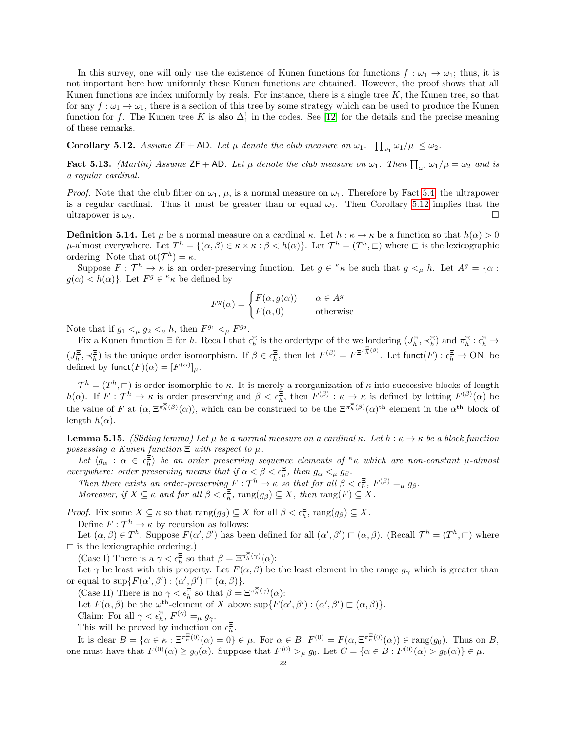In this survey, one will only use the existence of Kunen functions for functions  $f : \omega_1 \to \omega_1$ ; thus, it is not important here how uniformly these Kunen functions are obtained. However, the proof shows that all Kunen functions are index uniformly by reals. For instance, there is a single tree  $K$ , the Kunen tree, so that for any  $f: \omega_1 \to \omega_1$ , there is a section of this tree by some strategy which can be used to produce the Kunen function for f. The Kunen tree K is also  $\Delta_1^1$  in the codes. See [\[12\]](#page-40-5) for the details and the precise meaning of these remarks.

<span id="page-21-0"></span>**Corollary 5.12.** Assume  $ZF + AD$ . Let  $\mu$  denote the club measure on  $\omega_1$ .  $|\prod_{\omega_1}\omega_1/\mu| \leq \omega_2$ .

<span id="page-21-2"></span>**Fact 5.13.** (Martin) Assume  $ZF + AD$ . Let  $\mu$  denote the club measure on  $\omega_1$ . Then  $\prod_{\omega_1} \omega_1/\mu = \omega_2$  and is a regular cardinal.

*Proof.* Note that the club filter on  $\omega_1$ ,  $\mu$ , is a normal measure on  $\omega_1$ . Therefore by Fact [5.4,](#page-18-1) the ultrapower is a regular cardinal. Thus it must be greater than or equal  $\omega_2$ . Then Corollary [5.12](#page-21-0) implies that the ultrapower is  $\omega_2$ .

<span id="page-21-3"></span>**Definition 5.14.** Let  $\mu$  be a normal measure on a cardinal  $\kappa$ . Let  $h : \kappa \to \kappa$  be a function so that  $h(\alpha) > 0$  $\mu$ -almost everywhere. Let  $T^h = \{(\alpha, \beta) \in \kappa \times \kappa : \beta < h(\alpha)\}\$ . Let  $\mathcal{T}^h = (T^h, \square)$  where  $\square$  is the lexicographic ordering. Note that  $ot(\mathcal{T}^h) = \kappa$ .

Suppose  $F: \mathcal{T}^h \to \kappa$  is an order-preserving function. Let  $g \in \kappa \kappa$  be such that  $g \lt_{\mu} h$ . Let  $A^g = \{ \alpha :$  $g(\alpha) < h(\alpha)$ . Let  $F^g \in \kappa \kappa$  be defined by

$$
F^g(\alpha) = \begin{cases} F(\alpha, g(\alpha)) & \alpha \in A^g \\ F(\alpha, 0) & \text{otherwise} \end{cases}
$$

Note that if  $g_1 <_{\mu} g_2 <_{\mu} h$ , then  $F^{g_1} <_{\mu} F^{g_2}$ .

Fix a Kunen function  $\Xi$  for h. Recall that  $\epsilon_h^{\Xi}$  is the ordertype of the well ordering  $(J_h^{\Xi}, \prec_h^{\Xi})$  and  $\pi_h^{\Xi} : \epsilon_h^{\Xi} \to$  $(J_h^{\Xi}, \prec_h^{\Xi})$  is the unique order isomorphism. If  $\beta \in \epsilon_h^{\Xi}$ , then let  $F^{(\beta)} = F^{\Xi \pi_h^{\Xi}(\beta)}$ . Let funct $(F) : \epsilon_h^{\Xi} \to ON$ , be defined by funct $(F)(\alpha) = [F^{(\alpha)}]_{\mu}$ .

 $\mathcal{T}^h=(T^h,\Box)$  is order isomorphic to  $\kappa$ . It is merely a reorganization of  $\kappa$  into successive blocks of length  $h(\alpha)$ . If  $F: \mathcal{T}^h \to \kappa$  is order preserving and  $\beta < \epsilon_h^{\Xi}$ , then  $F^{(\beta)}: \kappa \to \kappa$  is defined by letting  $F^{(\beta)}(\alpha)$  be the value of F at  $(\alpha, \Xi^{\pi^{\Xi}_{h}(\beta)}(\alpha))$ , which can be construed to be the  $\Xi^{\pi^{\Xi}_{h}(\beta)}(\alpha)^{\text{th}}$  element in the  $\alpha^{\text{th}}$  block of length  $h(\alpha)$ .

<span id="page-21-1"></span>**Lemma 5.15.** (Sliding lemma) Let  $\mu$  be a normal measure on a cardinal  $\kappa$ . Let  $h : \kappa \to \kappa$  be a block function possessing a Kunen function  $\Xi$  with respect to  $\mu$ .

Let  $\langle g_\alpha : \alpha \in \epsilon_h^{\Xi} \rangle$  be an order preserving sequence elements of  $\kappa$  which are non-constant  $\mu$ -almost everywhere: order preserving means that if  $\alpha < \beta < \epsilon_h^{\Xi}$ , then  $g_{\alpha} <_{\mu} g_{\beta}$ .

Then there exists an order-preserving  $F: \mathcal{T}^h \to \kappa$  so that for all  $\beta < \epsilon_h^{\Xi}$ ,  $F^{(\beta)} =_{\mu} g_{\beta}$ . Moreover, if  $X \subseteq \kappa$  and for all  $\beta < \epsilon_h^{\Xi}$ ,  $\text{rang}(g_{\beta}) \subseteq X$ , then  $\text{rang}(F) \subseteq X$ .

*Proof.* Fix some  $X \subseteq \kappa$  so that  $\text{rang}(g_{\beta}) \subseteq X$  for all  $\beta < \epsilon_h^{\Xi}$ ,  $\text{rang}(g_{\beta}) \subseteq X$ . Define  $F: \mathcal{T}^h \to \kappa$  by recursion as follows:

Let  $(\alpha, \beta) \in T^h$ . Suppose  $F(\alpha', \beta')$  has been defined for all  $(\alpha', \beta') \sqsubset (\alpha, \beta)$ . (Recall  $\mathcal{T}^h = (T^h, \sqsubset)$  where  $\sqsubset$  is the lexicographic ordering.)

(Case I) There is a  $\gamma < \epsilon_h^{\Xi}$  so that  $\beta = \Xi^{\pi_h^{\Xi}(\gamma)}(\alpha)$ :

Let  $\gamma$  be least with this property. Let  $F(\alpha, \beta)$  be the least element in the range  $g_{\gamma}$  which is greater than or equal to  $\sup\{F(\alpha', \beta') : (\alpha', \beta') \sqsubset (\alpha, \beta)\}.$ 

(Case II) There is no  $\gamma < \epsilon_h^{\Xi}$  so that  $\beta = \Xi^{\pi_h^{\Xi}(\gamma)}(\alpha)$ :

Let  $F(\alpha, \beta)$  be the  $\omega^{\text{th}}$ -element of X above sup $\{F(\alpha', \beta') : (\alpha', \beta') \sqsubset (\alpha, \beta)\}.$ 

Claim: For all  $\gamma < \epsilon_h^{\Xi}$ ,  $F^{(\gamma)} =_{\mu} g_{\gamma}$ .

This will be proved by induction on  $\epsilon_h^{\Xi}$ .

It is clear  $B = \{ \alpha \in \kappa : \Xi^{\pi^{\Xi}_{h}(0)}(\alpha) = 0 \} \in \mu$ . For  $\alpha \in B$ ,  $F^{(0)} = F(\alpha, \Xi^{\pi^{\Xi}_{h}(0)}(\alpha)) \in \text{rang}(g_{0})$ . Thus on B, one must have that  $F^{(0)}(\alpha) \ge g_0(\alpha)$ . Suppose that  $F^{(0)} >_{\mu} g_0$ . Let  $C = {\alpha \in B : F^{(0)}(\alpha) > g_0(\alpha)} \in \mu$ .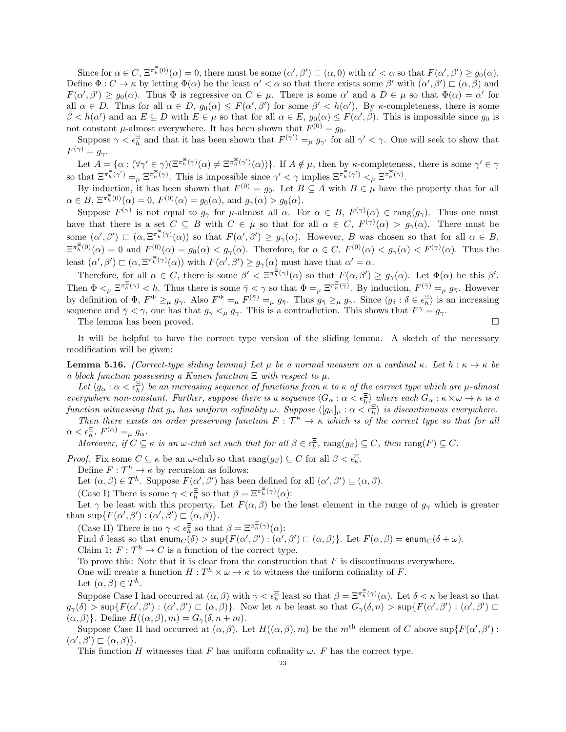Since for  $\alpha \in C$ ,  $\Xi^{\pi^{\Xi}_{h}(0)}(\alpha) = 0$ , there must be some  $(\alpha', \beta') \sqsubset (\alpha, 0)$  with  $\alpha' < \alpha$  so that  $F(\alpha', \beta') \geq g_{0}(\alpha)$ . Define  $\Phi: C \to \kappa$  by letting  $\Phi(\alpha)$  be the least  $\alpha' < \alpha$  so that there exists some  $\beta'$  with  $(\alpha', \beta') \sqsubset (\alpha, \beta)$  and  $F(\alpha', \beta') \ge g_0(\alpha)$ . Thus  $\Phi$  is regressive on  $C \in \mu$ . There is some  $\alpha'$  and a  $D \in \mu$  so that  $\Phi(\alpha) = \alpha'$  for all  $\alpha \in D$ . Thus for all  $\alpha \in D$ ,  $g_0(\alpha) \leq F(\alpha', \beta')$  for some  $\beta' < h(\alpha')$ . By  $\kappa$ -completeness, there is some  $\bar{\beta} < h(\alpha')$  and an  $E \subseteq D$  with  $E \in \mu$  so that for all  $\alpha \in E$ ,  $g_0(\alpha) \leq F(\alpha', \bar{\beta})$ . This is impossible since  $g_0$  is not constant  $\mu$ -almost everywhere. It has been shown that  $F^{(0)} = g_0$ .

Suppose  $\gamma < \epsilon_h^{\Xi}$  and that it has been shown that  $F^{(\gamma')} =_{\mu} g_{\gamma'}$  for all  $\gamma' < \gamma$ . One will seek to show that  $F^{(\gamma)} = g_{\gamma}.$ 

Let  $A = \{ \alpha : (\forall \gamma \in \gamma)(\Xi^{\pi_h^{\Xi}(\gamma)}(\alpha) \neq \Xi^{\pi_h^{\Xi}(\gamma')}(\alpha)) \}$ . If  $A \notin \mu$ , then by  $\kappa$ -completeness, there is some  $\gamma' \in \gamma$ so that  $\Xi^{\pi_h^{\Xi}(\gamma')} =_{\mu} \Xi^{\pi_h^{\Xi}(\gamma)}$ . This is impossible since  $\gamma' < \gamma$  implies  $\Xi^{\pi_h^{\Xi}(\gamma')} <_{\mu} \Xi^{\pi_h^{\Xi}(\gamma)}$ .

By induction, it has been shown that  $F^{(0)} = g_0$ . Let  $B \subseteq A$  with  $B \in \mu$  have the property that for all  $\alpha \in B$ ,  $\Xi^{\pi^{\Xi}_{h}(0)}(\alpha) = 0$ ,  $F^{(0)}(\alpha) = g_{0}(\alpha)$ , and  $g_{\gamma}(\alpha) > g_{0}(\alpha)$ .

Suppose  $F^{(\gamma)}$  is not equal to  $g_{\gamma}$  for  $\mu$ -almost all  $\alpha$ . For  $\alpha \in B$ ,  $F^{(\gamma)}(\alpha) \in \text{rang}(g_{\gamma})$ . Thus one must have that there is a set  $C \subseteq B$  with  $C \in \mu$  so that for all  $\alpha \in C$ ,  $F^{(\gamma)}(\alpha) > g_{\gamma}(\alpha)$ . There must be some  $(\alpha', \beta') \sqsubset (\alpha, \Xi^{\pi^{\Xi}_{h}(\gamma)}(\alpha))$  so that  $F(\alpha', \beta') \geq g_{\gamma}(\alpha)$ . However, B was chosen so that for all  $\alpha \in B$ ,  $\Xi^{\pi^{\Xi}_{h}(0)}(\alpha) = 0$  and  $F^{(0)}(\alpha) = g_{0}(\alpha) < g_{\gamma}(\alpha)$ . Therefore, for  $\alpha \in C$ ,  $F^{(0)}(\alpha) < g_{\gamma}(\alpha) < F^{(\gamma)}(\alpha)$ . Thus the least  $(\alpha', \beta') \sqsubset (\alpha, \Xi^{\pi_h^{\Xi}(\gamma)}(\alpha))$  with  $F(\alpha', \beta') \geq g_\gamma(\alpha)$  must have that  $\alpha' = \alpha$ .

Therefore, for all  $\alpha \in C$ , there is some  $\beta' < \Xi^{\pi^{\Xi}_{h}(\gamma)}(\alpha)$  so that  $F(\alpha, \beta') \geq g_{\gamma}(\alpha)$ . Let  $\Phi(\alpha)$  be this  $\beta'$ . Then  $\Phi \leq_{\mu} \Xi^{\pi^{\Xi}_{h}(\gamma)} \leq h$ . Thus there is some  $\bar{\gamma} \leq \gamma$  so that  $\Phi =_{\mu} \Xi^{\pi^{\Xi}_{h}(\bar{\gamma})}$ . By induction,  $F^{(\bar{\gamma})} =_{\mu} g_{\bar{\gamma}}$ . However by definition of  $\Phi$ ,  $F^{\Phi} \geq_{\mu} g_{\gamma}$ . Also  $F^{\Phi} =_{\mu} F^{(\bar{\gamma})} =_{\mu} g_{\bar{\gamma}}$ . Thus  $g_{\bar{\gamma}} \geq_{\mu} g_{\gamma}$ . Since  $\langle g_{\delta} : \delta \in \epsilon_h^{\Xi} \rangle$  is an increasing sequence and  $\bar{\gamma} < \gamma$ , one has that  $g_{\bar{\gamma}} <_{\mu} g_{\gamma}$ . This is a contradiction. This shows that  $F^{\gamma} = g_{\gamma}$ . The lemma has been proved.

It will be helpful to have the correct type version of the sliding lemma. A sketch of the necessary modification will be given:

<span id="page-22-0"></span>**Lemma 5.16.** (Correct-type sliding lemma) Let  $\mu$  be a normal measure on a cardinal κ. Let  $h : \kappa \to \kappa$  be a block function possessing a Kunen function  $\Xi$  with respect to  $\mu$ .

Let  $\langle g_\alpha : \alpha < \epsilon_h^{\Xi} \rangle$  be an increasing sequence of functions from  $\kappa$  to  $\kappa$  of the correct type which are  $\mu$ -almost everywhere non-constant. Further, suppose there is a sequence  $\langle G_\alpha : \alpha < \epsilon_h^{\Xi} \rangle$  where each  $G_\alpha : \kappa \times \omega \to \kappa$  is a function witnessing that  $g_\alpha$  has uniform cofinality  $\omega$ . Suppose  $\langle [g_\alpha]_\mu : \alpha < \epsilon_h^\Xi \rangle$  is discontinuous everywhere. Then there exists an order preserving function  $F: \mathcal{T}^h \to \kappa$  which is of the correct type so that for all

 $\alpha < \epsilon_h^{\Xi}, F^{(\alpha)} =_{\mu} g_{\alpha}.$ 

Moreover, if  $C \subseteq \kappa$  is an  $\omega$ -club set such that for all  $\beta \in \epsilon_h^{\Xi}$ ,  $\text{rang}(g_{\beta}) \subseteq C$ , then  $\text{rang}(F) \subseteq C$ .

*Proof.* Fix some  $C \subseteq \kappa$  be an  $\omega$ -club so that  $\text{rang}(g_{\beta}) \subseteq C$  for all  $\beta < \epsilon_h^{\Xi}$ .

Define  $F: \mathcal{T}^h \to \kappa$  by recursion as follows:

Let  $(\alpha, \beta) \in T^h$ . Suppose  $F(\alpha', \beta')$  has been defined for all  $(\alpha', \beta') \sqsubseteq (\alpha, \beta)$ .

(Case I) There is some  $\gamma < \epsilon_h^{\Xi}$  so that  $\beta = \Xi^{\pi_h^{\Xi}(\gamma)}(\alpha)$ :

Let  $\gamma$  be least with this property. Let  $F(\alpha, \beta)$  be the least element in the range of  $g_{\gamma}$  which is greater than sup $\{F(\alpha', \beta') : (\alpha', \beta') \sqsubset (\alpha, \beta)\}.$ 

(Case II) There is no  $\gamma < \epsilon_h^{\Xi}$  so that  $\beta = \Xi^{\pi_h^{\Xi}(\gamma)}(\alpha)$ :

Find  $\delta$  least so that  $\textsf{enum}_C(\delta) > \sup\{F(\alpha', \beta') : (\alpha', \beta') \sqsubset (\alpha, \beta)\}\)$ . Let  $F(\alpha, \beta) = \textsf{enum}_C(\delta + \omega)$ . Claim 1:  $F: \mathcal{T}^h \to C$  is a function of the correct type.

To prove this: Note that it is clear from the construction that  $F$  is discontinuous everywhere. One will create a function  $H: T^h \times \omega \to \kappa$  to witness the uniform cofinality of F. Let  $(\alpha, \beta) \in T^h$ .

Suppose Case I had occurred at  $(\alpha, \beta)$  with  $\gamma < \epsilon_h^{\Xi}$  least so that  $\beta = \Xi^{\pi_h^{\Xi}(\gamma)}(\alpha)$ . Let  $\delta < \kappa$  be least so that  $g_{\gamma}(\delta) > \sup\{F(\alpha', \beta') : (\alpha', \beta') \sqsubset (\alpha, \beta)\}\.$  Now let n be least so that  $G_{\gamma}(\delta, n) > \sup\{F(\alpha', \beta') : (\alpha', \beta') \sqsubset$  $(\alpha, \beta)$ . Define  $H((\alpha, \beta), m) = G_{\gamma}(\delta, n + m)$ .

Suppose Case II had occurred at  $(\alpha, \beta)$ . Let  $H((\alpha, \beta), m)$  be the m<sup>th</sup> element of C above sup $\{F(\alpha', \beta') :$  $(\alpha', \beta') \sqsubset (\alpha, \beta)$ .

This function H witnesses that F has uniform cofinality  $\omega$ . F has the correct type.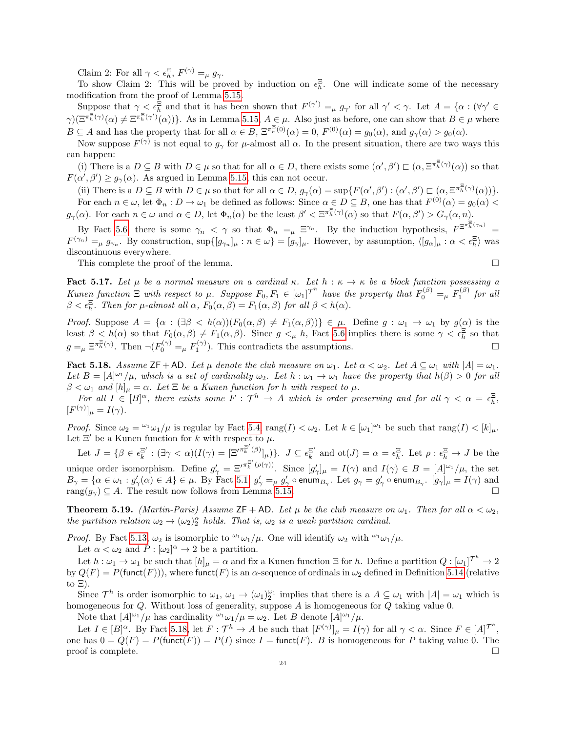Claim 2: For all  $\gamma < \epsilon_h^{\Xi}$ ,  $F^{(\gamma)} =_{\mu} g_{\gamma}$ .

To show Claim 2: This will be proved by induction on  $\epsilon_h^E$ . One will indicate some of the necessary modification from the proof of Lemma [5.15.](#page-21-1)

Suppose that  $\gamma \leq \epsilon_h^{\frac{1}{2}}$  and that it has been shown that  $F^{(\gamma')} =_{\mu} g_{\gamma'}$  for all  $\gamma' < \gamma$ . Let  $A = {\alpha : (\forall \gamma' \in \mathbb{R})}$  $\gamma$ )( $\Xi^{\pi^{\Xi}_{h}(\gamma)}(\alpha) \neq \Xi^{\pi^{\Xi}_{h}(\gamma')}(\alpha)$ ). As in Lemma [5.15,](#page-21-1)  $A \in \mu$ . Also just as before, one can show that  $B \in \mu$  where  $B \subseteq A$  and has the property that for all  $\alpha \in B$ ,  $\Xi^{\pi^{\Xi}_{h}(0)}(\alpha) = 0$ ,  $F^{(0)}(\alpha) = g_{0}(\alpha)$ , and  $g_{\gamma}(\alpha) > g_{0}(\alpha)$ .

Now suppose  $F^{(\gamma)}$  is not equal to  $g_{\gamma}$  for  $\mu$ -almost all  $\alpha$ . In the present situation, there are two ways this can happen:

(i) There is a  $D \subseteq B$  with  $D \in \mu$  so that for all  $\alpha \in D$ , there exists some  $(\alpha', \beta') \sqsubset (\alpha, \Xi^{\pi \overline{\kappa}(\gamma)}(\alpha))$  so that  $F(\alpha', \beta') \ge g_{\gamma}(\alpha)$ . As argued in Lemma [5.15,](#page-21-1) this can not occur.

(ii) There is a  $D \subseteq B$  with  $D \in \mu$  so that for all  $\alpha \in D$ ,  $g_{\gamma}(\alpha) = \sup \{ F(\alpha', \beta') : (\alpha', \beta') \sqsubset (\alpha, \Xi^{\pi_h^{\Xi}(\gamma)}(\alpha)) \}.$ 

For each  $n \in \omega$ , let  $\Phi_n: D \to \omega_1$  be defined as follows: Since  $\alpha \in D \subseteq B$ , one has that  $F^{(0)}(\alpha) = g_0(\alpha)$  $g_{\gamma}(\alpha)$ . For each  $n \in \omega$  and  $\alpha \in D$ , let  $\Phi_n(\alpha)$  be the least  $\beta' < \Xi^{\pi^{\Xi}_h(\gamma)}(\alpha)$  so that  $F(\alpha, \beta') > G_{\gamma}(\alpha, n)$ .

By Fact [5.6,](#page-19-0) there is some  $\gamma_n < \gamma$  so that  $\Phi_n =_\mu \Xi^{\gamma_n}$ . By the induction hypothesis,  $F^{\Xi^{\pi_n^{\Xi}(\gamma_n)}}$  $F^{(\gamma_n)} =_{\mu} g_{\gamma_n}$ . By construction,  $\sup\{ [g_{\gamma_n}]_{\mu} : n \in \omega \} = [g_{\gamma}]_{\mu}$ . However, by assumption,  $\langle [g_{\alpha}]_{\mu} : \alpha < \epsilon_h^{\Xi} \rangle$  was discontinuous everywhere.

This complete the proof of the lemma.

**Fact 5.17.** Let  $\mu$  be a normal measure on a cardinal  $\kappa$ . Let  $h : \kappa \to \kappa$  be a block function possessing a Kunen function  $\Xi$  with respect to  $\mu$ . Suppose  $F_0, F_1 \in [\omega_1]^{T^h}$  have the property that  $F_0^{(\beta)} =_{\mu} F_1^{(\beta)}$  for all  $\beta < \epsilon_h^{\Xi}$ . Then for  $\mu$ -almost all  $\alpha$ ,  $F_0(\alpha, \beta) = F_1(\alpha, \beta)$  for all  $\beta < h(\alpha)$ .

Proof. Suppose  $A = {\alpha : (\exists \beta < h(\alpha)) (F_0(\alpha, \beta) \neq F_1(\alpha, \beta)) } \in \mu$ . Define  $g : \omega_1 \to \omega_1$  by  $g(\alpha)$  is the least  $\beta < h(\alpha)$  so that  $F_0(\alpha, \beta) \neq F_1(\alpha, \beta)$ . Since  $g <_{\mu} h$ , Fact [5.6](#page-19-0) implies there is some  $\gamma < \epsilon_h^{\Xi}$  so that  $g =_{\mu} \Xi^{\pi \overline{\kappa}(\gamma)}$ . Then  $\neg(F_0^{(\gamma)} =_{\mu} F_1^{(\gamma)})$ . This contradicts the assumptions.

<span id="page-23-0"></span>**Fact 5.18.** Assume  $\mathsf{ZF} + \mathsf{AD}$ . Let  $\mu$  denote the club measure on  $\omega_1$ . Let  $\alpha < \omega_2$ . Let  $A \subseteq \omega_1$  with  $|A| = \omega_1$ . Let  $B = [A]^{\omega_1}/\mu$ , which is a set of cardinality  $\omega_2$ . Let  $h : \omega_1 \to \omega_1$  have the property that  $h(\beta) > 0$  for all  $\beta < \omega_1$  and  $[h]_\mu = \alpha$ . Let  $\Xi$  be a Kunen function for h with respect to  $\mu$ .

For all  $I \in [B]^{\alpha}$ , there exists some  $F : \mathcal{T}^h \to A$  which is order preserving and for all  $\gamma < \alpha = \epsilon_h^{\Xi}$ ,  $[F^{(\gamma)}]_{\mu} = I(\gamma).$ 

*Proof.* Since  $\omega_2 = \omega_1 \omega_1 / \mu$  is regular by Fact [5.4,](#page-18-1) rang(I)  $< \omega_2$ . Let  $k \in [\omega_1]^{\omega_1}$  be such that rang(I)  $< [k]_{\mu}$ . Let  $\Xi'$  be a Kunen function for k with respect to  $\mu$ .

Let  $J = \{ \beta \in \epsilon_k^{\Xi'} : (\exists \gamma < \alpha)(I(\gamma) = [\Xi'^{\pi_k^{\Xi'}(\beta)}]_{\mu}) \}.$   $J \subseteq \epsilon_k^{\Xi'}$  and  $ot(J) = \alpha = \epsilon_h^{\Xi}$ . Let  $\rho : \epsilon_h^{\Xi} \to J$  be the unique order isomorphism. Define  $g'_{\gamma} = \Xi'^{\pi_{k}^{\Xi'}(\rho(\gamma))}$ . Since  $[g'_{\gamma}]_{\mu} = I(\gamma)$  and  $I(\gamma) \in B = [A]^{\omega_1}/\mu$ , the set  $B_{\gamma} = \{ \alpha \in \omega_1 : g'_{\gamma}(\alpha) \in A \} \in \mu$ . By Fact [5.1,](#page-16-1)  $g'_{\gamma} =_{\mu} g'_{\gamma} \circ \text{enum}_{B_{\gamma}}$ . Let  $g_{\gamma} = g'_{\gamma} \circ \text{enum}_{B_{\gamma}}$ .  $[g_{\gamma}]_{\mu} = I(\gamma)$  and rang $(g_{\gamma}) \subseteq A$ . The result now follows from Lemma [5.15.](#page-21-1)

<span id="page-23-1"></span>**Theorem 5.19.** (Martin-Paris) Assume  $\mathsf{ZF} + \mathsf{AD}$ . Let  $\mu$  be the club measure on  $\omega_1$ . Then for all  $\alpha < \omega_2$ . the partition relation  $\omega_2 \to (\omega_2)_2^{\alpha}$  holds. That is,  $\omega_2$  is a weak partition cardinal.

*Proof.* By Fact [5.13,](#page-21-2)  $\omega_2$  is isomorphic to  $\omega_1/\mu$ . One will identify  $\omega_2$  with  $\omega_1/\mu$ .

Let  $\alpha < \omega_2$  and  $P : [\omega_2]^\alpha \to 2$  be a partition.

Let  $h:\omega_1\to\omega_1$  be such that  $[h]_\mu=\alpha$  and fix a Kunen function  $\Xi$  for h. Define a partition  $Q: [\omega_1]^{\mathcal{T}^h}\to 2$ by  $Q(F) = P(\text{funct}(F))$ , where funct $(F)$  is an  $\alpha$ -sequence of ordinals in  $\omega_2$  defined in Definition [5.14](#page-21-3) (relative to  $\Xi$ ).

Since  $\mathcal{T}^h$  is order isomorphic to  $\omega_1, \omega_1 \to (\omega_1)_2^{\omega_1}$  implies that there is a  $A \subseteq \omega_1$  with  $|A| = \omega_1$  which is homogeneous for  $Q$ . Without loss of generality, suppose  $A$  is homogeneous for  $Q$  taking value 0.

Note that  $[A]^{\omega_1}/\mu$  has cardinality  $^{\omega_1}\omega_1/\mu = \omega_2$ . Let B denote  $[A]^{\omega_1}/\mu$ .

Let  $I \in [B]^\alpha$ . By Fact [5.18,](#page-23-0) let  $F: \mathcal{T}^h \to A$  be such that  $[F^{(\gamma)}]_\mu = I(\gamma)$  for all  $\gamma < \alpha$ . Since  $F \in [A]^{\mathcal{T}^h}$ , one has  $0 = Q(F) = P(\text{funct}(F)) = P(I)$  since  $I = \text{funct}(F)$ . B is homogeneous for P taking value 0. The proof is complete.  $\Box$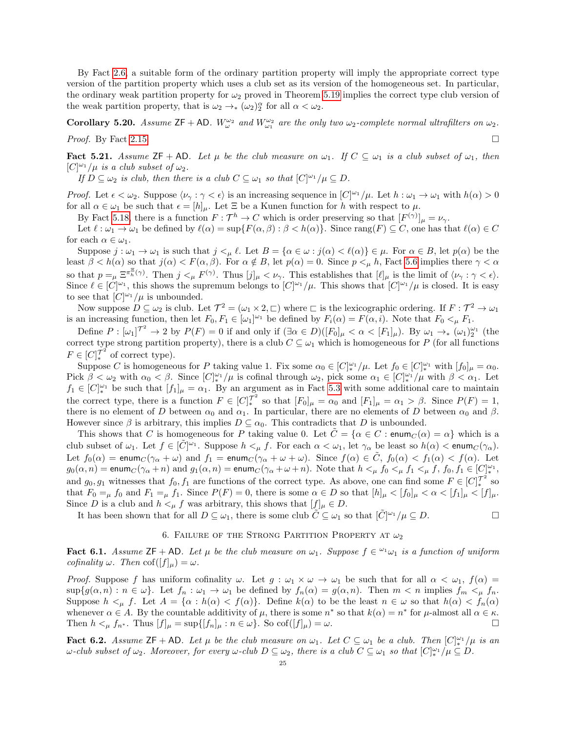By Fact [2.6,](#page-1-0) a suitable form of the ordinary partition property will imply the appropriate correct type version of the partition property which uses a club set as its version of the homogeneous set. In particular, the ordinary weak partition property for  $\omega_2$  proved in Theorem [5.19](#page-23-1) implies the correct type club version of the weak partition property, that is  $\omega_2 \to_{*} (\omega_2)_2^{\alpha}$  for all  $\alpha < \omega_2$ .

**Corollary 5.20.** Assume  $ZF + AD$ .  $W^{\omega_2}_{\omega}$  and  $W^{\omega_2}_{\omega_1}$  are the only two  $\omega_2$ -complete normal ultrafilters on  $\omega_2$ . *Proof.* By Fact [2.15.](#page-4-0)

<span id="page-24-1"></span>**Fact 5.21.** Assume  $ZF + AD$ . Let  $\mu$  be the club measure on  $\omega_1$ . If  $C \subseteq \omega_1$  is a club subset of  $\omega_1$ , then  $[C]^{\omega_1}/\mu$  is a club subset of  $\omega_2$ .

If  $D \subseteq \omega_2$  is club, then there is a club  $C \subseteq \omega_1$  so that  $[C]^{\omega_1}/\mu \subseteq D$ .

Proof. Let  $\epsilon < \omega_2$ . Suppose  $\langle \nu_\gamma : \gamma < \epsilon \rangle$  is an increasing sequence in  $[C]^{\omega_1}/\mu$ . Let  $h : \omega_1 \to \omega_1$  with  $h(\alpha) > 0$ for all  $\alpha \in \omega_1$  be such that  $\epsilon = [h]_\mu$ . Let  $\Xi$  be a Kunen function for h with respect to  $\mu$ .

By Fact [5.18,](#page-23-0) there is a function  $F: \mathcal{T}^h \to C$  which is order preserving so that  $[F^{(\gamma)}]_\mu = \nu_\gamma$ .

Let  $\ell : \omega_1 \to \omega_1$  be defined by  $\ell(\alpha) = \sup\{F(\alpha, \beta) : \beta < h(\alpha)\}\$ . Since  $\text{rang}(F) \subseteq C$ , one has that  $\ell(\alpha) \in C$ for each  $\alpha \in \omega_1$ .

Suppose  $j : \omega_1 \to \omega_1$  is such that  $j <_{\mu} \ell$ . Let  $B = {\alpha \in \omega : j(\alpha) < \ell(\alpha)} \in \mu$ . For  $\alpha \in B$ , let  $p(\alpha)$  be the least  $\beta < h(\alpha)$  so that  $j(\alpha) < F(\alpha, \beta)$ . For  $\alpha \notin B$ , let  $p(\alpha) = 0$ . Since  $p <_{\mu} h$ , Fact [5.6](#page-19-0) implies there  $\gamma < \alpha$ so that  $p = \mu \ \Xi^{\pi^{\Xi}_{h}(\gamma)}$ . Then  $j <_{\mu} F^{(\gamma)}$ . Thus  $[j]_{\mu} < \nu_{\gamma}$ . This establishes that  $[\ell]_{\mu}$  is the limit of  $\langle \nu_{\gamma} : \gamma < \epsilon \rangle$ . Since  $\ell \in [C]^{\omega_1}$ , this shows the supremum belongs to  $[C]^{\omega_1}/\mu$ . This shows that  $[C]^{\omega_1}/\mu$  is closed. It is easy to see that  $[C]^{\omega_1}/\mu$  is unbounded.

Now suppose  $D \subseteq \omega_2$  is club. Let  $\mathcal{T}^2 = (\omega_1 \times 2, \square)$  where  $\square$  is the lexicographic ordering. If  $F : \mathcal{T}^2 \to \omega_1$ is an increasing function, then let  $F_0, F_1 \in [\omega_1]^{\omega_1}$  be defined by  $F_i(\alpha) = F(\alpha, i)$ . Note that  $F_0 <_{\mu} F_1$ .

Define  $P: [\omega_1]^{T^2} \to 2$  by  $P(F) = 0$  if and only if  $(\exists \alpha \in D)([F_0]_{\mu} < \alpha < [F_1]_{\mu})$ . By  $\omega_1 \to_{*} (\omega_1)_{2}^{\omega_1}$  (the correct type strong partition property), there is a club  $C \subseteq \omega_1$  which is homogeneous for P (for all functions  $F \in [C]_{*}^{\mathcal{T}^{2}}$  of correct type).

Suppose C is homogeneous for P taking value 1. Fix some  $\alpha_0 \in [C]_*^{\omega_1}/\mu$ . Let  $f_0 \in [C]_*^{\omega_1}$  with  $[f_0]_\mu = \alpha_0$ . Pick  $\beta < \omega_2$  with  $\alpha_0 < \beta$ . Since  $[C]_{*}^{\omega_1}/\mu$  is cofinal through  $\omega_2$ , pick some  $\alpha_1 \in [C]_{*}^{\omega_1}/\mu$  with  $\beta < \alpha_1$ . Let  $f_1 \in [C]_{*}^{\omega_1}$  be such that  $[f_1]_{\mu} = \alpha_1$ . By an argument as in Fact [5.3](#page-17-0) with some additional care to maintain the correct type, there is a function  $F \in [C]_{*}^{\mathcal{T}^2}$  so that  $[F_0]_{\mu} = \alpha_0$  and  $[F_1]_{\mu} = \alpha_1 > \beta$ . Since  $P(F) = 1$ , there is no element of D between  $\alpha_0$  and  $\alpha_1$ . In particular, there are no elements of D between  $\alpha_0$  and  $\beta$ . However since  $\beta$  is arbitrary, this implies  $D \subseteq \alpha_0$ . This contradicts that D is unbounded.

This shows that C is homogeneous for P taking value 0. Let  $\tilde{C} = \{ \alpha \in C : \text{enum}_C(\alpha) = \alpha \}$  which is a club subset of  $\omega_1$ . Let  $f \in [\tilde{C}]^{\omega_1}$ . Suppose  $h \lt_{\mu} f$ . For each  $\alpha \lt \omega_1$ , let  $\gamma_\alpha$  be least so  $h(\alpha) < \text{enum}_C(\gamma_\alpha)$ . Let  $f_0(\alpha) = \text{enum}_C(\gamma_\alpha + \omega)$  and  $f_1 = \text{enum}_C(\gamma_\alpha + \omega + \omega)$ . Since  $f(\alpha) \in \tilde{C}$ ,  $f_0(\alpha) < f_1(\alpha) < f(\alpha)$ . Let  $g_0(\alpha, n) = \textsf{enum}_C(\gamma_\alpha + n) \text{ and } g_1(\alpha, n) = \textsf{enum}_C(\gamma_\alpha + \omega + n).$  Note that  $h <_\mu f_0 <_\mu f_1 <_\mu f, f_0, f_1 \in [C]_*^{\omega_1}$ , and  $g_0, g_1$  witnesses that  $f_0, f_1$  are functions of the correct type. As above, one can find some  $F \in [C]_*^{\mathcal{T}^2}$  so that  $F_0 =_\mu f_0$  and  $F_1 =_\mu f_1$ . Since  $P(F) = 0$ , there is some  $\alpha \in D$  so that  $[h]_\mu < |f_0|_\mu < \alpha < |f_1|_\mu < |f|_\mu$ . Since D is a club and  $h \lt_{\mu} f$  was arbitrary, this shows that  $[f]_{\mu} \in D$ .

It has been shown that for all  $D \subseteq \omega_1$ , there is some club  $\widetilde{C} \subseteq \omega_1$  so that  $[\widetilde{C}]^{\omega_1}/\mu \subseteq D$ .

# 6. FAILURE OF THE STRONG PARTITION PROPERTY AT  $\omega_2$

<span id="page-24-0"></span>**Fact 6.1.** Assume  $ZF + AD$ . Let  $\mu$  be the club measure on  $\omega_1$ . Suppose  $f \in \alpha_1 \omega_1$  is a function of uniform cofinality  $\omega$ . Then cof( $[f]_{\mu}$ ) =  $\omega$ .

*Proof.* Suppose f has uniform cofinality  $\omega$ . Let  $g : \omega_1 \times \omega \to \omega_1$  be such that for all  $\alpha < \omega_1$ ,  $f(\alpha) =$  $\sup\{g(\alpha,n):n\in\omega\}$ . Let  $f_n:\omega_1\to\omega_1$  be defined by  $f_n(\alpha)=g(\alpha,n)$ . Then  $m\lt n$  implies  $f_m\lt_{\mu} f_n$ . Suppose  $h \lt_{\mu} f$ . Let  $A = \{\alpha : h(\alpha) \lt f(\alpha)\}\)$ . Define  $k(\alpha)$  to be the least  $n \in \omega$  so that  $h(\alpha) \lt f_n(\alpha)$ whenever  $\alpha \in A$ . By the countable additivity of  $\mu$ , there is some  $n^*$  so that  $k(\alpha) = n^*$  for  $\mu$ -almost all  $\alpha \in \kappa$ . Then  $h <_{\mu} f_{n^*}$ . Thus  $[f]_{\mu} = \sup\{[f_n]_{\mu} : n \in \omega\}$ . So  $\text{cof}([f]_{\mu}) = \omega$ .

**Fact 6.2.** Assume  $\mathsf{ZF} + \mathsf{AD}$ . Let  $\mu$  be the club measure on  $\omega_1$ . Let  $C \subseteq \omega_1$  be a club. Then  $[C]_{*}^{\omega_1}/\mu$  is an  $\omega$ -club subset of  $\omega_2$ . Moreover, for every  $\omega$ -club  $D \subseteq \omega_2$ , there is a club  $C \subseteq \omega_1$  so that  $[C]_{*}^{\omega_1}/\mu \subseteq D$ .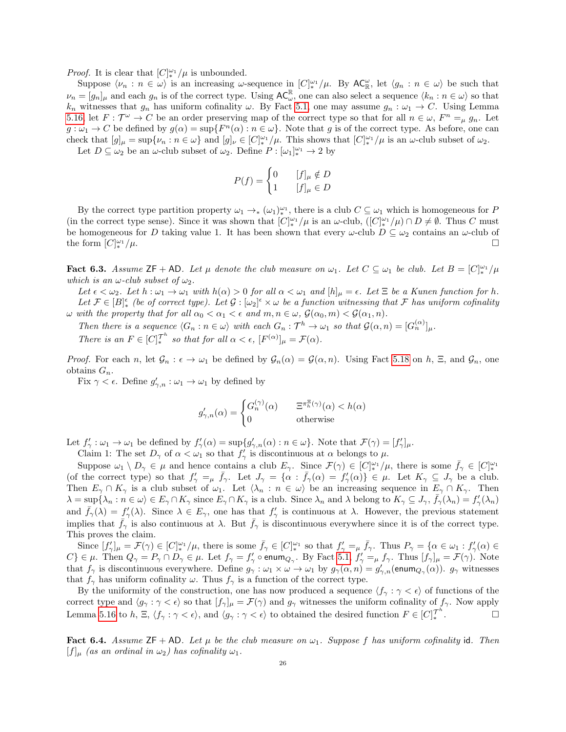*Proof.* It is clear that  $[C]_{*}^{\omega_1}/\mu$  is unbounded.

Suppose  $\langle \nu_n : n \in \omega \rangle$  is an increasing  $\omega$ -sequence in  $[C]_{*}^{\omega_1}/\mu$ . By  $AC_{\mathbb{R}}^{\omega}$ , let  $\langle g_n : n \in \omega \rangle$  be such that  $\nu_n = [g_n]_\mu$  and each  $g_n$  is of the correct type. Using  $AC_\omega^{\mathbb{R}}$ , one can also select a sequence  $\langle k_n : n \in \omega \rangle$  so that  $k_n$  witnesses that  $g_n$  has uniform cofinality  $\omega$ . By Fact [5.1,](#page-16-1) one may assume  $g_n : \omega_1 \to C$ . Using Lemma [5.16,](#page-22-0) let  $F: \mathcal{T}^{\omega} \to C$  be an order preserving map of the correct type so that for all  $n \in \omega$ ,  $F^{n} =_{\mu} g_{n}$ . Let  $g:\omega_1\to C$  be defined by  $g(\alpha)=\sup\{F^n(\alpha):n\in\omega\}$ . Note that g is of the correct type. As before, one can check that  $[g]_\mu = \sup \{\nu_n : n \in \omega\}$  and  $[g]_\nu \in [C]_*^{\omega_1}/\mu$ . This shows that  $[C]_*^{\omega_1}/\mu$  is an  $\omega$ -club subset of  $\omega_2$ .

Let  $D \subseteq \omega_2$  be an  $\omega$ -club subset of  $\omega_2$ . Define  $P : [\omega_1]_*^{\omega_1} \to 2$  by

$$
P(f) = \begin{cases} 0 & [f]_{\mu} \notin D \\ 1 & [f]_{\mu} \in D \end{cases}
$$

By the correct type partition property  $\omega_1 \to_{*} (\omega_1)^{\omega_1}_{*}$ , there is a club  $C \subseteq \omega_1$  which is homogeneous for P (in the correct type sense). Since it was shown that  $[C]_{*}^{\omega_1}/\mu$  is an  $\omega$ -club,  $([C]_{*}^{\omega_1}/\mu) \cap D \neq \emptyset$ . Thus C must be homogeneous for D taking value 1. It has been shown that every  $\omega$ -club  $D \subseteq \omega_2$  contains an  $\omega$ -club of the form  $[C]^{\omega_1}_{*}$  $\frac{\omega_1}{*}/\mu$ .

**Fact 6.3.** Assume  $\mathsf{ZF} + \mathsf{AD}$ . Let  $\mu$  denote the club measure on  $\omega_1$ . Let  $C \subseteq \omega_1$  be club. Let  $B = [C]_{*}^{\omega_1}/\mu$ which is an  $\omega$ -club subset of  $\omega_2$ .

Let  $\epsilon < \omega_2$ . Let  $h : \omega_1 \to \omega_1$  with  $h(\alpha) > 0$  for all  $\alpha < \omega_1$  and  $[h]_\mu = \epsilon$ . Let  $\Xi$  be a Kunen function for h. Let  $\mathcal{F} \in [B]_{*}^{\epsilon}$  (be of correct type). Let  $\mathcal{G} : [\omega_2]^{\epsilon} \times \omega$  be a function witnessing that  $\mathcal{F}$  has uniform cofinality  $\omega$  with the property that for all  $\alpha_0 < \alpha_1 < \epsilon$  and  $m, n \in \omega$ ,  $\mathcal{G}(\alpha_0, m) < \mathcal{G}(\alpha_1, n)$ .

Then there is a sequence  $\langle G_n : n \in \omega \rangle$  with each  $G_n : \mathcal{T}^h \to \omega_1$  so that  $\mathcal{G}(\alpha, n) = [G_n^{(\alpha)}]_\mu$ .

There is an  $F \in [C]_{*}^{\mathcal{T}^{h}}$  so that for all  $\alpha < \epsilon$ ,  $[F^{(\alpha)}]_{\mu} = \mathcal{F}(\alpha)$ .

*Proof.* For each n, let  $\mathcal{G}_n : \epsilon \to \omega_1$  be defined by  $\mathcal{G}_n(\alpha) = \mathcal{G}(\alpha, n)$ . Using Fact [5.18](#page-23-0) on h,  $\Xi$ , and  $\mathcal{G}_n$ , one obtains  $G_n$ .

Fix  $\gamma < \epsilon$ . Define  $g'_{\gamma,n} : \omega_1 \to \omega_1$  by defined by

$$
g'_{\gamma,n}(\alpha) = \begin{cases} G_n^{(\gamma)}(\alpha) & \Xi^{\pi_n^{\Xi}(\gamma)}(\alpha) < h(\alpha) \\ 0 & \text{otherwise} \end{cases}
$$

Let  $f'_{\gamma} : \omega_1 \to \omega_1$  be defined by  $f'_{\gamma}(\alpha) = \sup \{g'_{\gamma,n}(\alpha) : n \in \omega\}$ . Note that  $\mathcal{F}(\gamma) = [f'_{\gamma}]_{\mu}$ .

Claim 1: The set  $D_{\gamma}$  of  $\alpha < \omega_1$  so that  $f'_{\gamma}$  is discontinuous at  $\alpha$  belongs to  $\mu$ .

Suppose  $\omega_1 \setminus D_\gamma \in \mu$  and hence contains a club  $E_\gamma$ . Since  $\mathcal{F}(\gamma) \in [C]_*^{\omega_1}/\mu$ , there is some  $\bar{f}_\gamma \in [C]_*^{\omega_1}$ (of the correct type) so that  $f'_{\gamma} =_{\mu} \bar{f}_{\gamma}$ . Let  $J_{\gamma} = {\alpha : \bar{f}_{\gamma}(\alpha) = f'_{\gamma}(\alpha)} \in \mu$ . Let  $K_{\gamma} \subseteq J_{\gamma}$  be a club. Then  $E_\gamma \cap K_\gamma$  is a club subset of  $\omega_1$ . Let  $\langle \lambda_n : n \in \omega \rangle$  be an increasing sequence in  $E_\gamma \cap K_\gamma$ . Then  $\lambda = \sup\{\lambda_n : n \in \omega\} \in E_\gamma \cap K_\gamma$  since  $E_\gamma \cap K_\gamma$  is a club. Since  $\lambda_n$  and  $\lambda$  belong to  $K_\gamma \subseteq J_\gamma$ ,  $\bar{f}_\gamma(\lambda_n) = f'_\gamma(\lambda_n)$ and  $\bar{f}_{\gamma}(\lambda) = f'_{\gamma}(\lambda)$ . Since  $\lambda \in E_{\gamma}$ , one has that  $f'_{\gamma}$  is continuous at  $\lambda$ . However, the previous statement implies that  $\bar{f}_{\gamma}$  is also continuous at  $\lambda$ . But  $\bar{f}_{\gamma}$  is discontinuous everywhere since it is of the correct type. This proves the claim.

Since  $[f'_\gamma]_\mu = \mathcal{F}(\gamma) \in [C]_*^{\omega_1}/\mu$ , there is some  $\bar{f}_\gamma \in [C]_*^{\omega_1}$  so that  $f'_\gamma =_\mu \bar{f}_\gamma$ . Thus  $P_\gamma = {\alpha \in \omega_1 : f'_\gamma(\alpha) \in \Omega}$  $C \} \in \mu$ . Then  $Q_{\gamma} = P_{\gamma} \cap D_{\gamma} \in \mu$ . Let  $f_{\gamma} = f'_{\gamma} \circ \text{enum}_{Q_{\gamma}}$ . By Fact [5.1,](#page-16-1)  $f'_{\gamma} =_{\mu} f_{\gamma}$ . Thus  $[f_{\gamma}]_{\mu} = \mathcal{F}(\gamma)$ . Note that  $f_{\gamma}$  is discontinuous everywhere. Define  $g_{\gamma}: \omega_1 \times \omega \to \omega_1$  by  $g_{\gamma}(\alpha, n) = g'_{\gamma,n}(\text{enum}_{Q_{\gamma}}(\alpha))$ .  $g_{\gamma}$  witnesses that  $f_{\gamma}$  has uniform cofinality  $\omega$ . Thus  $f_{\gamma}$  is a function of the correct type.

By the uniformity of the construction, one has now produced a sequence  $\langle f_{\gamma} : \gamma < \epsilon \rangle$  of functions of the correct type and  $\langle g_{\gamma} : \gamma < \epsilon \rangle$  so that  $[f_{\gamma}]_{\mu} = \mathcal{F}(\gamma)$  and  $g_{\gamma}$  witnesses the uniform cofinality of  $f_{\gamma}$ . Now apply Lemma [5.16](#page-22-0) to h,  $\Xi$ ,  $\langle f_\gamma : \gamma < \epsilon \rangle$ , and  $\langle g_\gamma : \gamma < \epsilon \rangle$  to obtained the desired function  $F \in [C]_*^{\mathcal{T}^h}$ .

<span id="page-25-0"></span>**Fact 6.4.** Assume  $ZF + AD$ . Let  $\mu$  be the club measure on  $\omega_1$ . Suppose f has uniform cofinality id. Then  $[f]_\mu$  (as an ordinal in  $\omega_2$ ) has cofinality  $\omega_1$ .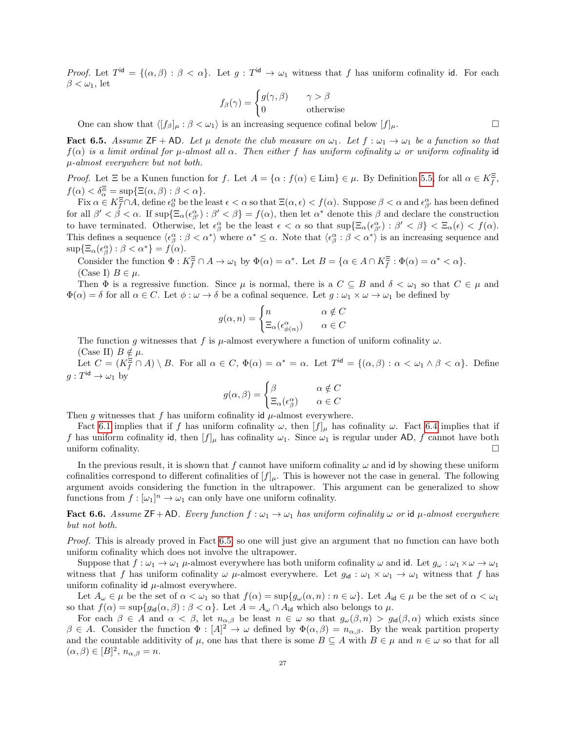Proof. Let  $T^{\text{id}} = \{(\alpha, \beta) : \beta < \alpha\}$ . Let  $g : T^{\text{id}} \to \omega_1$  witness that f has uniform cofinality id. For each  $\beta < \omega_1$ , let

$$
f_{\beta}(\gamma) = \begin{cases} g(\gamma, \beta) & \gamma > \beta \\ 0 & \text{otherwise} \end{cases}
$$

One can show that  $\langle [f_{\beta}]_{\mu} : \beta < \omega_1 \rangle$  is an increasing sequence cofinal below  $[f]_{\mu}$ .

<span id="page-26-0"></span>**Fact 6.5.** Assume  $\mathsf{ZF} + \mathsf{AD}$ . Let  $\mu$  denote the club measure on  $\omega_1$ . Let  $f : \omega_1 \to \omega_1$  be a function so that  $f(\alpha)$  is a limit ordinal for  $\mu$ -almost all  $\alpha$ . Then either f has uniform cofinality  $\omega$  or uniform cofinality id  $\mu$ -almost everywhere but not both.

Proof. Let  $\Xi$  be a Kunen function for f. Let  $A = \{ \alpha : f(\alpha) \in \text{Lim} \} \in \mu$ . By Definition [5.5,](#page-18-0) for all  $\alpha \in K_f^{\Xi}$ ,  $f(\alpha) < \delta_{\alpha}^{\Xi} = \sup \{ \Xi(\alpha, \beta) : \beta < \alpha \}.$ 

Fix  $\alpha \in K_f^{\Xi} \cap A$ , define  $\epsilon_0^{\alpha}$  be the least  $\epsilon < \alpha$  so that  $\Xi(\alpha, \epsilon) < f(\alpha)$ . Suppose  $\beta < \alpha$  and  $\epsilon_{\beta'}^{\alpha}$  has been defined for all  $\beta' < \beta < \alpha$ . If  $\sup \{ \Xi_\alpha(\epsilon_{\beta'}^{\alpha}) : \beta' < \beta \} = f(\alpha)$ , then let  $\alpha^*$  denote this  $\beta$  and declare the construction to have terminated. Otherwise, let  $\epsilon_{\beta}^{\alpha}$  be the least  $\epsilon < \alpha$  so that  $\sup \{ \Xi_{\alpha}(\epsilon_{\beta'}^{\alpha}) : \beta' < \beta \} < \Xi_{\alpha}(\epsilon) < f(\alpha)$ . This defines a sequence  $\langle \epsilon_{\beta}^{\alpha} : \beta < \alpha^* \rangle$  where  $\alpha^* \leq \alpha$ . Note that  $\langle \epsilon_{\beta}^{\alpha} : \beta < \alpha^* \rangle$  is an increasing sequence and  $\sup\{\Xi_{\alpha}(\epsilon^{\alpha}_{\beta}) : \beta < \alpha^*\} = f(\alpha).$ 

Consider the function  $\Phi: K_f^{\Xi} \cap A \to \omega_1$  by  $\Phi(\alpha) = \alpha^*$ . Let  $B = {\alpha \in A \cap K_f^{\Xi} : \Phi(\alpha) = \alpha^* < \alpha}.$ (Case I)  $B \in \mu$ .

Then  $\Phi$  is a regressive function. Since  $\mu$  is normal, there is a  $C \subseteq B$  and  $\delta < \omega_1$  so that  $C \in \mu$  and  $\Phi(\alpha) = \delta$  for all  $\alpha \in C$ . Let  $\phi : \omega \to \delta$  be a cofinal sequence. Let  $g : \omega_1 \times \omega \to \omega_1$  be defined by

$$
g(\alpha, n) = \begin{cases} n & \alpha \notin C \\ \Xi_{\alpha}(\epsilon^{\alpha}_{\phi(n)}) & \alpha \in C \end{cases}
$$

The function g witnesses that f is  $\mu$ -almost everywhere a function of uniform cofinality  $\omega$ . (Case II)  $B \notin \mu$ .

Let  $C = (K_f^{\Xi} \cap A) \setminus B$ . For all  $\alpha \in C$ ,  $\Phi(\alpha) = \alpha^* = \alpha$ . Let  $T^{\text{id}} = \{(\alpha, \beta) : \alpha < \omega_1 \wedge \beta < \alpha\}$ . Define  $g: T^{\text{id}} \to \omega_1$  by

$$
g(\alpha, \beta) = \begin{cases} \beta & \alpha \notin C \\ \Xi_\alpha(\epsilon^\alpha_\beta) & \alpha \in C \end{cases}
$$

Then g witnesses that f has uniform cofinality id  $\mu$ -almost everywhere.

Fact [6.1](#page-24-0) implies that if f has uniform cofinality  $\omega$ , then  $[f]_\mu$  has cofinality  $\omega$ . Fact [6.4](#page-25-0) implies that if f has uniform cofinality id, then  $[f]_\mu$  has cofinality  $\omega_1$ . Since  $\omega_1$  is regular under AD, f cannot have both uniform cofinality.  $\Box$ 

In the previous result, it is shown that f cannot have uniform cofinality  $\omega$  and id by showing these uniform cofinalities correspond to different cofinalities of  $[f]_\mu$ . This is however not the case in general. The following argument avoids considering the function in the ultrapower. This argument can be generalized to show functions from  $f : [\omega_1]^n \to \omega_1$  can only have one uniform cofinality.

**Fact 6.6.** Assume ZF+AD. Every function  $f: \omega_1 \to \omega_1$  has uniform cofinality  $\omega$  or id  $\mu$ -almost everywhere but not both.

Proof. This is already proved in Fact [6.5,](#page-26-0) so one will just give an argument that no function can have both uniform cofinality which does not involve the ultrapower.

Suppose that  $f : \omega_1 \to \omega_1$   $\mu$ -almost everywhere has both uniform cofinality  $\omega$  and id. Let  $g_\omega : \omega_1 \times \omega \to \omega_1$ witness that f has uniform cofinality  $\omega$   $\mu$ -almost everywhere. Let  $g_{id} : \omega_1 \times \omega_1 \to \omega_1$  witness that f has uniform cofinality id  $\mu$ -almost everywhere.

Let  $A_\omega \in \mu$  be the set of  $\alpha < \omega_1$  so that  $f(\alpha) = \sup\{g_\omega(\alpha, n) : n \in \omega\}$ . Let  $A_{\mathsf{id}} \in \mu$  be the set of  $\alpha < \omega_1$ so that  $f(\alpha) = \sup \{g_{\text{id}}(\alpha, \beta) : \beta < \alpha\}$ . Let  $A = A_{\omega} \cap A_{\text{id}}$  which also belongs to  $\mu$ .

For each  $\beta \in A$  and  $\alpha < \beta$ , let  $n_{\alpha,\beta}$  be least  $n \in \omega$  so that  $g_{\omega}(\beta,n) > g_{\text{id}}(\beta,\alpha)$  which exists since  $\beta \in A$ . Consider the function  $\Phi : [A]^2 \to \omega$  defined by  $\Phi(\alpha, \beta) = n_{\alpha, \beta}$ . By the weak partition property and the countable additivity of  $\mu$ , one has that there is some  $B \subseteq A$  with  $B \in \mu$  and  $n \in \omega$  so that for all  $(\alpha, \beta) \in [B]^2$ ,  $n_{\alpha, \beta} = n$ .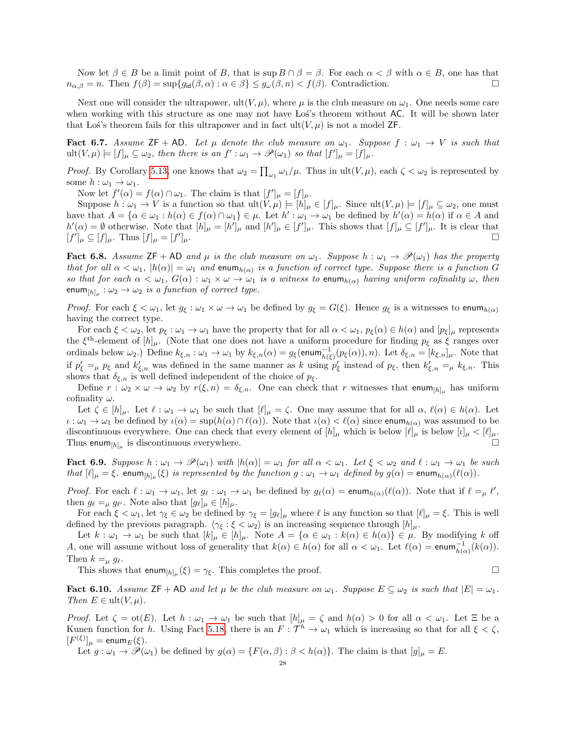Now let  $\beta \in B$  be a limit point of B, that is sup  $B \cap \beta = \beta$ . For each  $\alpha < \beta$  with  $\alpha \in B$ , one has that  $n_{\alpha,\beta} = n$ . Then  $f(\beta) = \sup \{g_{id}(\beta,\alpha) : \alpha \in \beta\} \le g_{\omega}(\beta,n) < f(\beta)$ . Contradiction.

Next one will consider the ultrapower,  $ult(V, \mu)$ , where  $\mu$  is the club measure on  $\omega_1$ . One needs some care when working with this structure as one may not have Los's theorem without AC. It will be shown later that Los's theorem fails for this ultrapower and in fact  $ult(V, \mu)$  is not a model ZF.

<span id="page-27-1"></span>**Fact 6.7.** Assume  $ZF + AD$ . Let  $\mu$  denote the club measure on  $\omega_1$ . Suppose  $f : \omega_1 \to V$  is such that  $\text{ult}(V, \mu) \models [f]_{\mu} \subseteq \omega_2$ , then there is an  $f' : \omega_1 \to \mathscr{P}(\omega_1)$  so that  $[f']_{\mu} = [f]_{\mu}$ .

*Proof.* By Corollary [5.13,](#page-21-2) one knows that  $\omega_2 = \prod_{\omega_1} \omega_1/\mu$ . Thus in ult $(V, \mu)$ , each  $\zeta < \omega_2$  is represented by some  $h : \omega_1 \to \omega_1$ .

Now let  $f'(\alpha) = f(\alpha) \cap \omega_1$ . The claim is that  $[f']_\mu = [f]_\mu$ .

Suppose  $h : \omega_1 \to V$  is a function so that  $ult(V, \mu) \models [h]_\mu \in [f]_\mu$ . Since  $ult(V, \mu) \models [f]_\mu \subseteq \omega_2$ , one must have that  $A = \{ \alpha \in \omega_1 : h(\alpha) \in f(\alpha) \cap \omega_1 \} \in \mu$ . Let  $h' : \omega_1 \to \omega_1$  be defined by  $h'(\alpha) = h(\alpha)$  if  $\alpha \in A$  and  $h'(\alpha) = \emptyset$  otherwise. Note that  $[h]_\mu = [h']_\mu$  and  $[h']_\mu \in [f']_\mu$ . This shows that  $[f]_\mu \subseteq [f']_\mu$ . It is clear that  $[f']_\mu \subseteq [f]_\mu$ . Thus  $[f]_\mu = [f']_\mu$  $]_{\mu}$ .

<span id="page-27-2"></span>**Fact 6.8.** Assume  $ZF + AD$  and  $\mu$  is the club measure on  $\omega_1$ . Suppose  $h : \omega_1 \to \mathcal{P}(\omega_1)$  has the property that for all  $\alpha < \omega_1$ ,  $|h(\alpha)| = \omega_1$  and enum<sub>h( $\alpha$ )</sub> is a function of correct type. Suppose there is a function G so that for each  $\alpha < \omega_1$ ,  $G(\alpha) : \omega_1 \times \omega \to \omega_1$  is a witness to enum<sub>h( $\alpha$ )</sub> having uniform cofinality  $\omega$ , then enum $_{[h]_\mu} : \omega_2 \to \omega_2$  is a function of correct type.

*Proof.* For each  $\xi < \omega_1$ , let  $g_{\xi} : \omega_1 \times \omega \to \omega_1$  be defined by  $g_{\xi} = G(\xi)$ . Hence  $g_{\xi}$  is a witnesses to enum<sub>h( $\alpha$ )</sub> having the correct type.

For each  $\xi < \omega_2$ , let  $p_{\xi} : \omega_1 \to \omega_1$  have the property that for all  $\alpha < \omega_1$ ,  $p_{\xi}(\alpha) \in h(\alpha)$  and  $[p_{\xi}]_{\mu}$  represents the  $\xi^{\text{th}}$ -element of  $[h]_{\mu}$ . (Note that one does not have a uniform procedure for finding  $p_{\xi}$  as  $\xi$  ranges over ordinals below  $\omega_2$ .) Define  $k_{\xi,n} : \omega_1 \to \omega_1$  by  $k_{\xi,n}(\alpha) = g_{\xi}(\text{enum}_{h(\xi)}^{-1}(p_{\xi}(\alpha)), n)$ . Let  $\delta_{\xi,n} = [k_{\xi,n}]_{\mu}$ . Note that if  $p'_\xi =_\mu p_\xi$  and  $k'_{\xi,n}$  was defined in the same manner as k using  $p'_\xi$  instead of  $p_\xi$ , then  $k'_{\xi,n} =_\mu k_{\xi,n}$ . This shows that  $\delta_{\xi,n}$  is well defined independent of the choice of  $p_{\xi}$ .

Define  $r : \omega_2 \times \omega \to \omega_2$  by  $r(\xi, n) = \delta_{\xi, n}$ . One can check that r witnesses that enum $[h]_\mu$  has uniform cofinality  $\omega$ .

Let  $\zeta \in [h]_\mu$ . Let  $\ell : \omega_1 \to \omega_1$  be such that  $[\ell]_\mu = \zeta$ . One may assume that for all  $\alpha, \ell(\alpha) \in h(\alpha)$ . Let  $\iota : \omega_1 \to \omega_1$  be defined by  $\iota(\alpha) = \sup(h(\alpha) \cap \ell(\alpha))$ . Note that  $\iota(\alpha) < \ell(\alpha)$  since enum $h(\alpha)$  was assumed to be discontinuous everywhere. One can check that every element of  $[h]_\mu$  which is below  $[\ell]_\mu$  is below  $[\ell]_\mu < [\ell]_\mu$ . Thus enum $[h]_\mu$  is discontinuous everywhere.

<span id="page-27-3"></span>**Fact 6.9.** Suppose  $h : \omega_1 \to \mathcal{P}(\omega_1)$  with  $|h(\alpha)| = \omega_1$  for all  $\alpha < \omega_1$ . Let  $\xi < \omega_2$  and  $\ell : \omega_1 \to \omega_1$  be such that  $[\ell]_{\mu} = \xi$ . enum $_{[h]_{\mu}}(\xi)$  is represented by the function  $g : \omega_1 \to \omega_1$  defined by  $g(\alpha) = \text{enum}_{h(\alpha)}(\ell(\alpha))$ .

Proof. For each  $\ell : \omega_1 \to \omega_1$ , let  $g_\ell : \omega_1 \to \omega_1$  be defined by  $g_\ell(\alpha) = \text{enum}_{h(\alpha)}(\ell(\alpha))$ . Note that if  $\ell =_\mu \ell'$ , then  $g_{\ell} =_{\mu} g_{\ell'}$ . Note also that  $[g_{\ell}]_{\mu} \in [h]_{\mu}$ .

For each  $\xi < \omega_1$ , let  $\gamma_{\xi} \in \omega_2$  be defined by  $\gamma_{\xi} = [g_{\ell}]_{\mu}$  where  $\ell$  is any function so that  $[\ell]_{\mu} = \xi$ . This is well defined by the previous paragraph.  $\langle \gamma_{\xi} : \xi \langle \omega_2 \rangle$  is an increasing sequence through  $[h]_{\mu}$ .

Let  $k : \omega_1 \to \omega_1$  be such that  $[k]_\mu \in [h]_\mu$ . Note  $A = {\alpha \in \omega_1 : k(\alpha) \in h(\alpha)} \in \mu$ . By modifying k off A, one will assume without loss of generality that  $k(\alpha) \in h(\alpha)$  for all  $\alpha < \omega_1$ . Let  $\ell(\alpha) = \text{enum}_{h(\alpha)}^{-1}(k(\alpha))$ . Then  $k =_{\mu} g_{\ell}$ .

This shows that  $\text{enum}_{[h]_\mu}(\xi) = \gamma_{\xi}$ . This completes the proof.

<span id="page-27-0"></span>**Fact 6.10.** Assume  $\mathsf{ZF} + \mathsf{AD}$  and let  $\mu$  be the club measure on  $\omega_1$ . Suppose  $E \subseteq \omega_2$  is such that  $|E| = \omega_1$ . Then  $E \in \text{ult}(V, \mu)$ .

*Proof.* Let  $\zeta = \text{ot}(E)$ . Let  $h : \omega_1 \to \omega_1$  be such that  $[h]_\mu = \zeta$  and  $h(\alpha) > 0$  for all  $\alpha < \omega_1$ . Let  $\Xi$  be a Kunen function for h. Using Fact [5.18,](#page-23-0) there is an  $F: \mathcal{T}^h \to \omega_1$  which is increasing so that for all  $\xi < \zeta$ ,  $[F^{(\xi)}]_{\mu} = \text{enum}_E(\xi).$ 

Let  $g: \omega_1 \to \mathscr{P}(\omega_1)$  be defined by  $g(\alpha) = \{F(\alpha, \beta) : \beta < h(\alpha)\}\)$ . The claim is that  $[g]_\mu = E$ .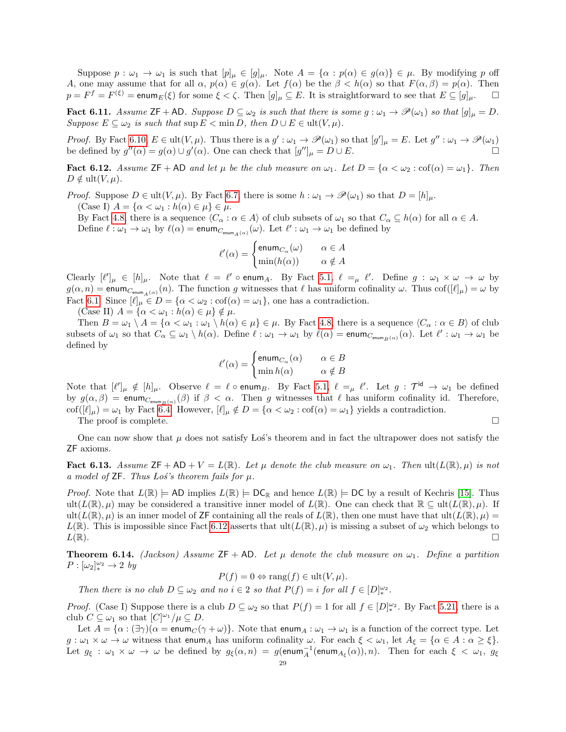Suppose  $p : \omega_1 \to \omega_1$  is such that  $[p]_\mu \in [g]_\mu$ . Note  $A = {\alpha : p(\alpha) \in g(\alpha)} \in \mu$ . By modifying p off A, one may assume that for all  $\alpha$ ,  $p(\alpha) \in g(\alpha)$ . Let  $f(\alpha)$  be the  $\beta < h(\alpha)$  so that  $F(\alpha, \beta) = p(\alpha)$ . Then  $p = F^f = F^{(\xi)} = \text{enum}_E(\xi)$  for some  $\xi < \zeta$ . Then  $[g]_\mu \subseteq E$ . It is straightforward to see that  $E \subseteq [g]_\mu$ .

<span id="page-28-2"></span>**Fact 6.11.** Assume  $\mathsf{ZF} + \mathsf{AD}$ . Suppose  $D \subseteq \omega_2$  is such that there is some  $g : \omega_1 \to \mathscr{P}(\omega_1)$  so that  $[g]_\mu = D$ . Suppose  $E \subseteq \omega_2$  is such that sup  $E < \min D$ , then  $D \cup E \in \text{ult}(V, \mu)$ .

*Proof.* By Fact [6.10,](#page-27-0)  $E \in \text{ult}(V, \mu)$ . Thus there is a  $g' : \omega_1 \to \mathscr{P}(\omega_1)$  so that  $[g']_{\mu} = E$ . Let  $g'' : \omega_1 \to \mathscr{P}(\omega_1)$ be defined by  $g''(\alpha) = g(\alpha) \cup g'(\alpha)$ . One can check that  $[g'']_{\mu} = D \cup E$ .

<span id="page-28-0"></span>**Fact 6.12.** Assume  $\mathsf{ZF} + \mathsf{AD}$  and let  $\mu$  be the club measure on  $\omega_1$ . Let  $D = {\alpha < \omega_2 : \text{cof}(\alpha) = \omega_1}$ . Then  $D \notin \text{ult}(V, \mu)$ .

*Proof.* Suppose  $D \in \text{ult}(V, \mu)$ . By Fact [6.7,](#page-27-1) there is some  $h : \omega_1 \to \mathscr{P}(\omega_1)$  so that  $D = [h]_{\mu}$ . (Case I)  $A = \{\alpha < \omega_1 : h(\alpha) \in \mu\} \in \mu$ .

By Fact [4.8,](#page-10-1) there is a sequence  $\langle C_\alpha : \alpha \in A \rangle$  of club subsets of  $\omega_1$  so that  $C_\alpha \subseteq h(\alpha)$  for all  $\alpha \in A$ . Define  $\ell : \omega_1 \to \omega_1$  by  $\ell(\alpha) = \text{enum}_{C_{\text{enum}_A}(\alpha)}(\omega)$ . Let  $\ell' : \omega_1 \to \omega_1$  be defined by

$$
\ell'(\alpha) = \begin{cases} \text{enum}_{C_{\alpha}}(\omega) & \alpha \in A \\ \min(h(\alpha)) & \alpha \notin A \end{cases}
$$

Clearly  $[\ell']_\mu \in [h]_\mu$ . Note that  $\ell = \ell' \circ \text{enum}_A$ . By Fact [5.1,](#page-16-1)  $\ell =_\mu \ell'$ . Define  $g : \omega_1 \times \omega \to \omega$  by  $g(\alpha, n) = \textsf{enum}_{C_{\textsf{enum}_A(\alpha)}}(n)$ . The function g witnesses that  $\ell$  has uniform cofinality  $\omega$ . Thus  $\text{cof}([\ell]_\mu) = \omega$  by Fact [6.1.](#page-24-0) Since  $[\ell]_{\mu} \in D = {\alpha < \omega_2 : \text{cof}(\alpha) = \omega_1},$  one has a contradiction.

(Case II)  $A = {\alpha < \omega_1 : h(\alpha) \in \mu} \notin \mu$ .

Then  $B = \omega_1 \setminus A = \{ \alpha < \omega_1 : \omega_1 \setminus h(\alpha) \in \mu \} \in \mu$ . By Fact [4.8,](#page-10-1) there is a sequence  $\langle C_\alpha : \alpha \in B \rangle$  of club subsets of  $\omega_1$  so that  $C_\alpha \subseteq \omega_1 \setminus h(\alpha)$ . Define  $\ell : \omega_1 \to \omega_1$  by  $\ell(\alpha) = \text{enum}_{C_{\text{enum}_B(\alpha)}}(\alpha)$ . Let  $\ell' : \omega_1 \to \omega_1$  be defined by

$$
\ell'(\alpha) = \begin{cases} \mathsf{enum}_{C_\alpha}(\alpha) & \alpha \in B \\ \min h(\alpha) & \alpha \notin B \end{cases}
$$

Note that  $[\ell']_\mu \notin [h]_\mu$ . Observe  $\ell = \ell \circ \text{enum}_B$ . By Fact [5.1,](#page-16-1)  $\ell =_\mu \ell'$ . Let  $g : \mathcal{T}^{\text{id}} \to \omega_1$  be defined by  $g(\alpha, \beta) = \text{enum}_{C_{\text{enum}_B(\alpha)}}(\beta)$  if  $\beta < \alpha$ . Then g witnesses that  $\ell$  has uniform cofinality id. Therefore, cof( $[\ell]_{\mu}$ ) =  $\omega_1$  by Fact [6.4.](#page-25-0) However,  $[\ell]_{\mu} \notin D = {\alpha < \omega_2 : \text{cof}(\alpha) = \omega_1}$  yields a contradiction. The proof is complete.  $\Box$ 

One can now show that  $\mu$  does not satisfy Los's theorem and in fact the ultrapower does not satisfy the ZF axioms.

**Fact 6.13.** Assume  $\mathsf{ZF} + \mathsf{AD} + V = L(\mathbb{R})$ . Let  $\mu$  denote the club measure on  $\omega_1$ . Then  $\mathrm{ult}(L(\mathbb{R}), \mu)$  is not a model of  $\mathsf{ZF}$ . Thus Los's theorem fails for  $\mu$ .

*Proof.* Note that  $L(\mathbb{R}) \models \mathsf{AD}$  implies  $L(\mathbb{R}) \models \mathsf{DC}_{\mathbb{R}}$  and hence  $L(\mathbb{R}) \models \mathsf{DC}$  by a result of Kechris [\[15\]](#page-40-9). Thus  $ult(L(\mathbb{R}), \mu)$  may be considered a transitive inner model of  $L(\mathbb{R})$ . One can check that  $\mathbb{R} \subset \text{ult}(L(\mathbb{R}), \mu)$ . If ult( $L(\mathbb{R}), \mu$ ) is an inner model of ZF containing all the reals of  $L(\mathbb{R})$ , then one must have that ult( $L(\mathbb{R}), \mu$ ) =  $L(\mathbb{R})$ . This is impossible since Fact [6.12](#page-28-0) asserts that  $ult(L(\mathbb{R}), \mu)$  is missing a subset of  $\omega_2$  which belongs to  $L(\mathbb{R})$ .

<span id="page-28-1"></span>**Theorem 6.14.** (Jackson) Assume  $ZF + AD$ . Let  $\mu$  denote the club measure on  $\omega_1$ . Define a partition  $P : [\omega_2]_*^{\omega_2} \to 2 \, by$ 

$$
P(f) = 0 \Leftrightarrow \text{rang}(f) \in \text{ult}(V, \mu).
$$

Then there is no club  $D \subseteq \omega_2$  and no  $i \in 2$  so that  $P(f) = i$  for all  $f \in [D]_{*}^{\omega_2}$ .

*Proof.* (Case I) Suppose there is a club  $D \subseteq \omega_2$  so that  $P(f) = 1$  for all  $f \in [D]_{*}^{\omega_2}$ . By Fact [5.21,](#page-24-1) there is a club  $C \subseteq \omega_1$  so that  $[C]^{\omega_1}/\mu \subseteq D$ .

Let  $A = {\alpha : (\exists \gamma)(\alpha = \text{enum}_C(\gamma + \omega))}$ . Note that  $\text{enum}_A : \omega_1 \to \omega_1$  is a function of the correct type. Let  $g: \omega_1 \times \omega \to \omega$  witness that enum<sub>A</sub> has uniform cofinality  $\omega$ . For each  $\xi < \omega_1$ , let  $A_{\xi} = {\alpha \in A : \alpha \geq \xi}$ . Let  $g_{\xi}: \omega_1 \times \omega \to \omega$  be defined by  $g_{\xi}(\alpha, n) = g(\text{enum}_A^{-1}(\text{enum}_{A_{\xi}}(\alpha)), n)$ . Then for each  $\xi < \omega_1$ ,  $g_{\xi}$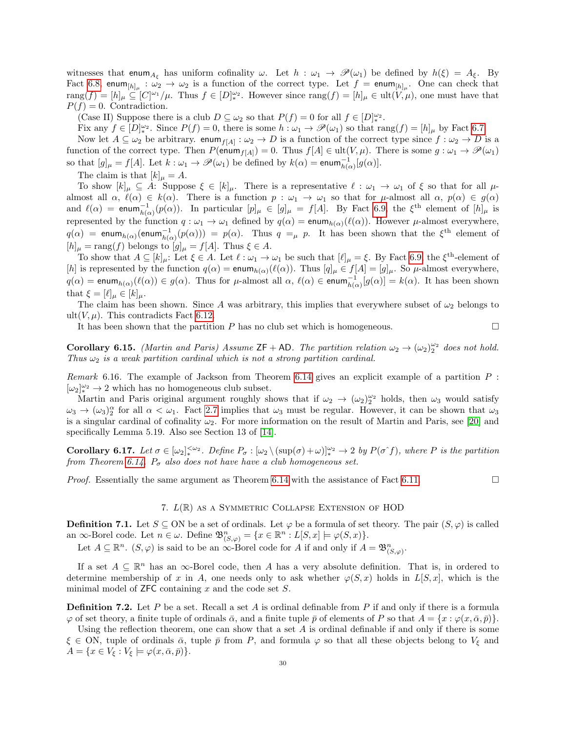witnesses that enum<sub>A<sub>ξ</sub></sub> has uniform cofinality  $\omega$ . Let  $h : \omega_1 \to \mathscr{P}(\omega_1)$  be defined by  $h(\xi) = A_{\xi}$ . By Fact [6.8,](#page-27-2) enum<sub>[h]</sub><sub> $\mu$ </sub> :  $\omega_2 \to \omega_2$  is a function of the correct type. Let  $f =$  enum<sub>[h]<sub> $\mu$ </sub>. One can check that</sub>  $\text{rang}(f) = [h]_\mu \subseteq [C]^{\omega_1}/\mu$ . Thus  $f \in [D]_*^{\omega_2}$ . However since  $\text{rang}(f) = [h]_\mu \in \text{ult}(V, \mu)$ , one must have that  $P(f) = 0$ . Contradiction.

(Case II) Suppose there is a club  $D \subseteq \omega_2$  so that  $P(f) = 0$  for all  $f \in [D]_*^{\omega_2}$ .

Fix any  $f \in [D]_{*}^{\omega_2}$ . Since  $P(f) = 0$ , there is some  $h : \omega_1 \to \mathscr{P}(\omega_1)$  so that  $\text{rang}(f) = [h]_{\mu}$  by Fact [6.7.](#page-27-1)

Now let  $A \subseteq \omega_2$  be arbitrary. enum  $f[A]: \omega_2 \to D$  is a function of the correct type since  $f: \omega_2 \to D$  is a function of the correct type. Then  $P(\text{enum}_{f[A]}) = 0$ . Thus  $f[A] \in \text{ult}(V, \mu)$ . There is some  $g : \omega_1 \to \mathcal{P}(\omega_1)$ so that  $[g]_\mu = f[A]$ . Let  $k : \omega_1 \to \mathscr{P}(\omega_1)$  be defined by  $k(\alpha) = \text{enum}_{h(\alpha)}^{-1}[g(\alpha)]$ .

The claim is that  $[k]_{\mu} = A$ .

To show  $[k]_{\mu} \subseteq A$ : Suppose  $\xi \in [k]_{\mu}$ . There is a representative  $\ell : \omega_1 \to \omega_1$  of  $\xi$  so that for all  $\mu$ almost all  $\alpha$ ,  $\ell(\alpha) \in k(\alpha)$ . There is a function  $p : \omega_1 \to \omega_1$  so that for  $\mu$ -almost all  $\alpha$ ,  $p(\alpha) \in g(\alpha)$ and  $\ell(\alpha) = \text{enum}_{h(\alpha)}^{-1}(p(\alpha))$ . In particular  $[p]_\mu \in [g]_\mu = f[A]$ . By Fact [6.9,](#page-27-3) the  $\xi^{\text{th}}$  element of  $[h]_\mu$  is represented by the function  $q : \omega_1 \to \omega_1$  defined by  $q(\alpha) = \text{enum}_{h(\alpha)}(\ell(\alpha))$ . However  $\mu$ -almost everywhere,  $q(\alpha)$  = enum<sub>h(α)</sub>(enum<sub>h(α)</sub>( $p(\alpha)$ )) =  $p(\alpha)$ . Thus  $q =_{\mu} p$ . It has been shown that the  $\xi$ <sup>th</sup> element of  $[h]_\mu = \text{rang}(f)$  belongs to  $[g]_\mu = f[A]$ . Thus  $\xi \in A$ .

To show that  $A \subseteq [k]_{\mu}$ : Let  $\xi \in A$ . Let  $\ell : \omega_1 \to \omega_1$  be such that  $[\ell]_{\mu} = \xi$ . By Fact [6.9,](#page-27-3) the  $\xi^{\text{th}}$ -element of [h] is represented by the function  $q(\alpha) = \text{enum}_{h(\alpha)}(\ell(\alpha))$ . Thus  $[q]_\mu \in f[A] = [g]_\mu$ . So  $\mu$ -almost everywhere,  $q(\alpha) = \text{enum}_{h(\alpha)}(\ell(\alpha)) \in g(\alpha)$ . Thus for  $\mu$ -almost all  $\alpha, \ell(\alpha) \in \text{enum}_{h(\alpha)}^{-1}[g(\alpha)] = k(\alpha)$ . It has been shown that  $\xi = [\ell]_{\mu} \in [k]_{\mu}$ .

The claim has been shown. Since A was arbitrary, this implies that everywhere subset of  $\omega_2$  belongs to ult $(V, \mu)$ . This contradicts Fact [6.12.](#page-28-0)

It has been shown that the partition  $P$  has no club set which is homogeneous.  $\square$ 

**Corollary 6.15.** (Martin and Paris) Assume  $ZF + AD$ . The partition relation  $\omega_2 \to (\omega_2)_2^{\omega_2}$  does not hold. Thus  $\omega_2$  is a weak partition cardinal which is not a strong partition cardinal.

Remark 6.16. The example of Jackson from Theorem [6.14](#page-28-1) gives an explicit example of a partition  $P$ :  $[\omega_2]_*^{\omega_2} \rightarrow 2$  which has no homogeneous club subset.

Martin and Paris original argument roughly shows that if  $\omega_2 \to (\omega_2)^{\omega_2}_{2}$  holds, then  $\omega_3$  would satisfy  $\omega_3 \to (\omega_3)_2^{\alpha}$  for all  $\alpha < \omega_1$ . Fact [2.7](#page-2-2) implies that  $\omega_3$  must be regular. However, it can be shown that  $\omega_3$ is a singular cardinal of cofinality  $\omega_2$ . For more information on the result of Martin and Paris, see [\[20\]](#page-40-4) and specifically Lemma 5.19. Also see Section 13 of [\[14\]](#page-40-12).

**Corollary 6.17.** Let  $\sigma \in [\omega_2]_{*}^{<\omega_2}$ . Define  $P_{\sigma} : [\omega_2 \setminus (\sup(\sigma) + \omega)]_{*}^{\omega_2} \to 2$  by  $P(\sigma^*f)$ , where P is the partition from Theorem [6.14.](#page-28-1)  $P_{\sigma}$  also does not have have a club homogeneous set.

*Proof.* Essentially the same argument as Theorem [6.14](#page-28-1) with the assistance of Fact [6.11.](#page-28-2)

# 7.  $L(\mathbb{R})$  as a Symmetric Collapse Extension of HOD

**Definition 7.1.** Let  $S \subseteq ON$  be a set of ordinals. Let  $\varphi$  be a formula of set theory. The pair  $(S, \varphi)$  is called an  $\infty$ -Borel code. Let  $n \in \omega$ . Define  $\mathfrak{B}^n_{(S,\varphi)} = \{x \in \mathbb{R}^n : L[S,x] \models \varphi(S,x)\}.$ 

Let  $A \subseteq \mathbb{R}^n$ .  $(S, \varphi)$  is said to be an  $\infty$ -Borel code for A if and only if  $A = \mathfrak{B}^n_{(S, \varphi)}$ .

If a set  $A \subseteq \mathbb{R}^n$  has an  $\infty$ -Borel code, then A has a very absolute definition. That is, in ordered to determine membership of x in A, one needs only to ask whether  $\varphi(S, x)$  holds in  $L[S, x]$ , which is the minimal model of  $ZFC$  containing x and the code set  $S$ .

**Definition 7.2.** Let P be a set. Recall a set A is ordinal definable from P if and only if there is a formula  $\varphi$  of set theory, a finite tuple of ordinals  $\bar{\alpha}$ , and a finite tuple  $\bar{p}$  of elements of P so that  $A = \{x : \varphi(x, \bar{\alpha}, \bar{p})\}.$ 

Using the reflection theorem, one can show that a set  $A$  is ordinal definable if and only if there is some  $\xi \in ON$ , tuple of ordinals  $\bar{\alpha}$ , tuple  $\bar{p}$  from P, and formula  $\varphi$  so that all these objects belong to  $V_{\xi}$  and  $A = \{x \in V_{\xi} : V_{\xi} \models \varphi(x, \bar{\alpha}, \bar{p})\}.$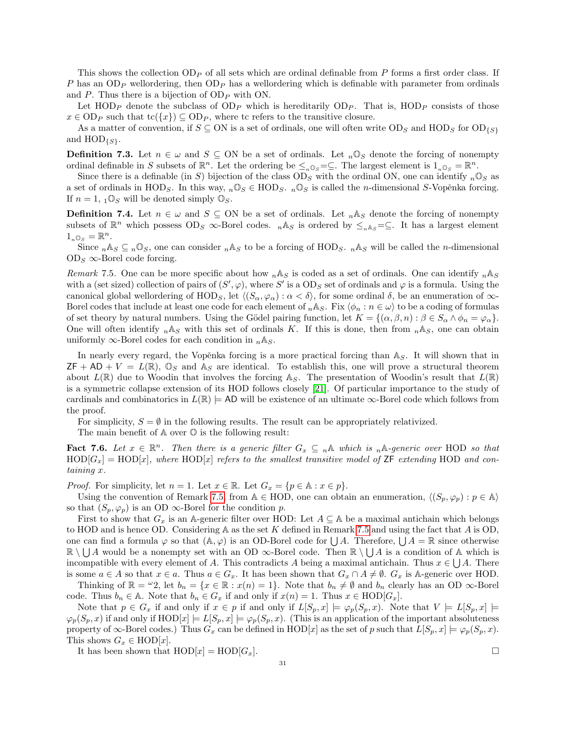This shows the collection  $OD_P$  of all sets which are ordinal definable from P forms a first order class. If P has an  $OD_P$  wellordering, then  $OD_P$  has a wellordering which is definable with parameter from ordinals and P. Thus there is a bijection of  $OD_P$  with ON.

Let  $HOD_P$  denote the subclass of  $OD_P$  which is hereditarily  $OD_P$ . That is,  $HOD_P$  consists of those  $x \in \text{OD}_P$  such that  $\text{tc}(\{x\}) \subseteq \text{OD}_P$ , where tc refers to the transitive closure.

As a matter of convention, if  $S \subseteq ON$  is a set of ordinals, one will often write  $OD_{S}$  and  $HOD_{S}$  for  $OD_{\{S\}}$ and  $HOD_{\{S\}}$ .

**Definition 7.3.** Let  $n \in \omega$  and  $S \subseteq ON$  be a set of ordinals. Let  $n\mathbb{O}_S$  denote the forcing of nonempty ordinal definable in S subsets of  $\mathbb{R}^n$ . Let the ordering be  $\leq_{n_0s} = \subseteq$ . The largest element is  $1_{n_0s} = \mathbb{R}^n$ .

Since there is a definable (in S) bijection of the class  $OD_S$  with the ordinal ON, one can identify  $_n\mathbb{O}_S$  as a set of ordinals in HOD<sub>S</sub>. In this way,  $n\mathbb{O}_S \in \text{HOD}_S$ .  $n\mathbb{O}_S$  is called the *n*-dimensional S-Vopěnka forcing. If  $n = 1$ ,  $\mathbb{0}_S$  will be denoted simply  $\mathbb{0}_S$ .

**Definition 7.4.** Let  $n \in \omega$  and  $S \subseteq ON$  be a set of ordinals. Let  ${}_{n}$ A<sub>S</sub> denote the forcing of nonempty subsets of  $\mathbb{R}^n$  which possess  $OD_S \infty$ -Borel codes.  $_n \mathbb{A}_S$  is ordered by  $\leq_{n} \mathbb{A}_S = \subseteq$ . It has a largest element  $1_{n\mathbb{O}_S} = \mathbb{R}^n$ .

Since  $_n \mathbb{A}_S \subseteq n \mathbb{O}_S$ , one can consider  $_n \mathbb{A}_S$  to be a forcing of HOD<sub>S</sub>.  $_n \mathbb{A}_S$  will be called the *n*-dimensional OD<sub>S</sub>  $\infty$ -Borel code forcing.

<span id="page-30-0"></span>Remark 7.5. One can be more specific about how  ${}_{n}$ A<sub>S</sub> is coded as a set of ordinals. One can identify  ${}_{n}$ A<sub>S</sub> with a (set sized) collection of pairs of  $(S', \varphi)$ , where S' is a  $OD_S$  set of ordinals and  $\varphi$  is a formula. Using the canonical global wellordering of HOD<sub>S</sub>, let  $\langle (S_\alpha, \varphi_\alpha) : \alpha < \delta \rangle$ , for some ordinal  $\delta$ , be an enumeration of  $\infty$ -Borel codes that include at least one code for each element of  $_n \mathbb{A}_S$ . Fix  $\langle \phi_n : n \in \omega \rangle$  to be a coding of formulas of set theory by natural numbers. Using the Gödel pairing function, let  $K = \{(\alpha, \beta, n) : \beta \in S_\alpha \land \phi_n = \varphi_\alpha\}.$ One will often identify  ${}_{n}\mathbb{A}_{S}$  with this set of ordinals K. If this is done, then from  ${}_{n}\mathbb{A}_{S}$ , one can obtain uniformly  $\infty$ -Borel codes for each condition in  $_n \mathbb{A}_S$ .

In nearly every regard, the Vopěnka forcing is a more practical forcing than  $\mathbb{A}_S$ . It will shown that in  $ZF + AD + V = L(\mathbb{R}), \mathbb{O}_S$  and  $\mathbb{A}_S$  are identical. To establish this, one will prove a structural theorem about  $L(\mathbb{R})$  due to Woodin that involves the forcing  $\mathbb{A}_S$ . The presentation of Woodin's result that  $L(\mathbb{R})$ is a symmetric collapse extension of its HOD follows closely [\[21\]](#page-40-13). Of particular importance to the study of cardinals and combinatorics in  $L(\mathbb{R}) \models AD$  will be existence of an ultimate  $\infty$ -Borel code which follows from the proof.

For simplicity,  $S = \emptyset$  in the following results. The result can be appropriately relativized.

The main benefit of  $A$  over  $\mathbb O$  is the following result:

<span id="page-30-1"></span>**Fact 7.6.** Let  $x \in \mathbb{R}^n$ . Then there is a generic filter  $G_x \subseteq n\mathbb{A}$  which is  $_n\mathbb{A}$ -generic over HOD so that  $HOD[G_x] = HOD[x]$ , where  $HOD[x]$  refers to the smallest transitive model of ZF extending HOD and containing x.

*Proof.* For simplicity, let  $n = 1$ . Let  $x \in \mathbb{R}$ . Let  $G_x = \{p \in \mathbb{A} : x \in p\}$ .

Using the convention of Remark [7.5,](#page-30-0) from  $A \in HOD$ , one can obtain an enumeration,  $\langle (S_p, \varphi_p) : p \in A \rangle$ so that  $(S_p, \varphi_p)$  is an OD  $\infty$ -Borel for the condition p.

First to show that  $G_x$  is an A-generic filter over HOD: Let  $A \subseteq A$  be a maximal antichain which belongs to HOD and is hence OD. Considering  $A$  as the set K defined in Remark [7.5](#page-30-0) and using the fact that A is OD, one can find a formula  $\varphi$  so that  $(A, \varphi)$  is an OD-Borel code for  $\bigcup A$ . Therefore,  $\bigcup A = \mathbb{R}$  since otherwise  $\mathbb{R} \setminus \bigcup A$  would be a nonempty set with an OD  $\infty$ -Borel code. Then  $\mathbb{R} \setminus \bigcup A$  is a condition of A which is incompatible with every element of A. This contradicts A being a maximal antichain. Thus  $x \in \bigcup A$ . There is some  $a \in A$  so that  $x \in a$ . Thus  $a \in G_x$ . It has been shown that  $G_x \cap A \neq \emptyset$ .  $G_x$  is A-generic over HOD.

Thinking of  $\mathbb{R} = \{x \in \mathbb{R} : x(n) = 1\}$ . Note that  $b_n \neq \emptyset$  and  $b_n$  clearly has an OD  $\infty$ -Borel code. Thus  $b_n \in A$ . Note that  $b_n \in G_x$  if and only if  $x(n) = 1$ . Thus  $x \in \text{HOD}[G_x]$ .

Note that  $p \in G_x$  if and only if  $x \in p$  if and only if  $L[S_p, x] \models \varphi_p(S_p, x)$ . Note that  $V \models L[S_p, x] \models$  $\varphi_p(S_p, x)$  if and only if  $\text{HOD}[x] \models L[S_p, x] \models \varphi_p(S_p, x)$ . (This is an application of the important absoluteness property of  $\infty$ -Borel codes.) Thus  $G_x$  can be defined in HOD[x] as the set of p such that  $L[S_p, x] \models \varphi_p(S_p, x)$ . This shows  $G_x \in \text{HOD}[x]$ .

It has been shown that  $HOD[x] = HOD[G_x]$ .

$$
\Box
$$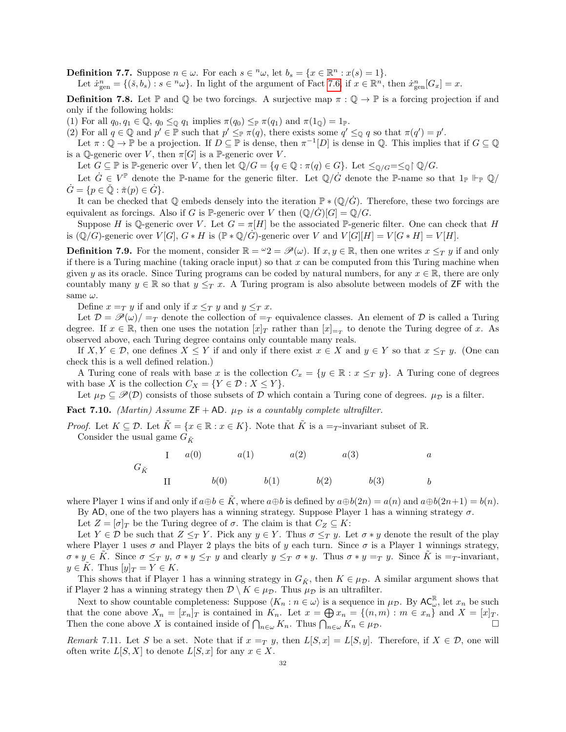**Definition 7.7.** Suppose  $n \in \omega$ . For each  $s \in \alpha^n$ , let  $b_s = \{x \in \mathbb{R}^n : x(s) = 1\}$ .

Let  $\dot{x}_{gen}^n = \{(\check{s}, b_s) : s \in {}^n\omega\}$ . In light of the argument of Fact [7.6,](#page-30-1) if  $x \in \mathbb{R}^n$ , then  $\dot{x}_{gen}^n[G_x] = x$ .

<span id="page-31-0"></span>**Definition 7.8.** Let  $\mathbb{P}$  and  $\mathbb{Q}$  be two forcings. A surjective map  $\pi : \mathbb{Q} \to \mathbb{P}$  is a forcing projection if and only if the following holds:

(1) For all  $q_0, q_1 \in \mathbb{Q}$ ,  $q_0 \leq_{\mathbb{Q}} q_1$  implies  $\pi(q_0) \leq_{\mathbb{P}} \pi(q_1)$  and  $\pi(1_{\mathbb{Q}}) = 1_{\mathbb{P}}$ .

(2) For all  $q \in \mathbb{Q}$  and  $p' \in \mathbb{P}$  such that  $p' \leq_{\mathbb{P}} \pi(q)$ , there exists some  $q' \leq_{\mathbb{Q}} q$  so that  $\pi(q') = p'$ .

Let  $\pi: \mathbb{Q} \to \mathbb{P}$  be a projection. If  $D \subseteq \mathbb{P}$  is dense, then  $\pi^{-1}[D]$  is dense in  $\mathbb{Q}$ . This implies that if  $G \subseteq \mathbb{Q}$ is a Q-generic over V, then  $\pi[G]$  is a P-generic over V.

Let  $G \subseteq \mathbb{P}$  is  $\mathbb{P}$ -generic over V, then let  $\mathbb{Q}/G = \{q \in \mathbb{Q} : \pi(q) \in G\}$ . Let  $\leq_{\mathbb{Q}/G} = \leq_{\mathbb{Q}} \mathbb{Q}/G$ .

Let  $\dot{G} \in V^{\mathbb{P}}$  denote the P-name for the generic filter. Let  $\mathbb{Q}/\dot{G}$  denote the P-name so that  $1_{\mathbb{P}} \Vdash_{\mathbb{P}} \mathbb{Q}/\dot{\mathbb{Q}}$  $G = \{p \in \mathbb{Q} : \check{\pi}(p) \in G\}.$ 

It can be checked that Q embeds densely into the iteration  $\mathbb{P} * (\mathbb{Q}/G)$ . Therefore, these two forcings are equivalent as forcings. Also if G is P-generic over V then  $(\mathbb{Q}/G)[G] = \mathbb{Q}/G$ .

Suppose H is Q-generic over V. Let  $G = \pi[H]$  be the associated P-generic filter. One can check that H is  $(\mathbb{Q}/G)$ -generic over  $V[G], G * H$  is  $(\mathbb{P} * \mathbb{Q}/G)$ -generic over V and  $V[G][H] = V[G * H] = V[H]$ .

**Definition 7.9.** For the moment, consider  $\mathbb{R} = \omega_2 = \mathscr{P}(\omega)$ . If  $x, y \in \mathbb{R}$ , then one writes  $x \leq_T y$  if and only if there is a Turing machine (taking oracle input) so that  $x$  can be computed from this Turing machine when given y as its oracle. Since Turing programs can be coded by natural numbers, for any  $x \in \mathbb{R}$ , there are only countably many  $y \in \mathbb{R}$  so that  $y \leq_T x$ . A Turing program is also absolute between models of ZF with the same  $\omega$ .

Define  $x =_T y$  if and only if  $x \leq_T y$  and  $y \leq_T x$ .

Let  $\mathcal{D} = \mathscr{P}(\omega)/=T$  denote the collection of  $=T$  equivalence classes. An element of  $\mathcal{D}$  is called a Turing degree. If  $x \in \mathbb{R}$ , then one uses the notation  $[x]_T$  rather than  $[x]_{\equiv_T}$  to denote the Turing degree of x. As observed above, each Turing degree contains only countable many reals.

If  $X, Y \in \mathcal{D}$ , one defines  $X \leq Y$  if and only if there exist  $x \in X$  and  $y \in Y$  so that  $x \leq_T y$ . (One can check this is a well defined relation.)

A Turing cone of reals with base x is the collection  $C_x = \{y \in \mathbb{R} : x \leq_T y\}$ . A Turing cone of degrees with base X is the collection  $C_X = \{Y \in \mathcal{D} : X \leq Y\}.$ 

Let  $\mu_{\mathcal{D}} \subseteq \mathscr{P}(\mathcal{D})$  consists of those subsets of D which contain a Turing cone of degrees.  $\mu_{\mathcal{D}}$  is a filter.

Fact 7.10. (Martin) Assume  $ZF + AD$ .  $\mu_{\mathcal{D}}$  is a countably complete ultrafilter.

*Proof.* Let  $K \subseteq \mathcal{D}$ . Let  $\tilde{K} = \{x \in \mathbb{R} : x \in K\}$ . Note that  $\tilde{K}$  is a  $=T$ -invariant subset of  $\mathbb{R}$ .

Consider the usual game  $G_{\tilde{K}}$ 

$$
G_{\tilde{K}} \t\t\t I \t\t a(0) \t\t a(1) \t\t a(2) \t\t a(3) \t\t a \nII \t\t b(0) \t\t b(1) \t\t b(2) \t\t b(3) \t\t b
$$

where Player 1 wins if and only if  $a \oplus b \in \tilde{K}$ , where  $a \oplus b$  is defined by  $a \oplus b(2n) = a(n)$  and  $a \oplus b(2n+1) = b(n)$ .

By AD, one of the two players has a winning strategy. Suppose Player 1 has a winning strategy  $\sigma$ .

Let  $Z = [\sigma]_T$  be the Turing degree of  $\sigma$ . The claim is that  $C_Z \subseteq K$ :

Let  $Y \in \mathcal{D}$  be such that  $Z \leq_T Y$ . Pick any  $y \in Y$ . Thus  $\sigma \leq_T y$ . Let  $\sigma * y$  denote the result of the play where Player 1 uses  $\sigma$  and Player 2 plays the bits of y each turn. Since  $\sigma$  is a Player 1 winnings strategy,  $\sigma * y \in K$ . Since  $\sigma \leq_T y$ ,  $\sigma * y \leq_T y$  and clearly  $y \leq_T \sigma * y$ . Thus  $\sigma * y =_T y$ . Since K is  $=r$ -invariant,  $y \in K$ . Thus  $[y]_T = Y \in K$ .

This shows that if Player 1 has a winning strategy in  $G_{\tilde{K}}$ , then  $K \in \mu_{\mathcal{D}}$ . A similar argument shows that if Player 2 has a winning strategy then  $\mathcal{D} \setminus K \in \mu_{\mathcal{D}}$ . Thus  $\mu_{\mathcal{D}}$  is an ultrafilter.

Next to show countable completeness: Suppose  $\langle K_n : n \in \omega \rangle$  is a sequence in  $\mu_{\mathcal{D}}$ . By  $\mathsf{AC}_{\omega}^{\mathbb{R}}$ , let  $x_n$  be such that the cone above  $X_n = [x_n]_T$  is contained in  $K_n$ . Let  $x = \bigoplus x_n = \{(n, m) : m \in x_n\}$  and  $X = [x]_T$ . Then the cone above X is contained inside of  $\bigcap_{n\in\omega} K_n$ . Thus  $\bigcap_{n\in\omega} K_n \in \mu_{\mathcal{D}}$ .

Remark 7.11. Let S be a set. Note that if  $x =_T y$ , then  $L[S, x] = L[S, y]$ . Therefore, if  $X \in \mathcal{D}$ , one will often write  $L[S, X]$  to denote  $L[S, x]$  for any  $x \in X$ .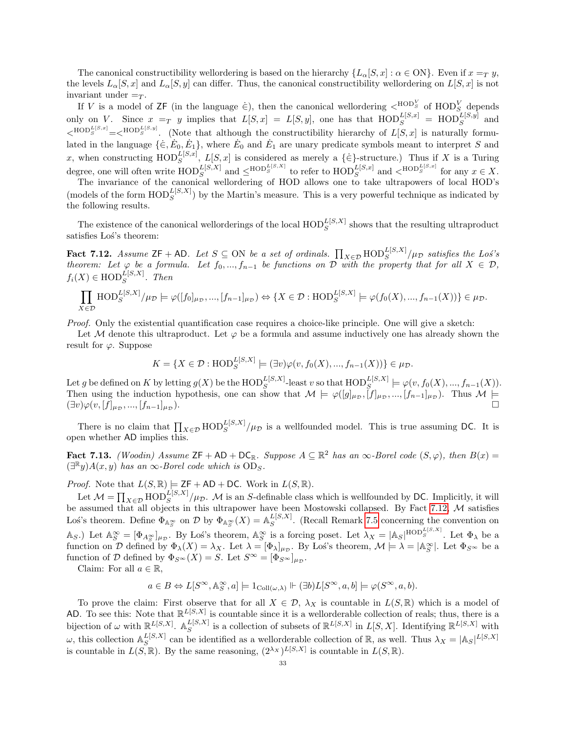The canonical constructibility wellordering is based on the hierarchy  $\{L_{\alpha}[S, x] : \alpha \in \mathcal{ON}\}\)$ . Even if  $x =_T y$ , the levels  $L_{\alpha}[S, x]$  and  $L_{\alpha}[S, y]$  can differ. Thus, the canonical constructibility wellordering on  $L[S, x]$  is not invariant under  $=r$ .

If V is a model of  $\text{ZF}$  (in the language  $\in$ ), then the canonical wellordering  $\lt^{\text{HOD}_S^V}$  of  $\text{HOD}_S^V$  depends only on V. Since  $x =_T y$  implies that  $L[S, x] = L[S, y]$ , one has that  $HOD_S^{L[S, x]} = HOD_S^{L[S, y]}$  and  $\epsilon^{HOD_S^{L[S,x]}} = \epsilon^{HOD_S^{L[S,y]}}$ . (Note that although the constructibility hierarchy of  $L[S,x]$  is naturally formulated in the language  $\{\dot{\in}, \dot{E}_0, \dot{E}_1\}$ , where  $\dot{E}_0$  and  $\dot{E}_1$  are unary predicate symbols meant to interpret S and x, when constructing  $\text{HOD}_{S}^{L[S,x]}$ ,  $L[S,x]$  is considered as merely a  $\{\in\}$ -structure.) Thus if X is a Turing degree, one will often write  $\text{HOD}_S^{L[S,X]}$  and  $\leq^{\text{HOD}_S^{L[S,X]}}$  to refer to  $\text{HOD}_S^{L[S,x]}$  and  $\lt^{\text{HOD}_S^{L[S,x]}}$  for any  $x \in X$ .

The invariance of the canonical wellordering of HOD allows one to take ultrapowers of local HOD's (models of the form  $\text{HOD}_S^{L[S,X]}$ ) by the Martin's measure. This is a very powerful technique as indicated by the following results.

The existence of the canonical wellorderings of the local  $\text{HOD}_{S}^{L[S,X]}$  shows that the resulting ultraproduct satisfies Los's theorem:

<span id="page-32-0"></span>Fact 7.12. Assume  $\mathsf{ZF} + \mathsf{AD}$ . Let  $S \subseteq \mathsf{ON}$  be a set of ordinals.  $\prod_{X \in \mathcal{D}} \mathrm{HOD}_S^{L[S,X]} / \mu_{\mathcal{D}}$  satisfies the Los's theorem: Let  $\varphi$  be a formula. Let  $f_0, ..., f_{n-1}$  be functions on D with the property that for all  $X \in \mathcal{D}$ ,  $f_i(X) \in \text{HOD}_S^{L[S,X]}$ . Then

$$
\prod_{X \in \mathcal{D}} \text{HOD}_{S}^{L[S,X]} / \mu_{\mathcal{D}} \models \varphi([f_{0}]_{\mu_{\mathcal{D}}},..., [f_{n-1}]_{\mu_{\mathcal{D}}}) \Leftrightarrow \{X \in \mathcal{D} : \text{HOD}_{S}^{L[S,X]} \models \varphi(f_{0}(X),..., f_{n-1}(X))\} \in \mu_{\mathcal{D}}.
$$

Proof. Only the existential quantification case requires a choice-like principle. One will give a sketch:

Let M denote this ultraproduct. Let  $\varphi$  be a formula and assume inductively one has already shown the result for  $\varphi$ . Suppose

$$
K = \{ X \in \mathcal{D} : \text{HOD}_{S}^{L[S,X]} \models (\exists v) \varphi(v, f_{0}(X), ..., f_{n-1}(X)) \} \in \mu_{\mathcal{D}}.
$$

Let g be defined on K by letting  $g(X)$  be the  $\mathrm{HOD}_S^{L[S,X]}$ -least v so that  $\mathrm{HOD}_S^{L[S,X]} \models \varphi(v, f_0(X), ..., f_{n-1}(X)).$ Then using the induction hypothesis, one can show that  $\mathcal{M} \models \varphi([g]_{\mu_{\mathcal{D}}}, [f]_{\mu_{\mathcal{D}}}, ..., [f_{n-1}]_{\mu_{\mathcal{D}}})$ . Thus  $\mathcal{M} \models$  $(\exists v)\varphi(v,[f]_{\mu_{\mathcal{D}}},...,[f_{n-1}]_{\mu_{\mathcal{D}}}).$ 

There is no claim that  $\prod_{X \in \mathcal{D}} \text{HOD}_S^{L[S,X]} / \mu_{\mathcal{D}}$  is a wellfounded model. This is true assuming DC. It is open whether AD implies this.

<span id="page-32-1"></span>**Fact 7.13.** (Woodin) Assume  $ZF + AD + DC_R$ . Suppose  $A \subseteq \mathbb{R}^2$  has an  $\infty$ -Borel code  $(S, \varphi)$ , then  $B(x) =$  $(\exists \mathbb{R} y) A(x, y)$  has an  $\infty$ -Borel code which is  $\overline{\text{OD}}_S$ .

*Proof.* Note that  $L(S, \mathbb{R}) \models \mathsf{ZF} + \mathsf{AD} + \mathsf{DC}$ . Work in  $L(S, \mathbb{R})$ .

Let  $\mathcal{M} = \prod_{X \in \mathcal{D}} \text{HOD}_S^{L[S,X]} / \mu_{\mathcal{D}}$ . M is an S-definable class which is wellfounded by DC. Implicitly, it will be assumed that all objects in this ultrapower have been Mostowski collapsed. By Fact [7.12,](#page-32-0) M satisfies Los's theorem. Define  $\Phi_{\mathbb{A}_S^{\infty}}$  on  $\mathcal D$  by  $\Phi_{\mathbb{A}_S^{\infty}}(X) = \mathbb{A}_S^{L[S,X]}$  $_{S}^{L[3,\Lambda]}$ . (Recall Remark [7.5](#page-30-0) concerning the convention on  $\mathbb{A}_S$ .) Let  $\mathbb{A}_S^{\infty} = [\Phi_{A_S^{\infty}}]_{\mu_{\mathcal{D}}}$ . By Los's theorem,  $\mathbb{A}_S^{\infty}$  is a forcing poset. Let  $\lambda_X = |\mathbb{A}_S|^{HOD_S^{L[S,X]}}$ . Let  $\Phi_{\lambda}$  be a function on  $\mathcal{D}$  defined by  $\Phi_{\lambda}(X) = \lambda_X$ . Let  $\lambda = [\Phi_{\lambda}]_{\mu_{\mathcal{D}}}$ . By Los's theorem,  $\mathcal{M} \models \lambda = |\mathbb{A}_S^{\infty}|$ . Let  $\Phi_{S^{\infty}}$  be a function of D defined by  $\Phi_{S^{\infty}}(X) = S$ . Let  $S^{\infty} = [\Phi_{S^{\infty}}]_{\mu_{\mathcal{D}}}$ .

Claim: For all  $a \in \mathbb{R}$ ,

$$
a\in B \Leftrightarrow L[S^{\infty}, \mathbb{A}_S^{\infty}, a] \models 1_{\mathrm{Coll}(\omega, \lambda)} \Vdash (\exists b) L[S^{\infty}, a, b] \models \varphi(S^{\infty}, a, b).
$$

To prove the claim: First observe that for all  $X \in \mathcal{D}$ ,  $\lambda_X$  is countable in  $L(S, \mathbb{R})$  which is a model of AD. To see this: Note that  $\mathbb{R}^{L[S,X]}$  is countable since it is a wellorderable collection of reals; thus, there is a bijection of  $\omega$  with  $\mathbb{R}^{L[S,X]}$ .  $\mathbb{A}_{S}^{L[S,X]}$  $\mathbb{E}[S,X]$  is a collection of subsets of  $\mathbb{R}^{L[S,X]}$  in  $L[S,X]$ . Identifying  $\mathbb{R}^{L[S,X]}$  with  $\omega$ , this collection  $\mathbb{A}_S^{L[S,X]}$  $\chi_S^{L[S,X]}$  can be identified as a wellorderable collection of R, as well. Thus  $\lambda_X = |\mathbb{A}_S|^{L[S,X]}$ is countable in  $L(S, \mathbb{R})$ . By the same reasoning,  $(2^{\lambda_X})^{L[S,X]}$  is countable in  $L(S, \mathbb{R})$ .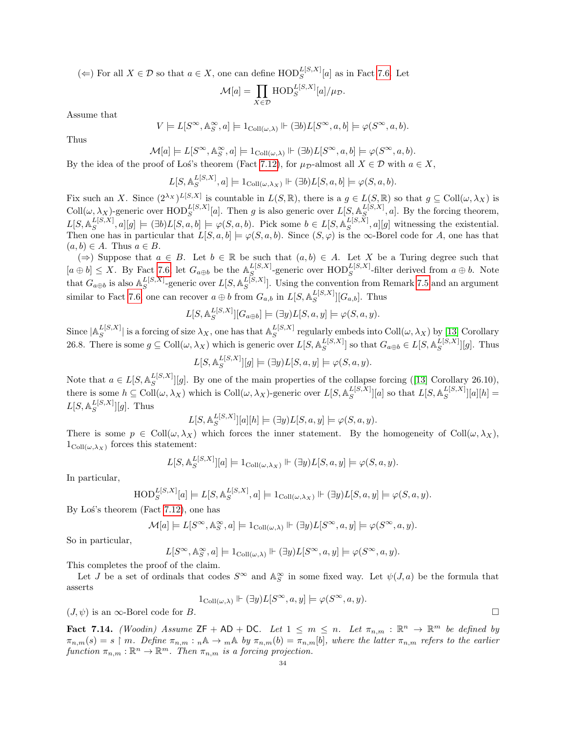(←) For all  $X \in \mathcal{D}$  so that  $a \in X$ , one can define  $\text{HOD}_{S}^{L[S,X]}[a]$  as in Fact [7.6.](#page-30-1) Let

$$
\mathcal{M}[a] = \prod_{X \in \mathcal{D}} \text{HOD}_S^{L[S,X]}[a]/\mu_{\mathcal{D}}.
$$

Assume that

$$
V \models L[S^{\infty}, \mathbb{A}_S^{\infty}, a] \models 1_{\text{Coll}(\omega, \lambda)} \Vdash (\exists b) L[S^{\infty}, a, b] \models \varphi(S^{\infty}, a, b).
$$

Thus

$$
\mathcal{M}[a] \models L[S^{\infty},\mathbb{A}_S^{\infty},a] \models 1_{\mathrm{Coll}(\omega,\lambda)} \Vdash (\exists b)L[S^{\infty},a,b] \models \varphi(S^{\infty},a,b).
$$

By the idea of the proof of Los's theorem (Fact [7.12\)](#page-32-0), for  $\mu_{\mathcal{D}}$ -almost all  $X \in \mathcal{D}$  with  $a \in X$ .

$$
L[S, \mathbb{A}_S^{L[S, X]}, a] \models 1_{\text{Coll}(\omega, \lambda_X)} \Vdash (\exists b) L[S, a, b] \models \varphi(S, a, b).
$$

Fix such an X. Since  $(2^{\lambda_X})^{L[S,X]}$  is countable in  $L(S,\mathbb{R})$ , there is a  $g \in L(S,\mathbb{R})$  so that  $g \subseteq \text{Coll}(\omega,\lambda_X)$  is Coll $(\omega, \lambda_X)$ -generic over  $\text{HOD}_S^{L[S,X]}[a]$ . Then g is also generic over  $L[S, \mathbb{A}_S^{L[S,X]}]$  $S_{S}^{L[3,\Lambda]}$ , a]. By the forcing theorem,  $L[S, \mathbb{A}^{L[S, X]}_S]$  $S_S^{L[S,X]}, a][g] \models (\exists b)L[S, a, b] \models \varphi(S, a, b)$ . Pick some  $b \in L[S, \mathbb{A}^{L[S,X]}_S]$  $\mathbb{E}^{[S,\lambda]}_{S}$ ,  $a][g]$  witnessing the existential. Then one has in particular that  $L[S, a, b] \models \varphi(S, a, b)$ . Since  $(S, \varphi)$  is the  $\infty$ -Borel code for A, one has that  $(a, b) \in A$ . Thus  $a \in B$ .

(⇒) Suppose that  $a \in B$ . Let  $b \in \mathbb{R}$  be such that  $(a, b) \in A$ . Let X be a Turing degree such that  $[a \oplus b] \leq X$ . By Fact [7.6,](#page-30-1) let  $G_{a \oplus b}$  be the  $\mathbb{A}^{L[S,X]}_S$  $\mathbb{E}[S,X]$ -generic over  $\text{HOD}_{S}^{L[S,X]}$ -filter derived from  $a \oplus b$ . Note that  $G_{a \oplus b}$  is also  $\mathbb{A}_{S}^{L[S,X]}$  $_{S}^{L[S,X]}$ -generic over  $L[S, \mathbb{A}_{S}^{L[S,X]}]$  $_{S}^{L[5, \lambda]}$ . Using the convention from Remark [7.5](#page-30-0) and an argument similar to Fact [7.6,](#page-30-1) one can recover  $a \oplus b$  from  $G_{a,b}$  in  $L[S, \mathbb{A}^{L[S,X]}_S]$  $_{S}^{L[5,\Lambda]}$ ][ $G_{a,b}$ ]. Thus

$$
L[S, \mathbb{A}_{S}^{L[S, X]}][G_{a \oplus b}] \models (\exists y) L[S, a, y] \models \varphi(S, a, y).
$$

Since  $A_S^{L[S,X]}$  $\sup_{S}^{L[S,X]}$  is a forcing of size  $\lambda_X$ , one has that  $\mathbb{A}_S^{L[S,X]}$  $E[S, \lambda]$  regularly embeds into  $\text{Coll}(\omega, \lambda_X)$  by [\[13\]](#page-40-14) Corollary 26.8. There is some  $g \subseteq \text{Coll}(\omega, \lambda_X)$  which is generic over  $L[S, \mathbb{A}^{L[S, X]}_S]$  $\binom{L[S,X]}{S}$  so that  $G_{a \oplus b} \in L[S, \mathbb{A}^{L[S,X]}_S]$  $\int_{S}^{L[S,\Lambda^1]} [g]$ . Thus

$$
L[S, \mathbb{A}_S^{L[S, X]}][g] \models (\exists y) L[S, a, y] \models \varphi(S, a, y).
$$

Note that  $a \in L[S, \mathbb{A}^{L[S,X]}_S]$  $\mathbb{E}[S,X]$ [g].By one of the main properties of the collapse forcing ([\[13\]](#page-40-14) Corollary 26.10), there is some  $h \subseteq \text{Coll}(\omega, \lambda_X)$  which is  $\text{Coll}(\omega, \lambda_X)$ -generic over  $L[S, \mathbb{A}^{L[S,X]}_S]$  $\binom{L[S,X]}{S}$ [a] so that  $L[S, \mathbb{A}^{L[S,X]}_S]$  $\binom{L[S, A]}{S} [a][h] =$  $L[S, \mathbb{A}^{L[S, X]}_S]$  $\int_{S}^{L[\mathcal{S},\mathcal{A}]}$ ][g]. Thus

$$
L[S, \mathbb{A}^{L[S, X]}_S][a][h] \models (\exists y)L[S, a, y] \models \varphi(S, a, y).
$$

There is some  $p \in Coll(\omega, \lambda_X)$  which forces the inner statement. By the homogeneity of Coll $(\omega, \lambda_X)$ ,  $1_{\text{Coll}(\omega,\lambda_X)}$  forces this statement:

$$
L[S, \mathbb{A}_{S}^{L[S, X]}][a] \models 1_{\text{Coll}(\omega, \lambda_X)} \Vdash (\exists y) L[S, a, y] \models \varphi(S, a, y).
$$

In particular,

$$
\text{HOD}_S^{L[S,X]}[a] \models L[S, \mathbb{A}_S^{L[S,X]}, a] \models 1_{\text{Coll}(\omega,\lambda_X)} \Vdash (\exists y)L[S, a, y] \models \varphi(S, a, y).
$$

By Los's theorem (Fact  $7.12$ ), one has

$$
\mathcal{M}[a] \models L[S^{\infty},\mathbb{A}_S^{\infty},a] \models 1_{\mathrm{Coll}(\omega,\lambda)} \Vdash (\exists y) L[S^{\infty},a,y] \models \varphi(S^{\infty},a,y).
$$

So in particular,

$$
L[S^{\infty}, {\mathbb{A}}_S^{\infty}, a] \models 1_{\mathrm{Coll}(\omega, \lambda)} \Vdash (\exists y) L[S^{\infty}, a, y] \models \varphi(S^{\infty}, a, y).
$$

This completes the proof of the claim.

Let J be a set of ordinals that codes  $S^{\infty}$  and  $\mathbb{A}_{S}^{\infty}$  in some fixed way. Let  $\psi(J, a)$  be the formula that asserts

$$
1_{\mathrm{Coll}(\omega,\lambda)} \Vdash (\exists y) L[S^{\infty}, a, y] \models \varphi(S^{\infty}, a, y).
$$

 $(J, \psi)$  is an  $\infty$ -Borel code for B.

<span id="page-33-0"></span>Fact 7.14. (Woodin) Assume  $ZF + AD + DC$ . Let  $1 \leq m \leq n$ . Let  $\pi_{n,m} : \mathbb{R}^n \to \mathbb{R}^m$  be defined by  $\pi_{n,m}(s) = s \restriction m$ . Define  $\pi_{n,m}: n \land \rightarrow m \land by \pi_{n,m}(b) = \pi_{n,m}[b]$ , where the latter  $\pi_{n,m}$  refers to the earlier function  $\pi_{n,m} : \mathbb{R}^n \to \mathbb{R}^m$ . Then  $\pi_{n,m}$  is a forcing projection.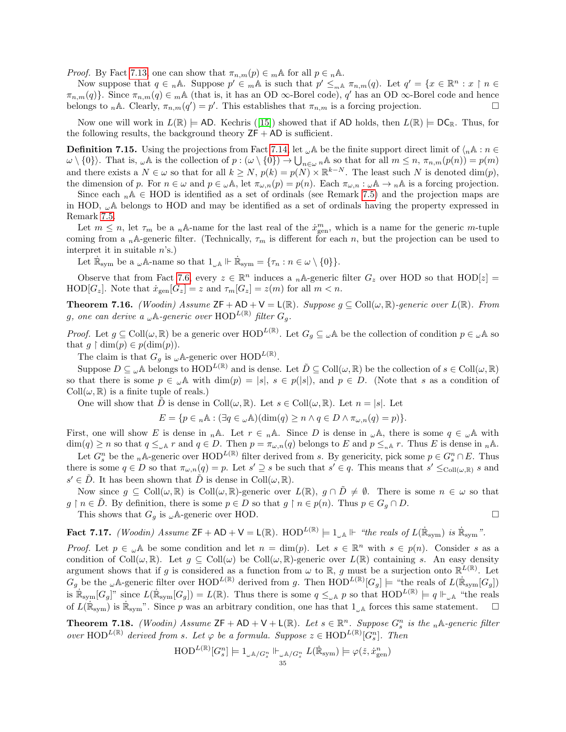*Proof.* By Fact [7.13,](#page-32-1) one can show that  $\pi_{n,m}(p) \in {}_m\mathbb{A}$  for all  $p \in {}_n\mathbb{A}$ .

Now suppose that  $q \in n\mathbb{A}$ . Suppose  $p' \in m\mathbb{A}$  is such that  $p' \leq_{m\mathbb{A}} \pi_{n,m}(q)$ . Let  $q' = \{x \in \mathbb{R}^n : x \restriction n \in \mathbb{A}\}$  $\pi_{n,m}(q)$ . Since  $\pi_{n,m}(q) \in {}_m\mathbb{A}$  (that is, it has an OD  $\infty$ -Borel code), q' has an OD  $\infty$ -Borel code and hence belongs to <sub>n</sub>A. Clearly,  $\pi_{n,m}(q') = p'$ . This establishes that  $\pi_{n,m}$  is a forcing projection.

Nowone will work in  $L(\mathbb{R}) \models$  AD. Kechris ([\[15\]](#page-40-9)) showed that if AD holds, then  $L(\mathbb{R}) \models DC_{\mathbb{R}}$ . Thus, for the following results, the background theory  $ZF + AD$  is sufficient.

**Definition 7.15.** Using the projections from Fact [7.14,](#page-33-0) let  $\omega$  A be the finite support direct limit of  $\langle n \mathbb{A} : n \in \mathbb{R}$  $\omega \setminus \{0\}$ . That is,  $\omega \mathbb{A}$  is the collection of  $p : (\omega \setminus \{0\}) \to \bigcup_{n \in \omega} n\mathbb{A}$  so that for all  $m \leq n$ ,  $\pi_{n,m}(p(n)) = p(m)$ and there exists a  $N \in \omega$  so that for all  $k \ge N$ ,  $p(k) = p(N) \times \mathbb{R}^{k-N}$ . The least such N is denoted dim(p), the dimension of p. For  $n \in \omega$  and  $p \in \omega \mathbb{A}$ , let  $\pi_{\omega,n}(p) = p(n)$ . Each  $\pi_{\omega,n} : \omega \mathbb{A} \to n\mathbb{A}$  is a forcing projection.

Since each  $_n \mathbb{A} \in \text{HOD}$  is identified as a set of ordinals (see Remark [7.5\)](#page-30-0) and the projection maps are in HOD,  $\omega$ A belongs to HOD and may be identified as a set of ordinals having the property expressed in Remark [7.5.](#page-30-0)

Let  $m \leq n$ , let  $\tau_m$  be a <sub>n</sub>A-name for the last real of the  $\dot{x}_{gen}^m$ , which is a name for the generic m-tuple coming from a <sub>n</sub>A-generic filter. (Technically,  $\tau_m$  is different for each n, but the projection can be used to interpret it in suitable n's.)

Let  $\dot{\mathbb{R}}_{sym}$  be a  $\omega$  A-name so that  $1_{\omega A} \Vdash \dot{\mathbb{R}}_{sym} = {\tau_n : n \in \omega \setminus \{0\}}$ .

Observe that from Fact [7.6,](#page-30-1) every  $z \in \mathbb{R}^n$  induces a  $_n$  A-generic filter  $G_z$  over HOD so that HOD[ $z$ ] = HOD[ $G_z$ ]. Note that  $\dot{x}_{gen}[G_z] = z$  and  $\tau_m[G_z] = z(m)$  for all  $m < n$ .

**Theorem 7.16.** (Woodin) Assume  $ZF + AD + V = L(\mathbb{R})$ . Suppose  $g \subseteq Coll(\omega, \mathbb{R})$ -generic over  $L(\mathbb{R})$ . From g, one can derive a  $_{\omega}$  A-generic over  $\mathrm{HOD}^{L(\mathbb{R})}$  filter  $G_{g}$ .

*Proof.* Let  $g \subseteq \text{Coll}(\omega, \mathbb{R})$  be a generic over  $\text{HOD}^{L(\mathbb{R})}$ . Let  $G_g \subseteq \omega \mathbb{A}$  be the collection of condition  $p \in \omega \mathbb{A}$  so that  $g \restriction \dim(p) \in p(\dim(p)).$ 

The claim is that  $G_g$  is  $\omega$ A-generic over HOD<sup>L(R)</sup>.

Suppose  $D \subseteq \omega$  A belongs to  $HOD^{L(\mathbb{R})}$  and is dense. Let  $\tilde{D} \subseteq Coll(\omega, \mathbb{R})$  be the collection of  $s \in Coll(\omega, \mathbb{R})$ so that there is some  $p \in \mathcal{A}$  with  $\dim(p) = |s|, s \in p(|s|),$  and  $p \in D$ . (Note that s as a condition of  $Coll(\omega, \mathbb{R})$  is a finite tuple of reals.)

One will show that D is dense in Coll $(\omega, \mathbb{R})$ . Let  $s \in \text{Coll}(\omega, \mathbb{R})$ . Let  $n = |s|$ . Let

$$
E = \{ p \in {}_{n} \mathbb{A} : (\exists q \in {}_{\omega} \mathbb{A})(\dim(q) \geq n \land q \in D \land \pi_{\omega,n}(q) = p) \}.
$$

First, one will show E is dense in <sub>n</sub>A. Let  $r \in nA$ . Since D is dense in <sub>w</sub>A, there is some  $q \in \mathcal{A}$  with  $\dim(q) \geq n$  so that  $q \leq_{\omega A} r$  and  $q \in D$ . Then  $p = \pi_{\omega,n}(q)$  belongs to E and  $p \leq_{n} r$ . Thus E is dense in  ${}_{n} A$ .

Let  $G_s^n$  be the <sub>n</sub>A-generic over HOD<sup>L(R)</sup> filter derived from s. By genericity, pick some  $p \in G_s^n \cap E$ . Thus there is some  $q \in D$  so that  $\pi_{\omega,n}(q) = p$ . Let  $s' \supseteq s$  be such that  $s' \in q$ . This means that  $s' \leq_{\text{Coll}(\omega,\mathbb{R})} s$  and  $s' \in \tilde{D}$ . It has been shown that  $\tilde{D}$  is dense in Coll $(\omega, \mathbb{R})$ .

Now since  $g \subseteq \text{Coll}(\omega, \mathbb{R})$  is  $\text{Coll}(\omega, \mathbb{R})$ -generic over  $L(\mathbb{R}), g \cap D \neq \emptyset$ . There is some  $n \in \omega$  so that  $g \restriction n \in \tilde{D}$ . By definition, there is some  $p \in D$  so that  $g \restriction n \in p(n)$ . Thus  $p \in G_q \cap D$ .

This shows that  $G_g$  is  $_{\omega}$ A-generic over HOD.

<span id="page-34-0"></span>**Fact 7.17.** (Woodin) Assume  $\mathsf{ZF} + \mathsf{AD} + \mathsf{V} = \mathsf{L}(\mathbb{R})$ .  $\text{HOD}^{L(\mathbb{R})} \models 1_{\omega \mathbb{A}} \Vdash \text{``the reals of } L(\dot{\mathbb{R}}_{sym}) \text{ is } \dot{\mathbb{R}}_{sym}$ ".

*Proof.* Let  $p \in \mathcal{A}$  be some condition and let  $n = \dim(p)$ . Let  $s \in \mathbb{R}^n$  with  $s \in p(n)$ . Consider s as a condition of Coll $(\omega, \mathbb{R})$ . Let  $g \subseteq Coll(\omega)$  be Coll $(\omega, \mathbb{R})$ -generic over  $L(\mathbb{R})$  containing s. An easy density argument shows that if g is considered as a function from  $\omega$  to  $\mathbb{R}$ , g must be a surjection onto  $\mathbb{R}^{L(\mathbb{R})}$ . Let  $G_g$  be the <sub>ω</sub>A-generic filter over HOD<sup>L(R)</sup> derived from g. Then HOD<sup>L(R)</sup>[ $G_g$ ] = "the reals of  $L(\dot{R}_{sym}[G_g])$ is  $\mathbb{R}_{sym}[G_g]$ " since  $L(\mathbb{R}_{sym}[G_g]) = L(\mathbb{R})$ . Thus there is some  $q \leq_{\omega \mathbb{A}} p$  so that  $HOD^{L(\mathbb{R})} \models q \Vdash_{\omega \mathbb{A}}$  "the reals of  $L(\mathbb{R}_{sym})$  is  $\mathbb{R}_{sym}$ ". Since p was an arbitrary condition, one has that  $1_{\omega A}$  forces this same statement.  $\square$ 

**Theorem 7.18.** (Woodin) Assume  $ZF + AD + V + L(\mathbb{R})$ . Let  $s \in \mathbb{R}^n$ . Suppose  $G_s^n$  is the  $_n$ A-generic filter over  $\text{HOD}^{L(\mathbb{R})}$  derived from s. Let  $\varphi$  be a formula. Suppose  $z \in \text{HOD}^{L(\mathbb{R})}[G_s^n]$ . Then

$$
\mathrm{HOD}^{L(\mathbb{R})}[G_s^n] \models 1_{\omega^{\mathbb{A}}/G_s^n} \Vdash_{\omega^{\mathbb{A}}/G_s^n} L(\dot{\mathbb{R}}_{\mathrm{sym}}) \models \varphi(\check{z}, \dot{x}_{\mathrm{gen}}^n)
$$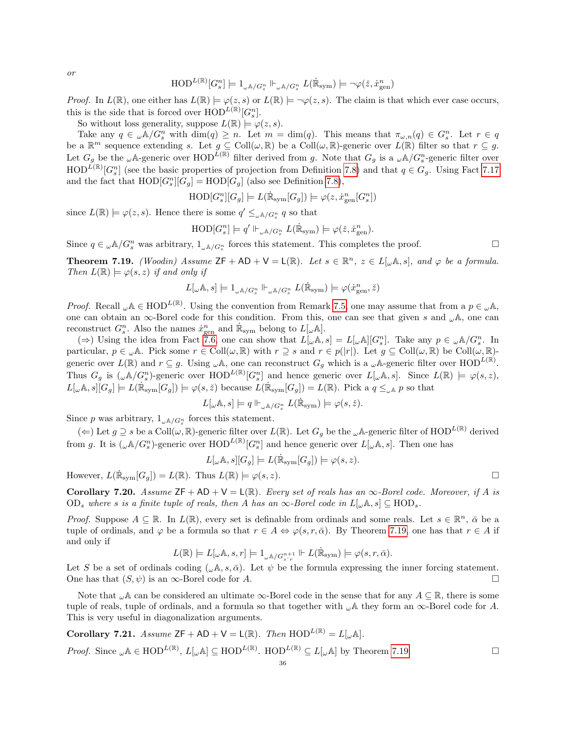or

$$
\mathrm{HOD}^{L(\mathbb{R})}[G_s^n]\models 1_{\omega\mathbb{A}/G_s^n}\Vdash_{\omega\mathbb{A}/G_s^n} L(\dot{\mathbb{R}}_{\mathrm{sym}})\models \neg\varphi(\check{z},\dot{x}_{\mathrm{gen}}^n)
$$

*Proof.* In  $L(\mathbb{R})$ , one either has  $L(\mathbb{R}) \models \varphi(z, s)$  or  $L(\mathbb{R}) \models \neg \varphi(z, s)$ . The claim is that which ever case occurs, this is the side that is forced over  $\mathrm{HOD}^{L(\mathbb{R})}[G_s^n]$ .

So without loss generality, suppose  $L(\mathbb{R}) \models \varphi(z, s)$ .

Take any  $q \in \mathcal{A}/G_s^n$  with  $\dim(q) \geq n$ . Let  $m = \dim(q)$ . This means that  $\pi_{\omega,n}(q) \in G_s^n$ . Let  $r \in q$ be a  $\mathbb{R}^m$  sequence extending s. Let  $g \subseteq \text{Coll}(\omega, \mathbb{R})$  be a  $\text{Coll}(\omega, \mathbb{R})$ -generic over  $L(\mathbb{R})$  filter so that  $r \subseteq g$ . Let  $G_g$  be the  $\omega$ A-generic over HOD<sup>L(R)</sup> filter derived from g. Note that  $G_g$  is a  $\omega$ A/ $G_s^n$ -generic filter over  $HOD^{\tilde{L}(\mathbb{R})}[G_{s}^{n}]$  (see the basic properties of projection from Definition [7.8\)](#page-31-0) and that  $q \in G_{g}$ . Using Fact [7.17](#page-34-0) and the fact that  $\text{HOD}[G_s^n][G_g] = \text{HOD}[G_g]$  (also see Definition [7.8\)](#page-31-0),

$$
\text{HOD}[G_s^n][G_g] \models L(\dot{\mathbb{R}}_{\text{sym}}[G_g]) \models \varphi(z, \dot{x}_{\text{gen}}^n[G_s^n])
$$

since  $L(\mathbb{R}) \models \varphi(z, s)$ . Hence there is some  $q' \leq_{\omega \mathbb{A}/G_s^n} q$  so that

$$
\mathrm{HOD}[G_s^n]\models q'\Vdash_{\omega\mathbb{A}/G_s^n} L(\dot{\mathbb{R}}_{\mathrm{sym}})\models\varphi(\check{z},\dot{x}_{\mathrm{gen}}^n).
$$

Since  $q \in \omega \mathbb{A}/G_s^n$  was arbitrary,  $1_{\omega \mathbb{A}/G_s^n}$  forces this statement. This completes the proof.

<span id="page-35-0"></span>**Theorem 7.19.** (Woodin) Assume  $ZF + AD + V = L(\mathbb{R})$ . Let  $s \in \mathbb{R}^n$ ,  $z \in L[\omega \mathbb{A}, s]$ , and  $\varphi$  be a formula. Then  $L(\mathbb{R}) \models \varphi(s, z)$  if and only if

$$
L[\mathbf{w}\mathbb{A},s]\models 1_{\mathbf{w}\mathbb{A}/G_s^n}\Vdash_{\mathbf{w}\mathbb{A}/G_s^n} L(\dot{\mathbb{R}}_{\text{sym}})\models\varphi(\dot{x}_{\text{gen}}^n,\check{z})
$$

*Proof.* Recall  $\omega A \in \text{HOD}^{L(\mathbb{R})}$ . Using the convention from Remark [7.5,](#page-30-0) one may assume that from a  $p \in \omega A$ , one can obtain an  $\infty$ -Borel code for this condition. From this, one can see that given s and  $\omega$ A, one can reconstruct  $G_s^n$ . Also the names  $\dot{x}_{gen}^n$  and  $\dot{\mathbb{R}}_{sym}$  belong to  $L[\omega \mathbb{A}].$ 

(⇒) Using the idea from Fact [7.6,](#page-30-1) one can show that  $L[\omega \mathbb{A}, s] = L[\omega \mathbb{A}][G_s^n]$ . Take any  $p \in \omega \mathbb{A}/G_s^n$ . In particular,  $p \in \mathcal{A}$ . Pick some  $r \in \text{Coll}(\omega, \mathbb{R})$  with  $r \supseteq s$  and  $r \in p(|r|)$ . Let  $g \subseteq \text{Coll}(\omega, \mathbb{R})$  be  $\text{Coll}(\omega, \mathbb{R})$ generic over  $L(\mathbb{R})$  and  $r \subseteq g$ . Using  $\omega$ A, one can reconstruct  $G_g$  which is a  $\omega$ A-generic filter over  $HOD^{L(\mathbb{R})}$ . Thus  $G_g$  is  $({}_{\omega} \mathbb{A}/G_s^n)$ -generic over  $\text{HOD}^{L(\mathbb{R})}[G_s^n]$  and hence generic over  $L[_{\omega}\mathbb{A},s]$ . Since  $L(\mathbb{R}) \models \varphi(s,z)$ ,  $L[\omega \mathbb{A}, s][G_g] \models L(\dot{\mathbb{R}}_{sym}[G_g]) \models \varphi(s, \check{z})$  because  $L(\dot{\mathbb{R}}_{sym}[G_g]) = L(\mathbb{R})$ . Pick a  $q \leq_{\omega \mathbb{A}} p$  so that

$$
L[\omega \mathbb{A}, s] \models q \Vdash_{\omega \mathbb{A}/G_s^n} L(\dot{\mathbb{R}}_{sym}) \models \varphi(s, \check{z}).
$$

Since p was arbitrary,  $1_{\omega A/G_s^n}$  forces this statement.

(←) Let  $g \supseteq s$  be a Coll $(\omega, \mathbb{R})$ -generic filter over  $L(\mathbb{R})$ . Let  $G_g$  be the  $\omega$ A-generic filter of HOD<sup>L(R)</sup> derived from g. It is  $({}_{\omega}A/G_s^n)$ -generic over  $\text{HOD}^{L(\mathbb{R})}[G_s^n]$  and hence generic over  $L[_{\omega}A, s]$ . Then one has

$$
L[\omega \mathbb{A}, s][G_g] \models L(\dot{\mathbb{R}}_{sym}[G_g]) \models \varphi(s, z).
$$

However,  $L(\dot{\mathbb{R}}_{sym}[G_g]) = L(\mathbb{R})$ . Thus  $L(\mathbb{R}) \models \varphi(s, z)$ .

<span id="page-35-1"></span>Corollary 7.20. Assume  $ZF + AD + V = L(\mathbb{R})$ . Every set of reals has an  $\infty$ -Borel code. Moreover, if A is OD<sub>s</sub> where s is a finite tuple of reals, then A has an  $\infty$ -Borel code in  $L[\omega \mathbb{A}, s] \subseteq \text{HOD}_s$ .

*Proof.* Suppose  $A \subseteq \mathbb{R}$ . In  $L(\mathbb{R})$ , every set is definable from ordinals and some reals. Let  $s \in \mathbb{R}^n$ ,  $\bar{\alpha}$  be a tuple of ordinals, and  $\varphi$  be a formula so that  $r \in A \Leftrightarrow \varphi(s, r, \bar{\alpha})$ . By Theorem [7.19,](#page-35-0) one has that  $r \in A$  if and only if

$$
L(\mathbb{R}) \models L[\omega \mathbb{A}, s, r] \models 1_{\omega \mathbb{A}/G_{s \cdot r}^{n+1}} \Vdash L(\dot{\mathbb{R}}_{sym}) \models \varphi(s, r, \bar{\alpha}).
$$

Let S be a set of ordinals coding ( $\omega A, s, \bar{\alpha}$ ). Let  $\psi$  be the formula expressing the inner forcing statement. One has that  $(S, \psi)$  is an  $\infty$ -Borel code for A.

Note that  $\omega$ A can be considered an ultimate  $\infty$ -Borel code in the sense that for any  $A \subseteq \mathbb{R}$ , there is some tuple of reals, tuple of ordinals, and a formula so that together with  $\omega A$  they form an  $\infty$ -Borel code for A. This is very useful in diagonalization arguments.

Corollary 7.21. Assume  $ZF + AD + V = L(\mathbb{R})$ . Then  $HOD^{L(\mathbb{R})} = L[\omega \mathbb{A}]$ .

*Proof.* Since  $\omega A \in \text{HOD}^{L(\mathbb{R})}$ ,  $L[\omega A] \subseteq \text{HOD}^{L(\mathbb{R})}$ .  $\text{HOD}^{L(\mathbb{R})} \subseteq L[\omega A]$  by Theorem [7.19.](#page-35-0)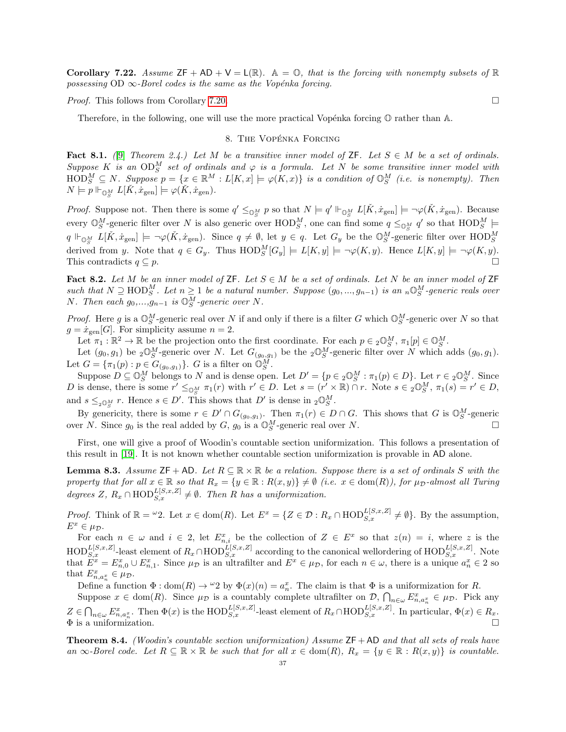**Corollary 7.22.** Assume  $ZF + AD + V = L(\mathbb{R})$ .  $\mathbb{A} = \mathbb{O}$ , that is the forcing with nonempty subsets of  $\mathbb{R}$ possessing OD  $\infty$ -Borel codes is the same as the Vopénka forcing.

Proof. This follows from Corollary [7.20.](#page-35-1)

Therefore, in the following, one will use the more practical Vopénka forcing  $\mathbb{O}$  rather than A.

### 8. THE VOPÉNKA FORCING

<span id="page-36-0"></span>Fact 8.1. ([\[9\]](#page-40-15) Theorem 2.4.) Let M be a transitive inner model of ZF. Let  $S \in M$  be a set of ordinals. Suppose K is an  $OD_S^M$  set of ordinals and  $\varphi$  is a formula. Let N be some transitive inner model with  $\text{HOD}_S^M \subseteq N$ . Suppose  $p = \{x \in \mathbb{R}^M : L[K, x] \models \varphi(K, x)\}$  is a condition of  $\mathbb{O}_S^M$  (i.e. is nonempty). Then  $N \models p \Vdash_{\mathbb{O}_S^M} L[\check{K}, \dot{x}_{\text{gen}}] \models \varphi(\check{K}, \dot{x}_{\text{gen}}).$ 

*Proof.* Suppose not. Then there is some  $q' \leq_{\mathbb{Q}_S^M} p$  so that  $N \models q' \Vdash_{\mathbb{Q}_S^M} L[\check{K}, \dot{x}_{\text{gen}}] \models \neg \varphi(\check{K}, \dot{x}_{\text{gen}})$ . Because every  $\mathbb{O}_{S}^{M}$ -generic filter over N is also generic over  $\text{HOD}_{S}^{M}$ , one can find some  $q \leq_{\mathbb{O}_{S}^{M}} q'$  so that  $\text{HOD}_{S}^{M} \models$  $q \Vdash_{\mathbb{O}_{S}^M} L[\check{K}, \dot{x}_{gen}] \models \neg \varphi(\check{K}, \dot{x}_{gen})$ . Since  $q \neq \emptyset$ , let  $y \in q$ . Let  $G_y$  be the  $\mathbb{O}_{S}^M$ -generic filter over  $\text{HOD}_{S}^M$ derived from y. Note that  $q \in G_y$ . Thus  $\text{HOD}_S^M[G_y] \models L[K, y] \models \neg \varphi(K, y)$ . Hence  $L[K, y] \models \neg \varphi(K, y)$ . This contradicts  $q \subseteq p$ .

<span id="page-36-2"></span>Fact 8.2. Let M be an inner model of  $\mathsf{ZF}$ . Let  $S \in M$  be a set of ordinals. Let N be an inner model of  $\mathsf{ZF}$ such that  $N \supseteq \text{HOD}_S^M$ . Let  $n \geq 1$  be a natural number. Suppose  $(g_0, ..., g_{n-1})$  is an  ${}_n \mathbb{O}_S^M$ -generic reals over *N*. Then each  $g_0, ..., g_{n-1}$  is  $\mathbb{O}_S^M$ -generic over N.

*Proof.* Here g is a  $\mathbb{O}_{S}^{M}$ -generic real over N if and only if there is a filter G which  $\mathbb{O}_{S}^{M}$ -generic over N so that  $g = \dot{x}_{gen}[G]$ . For simplicity assume  $n = 2$ .

Let  $\pi_1 : \mathbb{R}^2 \to \mathbb{R}$  be the projection onto the first coordinate. For each  $p \in \mathcal{D}_{S}^M$ ,  $\pi_1[p] \in \mathbb{O}_{S}^M$ .

Let  $(g_0, g_1)$  be  ${}_2\mathbb{O}^M_S$ -generic over N. Let  $G_{(g_0, g_1)}$  be the  ${}_2\mathbb{O}^M_S$ -generic filter over N which adds  $(g_0, g_1)$ . Let  $G = {\pi_1(p) : p \in G_{(g_0, g_1)}}$ . G is a filter on  $\widehat{\mathbb{O}_S^M}$ .

Suppose  $D \subseteq \mathbb{O}_{S}^{M}$  belongs to N and is dense open. Let  $D' = \{p \in 2\mathbb{O}_{S}^{M} : \pi_1(p) \in D\}$ . Let  $r \in 2\mathbb{O}_{S}^{M}$ . Since D is dense, there is some  $r' \leq_{\mathbb{Q}_{S}^{M}} \pi_1(r)$  with  $r' \in D$ . Let  $s = (r' \times \mathbb{R}) \cap r$ . Note  $s \in 2\mathbb{Q}_{S}^{M}$ ,  $\pi_1(s) = r' \in D$ , and  $s \leq_{2 \mathbb{Q}_S^M} r$ . Hence  $s \in D'$ . This shows that  $D'$  is dense in  ${}_2\mathbb{O}_S^M$ .

By genericity, there is some  $r \in D' \cap G_{(g_0,g_1)}$ . Then  $\pi_1(r) \in D \cap G$ . This shows that G is  $\mathbb{O}_{S}^M$ -generic over N. Since  $g_0$  is the real added by  $G$ ,  $g_0$  is a  $\mathbb{O}_{S}^M$ -generic real over N.

First, one will give a proof of Woodin's countable section uniformization. This follows a presentation of this result in [\[19\]](#page-40-16). It is not known whether countable section uniformization is provable in AD alone.

<span id="page-36-1"></span>**Lemma 8.3.** Assume  $\mathsf{ZF} + \mathsf{AD}$ . Let  $R \subseteq \mathbb{R} \times \mathbb{R}$  be a relation. Suppose there is a set of ordinals S with the property that for all  $x \in \mathbb{R}$  so that  $R_x = \{y \in \mathbb{R} : R(x, y)\}\neq \emptyset$  (i.e.  $x \in \text{dom}(R)$ ), for  $\mu_{\mathcal{D}}$ -almost all Turing degrees Z,  $R_x \cap \text{HOD}_{S,x}^{L[S,x,Z]} \neq \emptyset$ . Then R has a uniformization.

*Proof.* Think of  $\mathbb{R} = \{x \in \text{dom}(R)\colon \text{Let } E^x = \{Z \in \mathcal{D} : R_x \cap \text{HOD}_{S,x}^{L[S,x,Z]} \neq \emptyset\}$ . By the assumption,  $E^x \in \mu_{\mathcal{D}}$ .

For each  $n \in \omega$  and  $i \in 2$ , let  $E_{n,i}^x$  be the collection of  $Z \in E^x$  so that  $z(n) = i$ , where z is the  $\text{HOD}_{S,x}^{L[S,x,Z]}$ -least element of  $R_x \cap \text{HOD}_{S,x}^{L[S,x,Z]}$  according to the canonical wellordering of  $\text{HOD}_{S,x}^{L[S,x,Z]}$ . Note that  $E^x = E_{n,0}^x \cup E_{n,1}^x$ . Since  $\mu_{\mathcal{D}}$  is an ultrafilter and  $E^x \in \mu_{\mathcal{D}}$ , for each  $n \in \omega$ , there is a unique  $a_n^x \in 2$  so that  $E_{n,a_n^x}^x \in \mu_{\mathcal{D}}$ .

Define a function  $\Phi: dom(R) \to {}^{\omega}2$  by  $\Phi(x)(n) = a_n^x$ . The claim is that  $\Phi$  is a uniformization for R.

Suppose  $x \in \text{dom}(R)$ . Since  $\mu_{\mathcal{D}}$  is a countably complete ultrafilter on  $\mathcal{D}, \bigcap_{n\in\omega} E_{n,a_n^x}^x \in \mu_{\mathcal{D}}$ . Pick any  $Z \in \bigcap_{n \in \omega} E_{n,a_n^x}^x$ . Then  $\Phi(x)$  is the  $\text{HOD}_{S,x}^{L[S,x,Z]}$ -least element of  $R_x \cap \text{HOD}_{S,x}^{L[S,x,Z]}$ . In particular,  $\Phi(x) \in R_x$ .  $\Phi$  is a uniformization.

**Theorem 8.4.** (Woodin's countable section uniformization) Assume  $ZF + AD$  and that all sets of reals have an  $\infty$ -Borel code. Let  $R \subseteq \mathbb{R} \times \mathbb{R}$  be such that for all  $x \in \text{dom}(R)$ ,  $R_x = \{y \in \mathbb{R} : R(x, y)\}\$  is countable.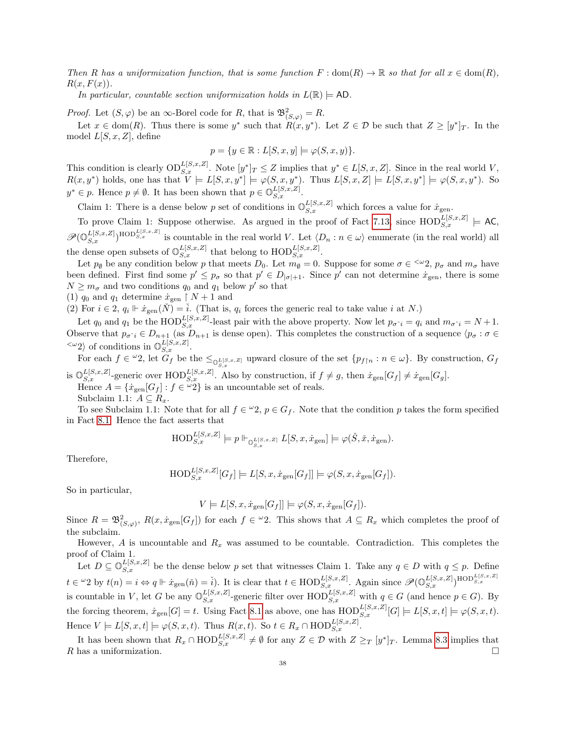Then R has a uniformization function, that is some function  $F: dom(R) \to \mathbb{R}$  so that for all  $x \in dom(R)$ .  $R(x, F(x)).$ 

In particular, countable section uniformization holds in  $L(\mathbb{R}) \models \text{AD}$ .

*Proof.* Let  $(S, \varphi)$  be an  $\infty$ -Borel code for R, that is  $\mathfrak{B}^2_{(S, \varphi)} = R$ .

Let  $x \in \text{dom}(R)$ . Thus there is some  $y^*$  such that  $R(x, y^*)$ . Let  $Z \in \mathcal{D}$  be such that  $Z \geq [y^*]_T$ . In the model  $L[S, x, Z]$ , define

$$
p = \{ y \in \mathbb{R} : L[S, x, y] \models \varphi(S, x, y) \}.
$$

This condition is clearly  $\text{OD}_{S,x}^{L[S,x,Z]}$ . Note  $[y^*]_T \leq Z$  implies that  $y^* \in L[S,x,Z]$ . Since in the real world V,  $R(x, y^*)$  holds, one has that  $V \models L[S, x, y^*] \models \varphi(S, x, y^*)$ . Thus  $L[S, x, Z] \models L[S, x, y^*] \models \varphi(S, x, y^*)$ . So  $y^* \in p$ . Hence  $p \neq \emptyset$ . It has been shown that  $p \in \mathbb{O}^{L[S,x,Z]}_{S,x}$ .

Claim 1: There is a dense below p set of conditions in  $\mathbb{O}^{L[S,x,Z]}_{S,x}$  which forces a value for  $\dot{x}_{\text{gen}}$ .

To prove Claim 1: Suppose otherwise. As argued in the proof of Fact [7.13,](#page-32-1) since  $HOD_{S,x}^{L[S,x,Z]} \models AC$ ,  $\mathscr{P}(\mathbb{O}_{S,x}^{L[S,x,Z]})^{\text{HOD}_{S,x}^{L[S,x,Z]}}$  is countable in the real world V. Let  $\langle D_n : n \in \omega \rangle$  enumerate (in the real world) all the dense open subsets of  $\mathbb{O}_{S,x}^{L[S,x,Z]}$  that belong to  $\text{HOD}_{S,x}^{L[S,x,Z]}$ .

Let  $p_{\emptyset}$  be any condition below p that meets  $D_0$ . Let  $m_{\emptyset} = 0$ . Suppose for some  $\sigma \in \langle \omega_2, p_{\sigma} \rangle$  and  $m_{\sigma}$  have been defined. First find some  $p' \leq p_{\sigma}$  so that  $p' \in D_{|\sigma|+1}$ . Since  $p'$  can not determine  $\dot{x}_{gen}$ , there is some  $N \geq m_{\sigma}$  and two conditions  $q_0$  and  $q_1$  below p' so that

(1)  $q_0$  and  $q_1$  determine  $\dot{x}_{gen} \upharpoonright N+1$  and

(2) For  $i \in 2$ ,  $q_i \Vdash \dot{x}_{gen}(\dot{N}) = \dot{i}$ . (That is,  $q_i$  forces the generic real to take value i at N.)

Let  $q_0$  and  $q_1$  be the  $\text{HOD}_{S,x}^{L[S,x,Z]}$ -least pair with the above property. Now let  $p_{\sigma \hat{i}} = q_i$  and  $m_{\sigma \hat{i}} = N+1$ . Observe that  $p_{\sigma \hat{i}} \in D_{n+1}$  (as  $D_{n+1}$  is dense open). This completes the construction of a sequence  $\langle p_{\sigma} : \sigma \in D_{n+1} \rangle$  $\langle \omega_2 \rangle$  of conditions in  $\mathbb{O}^{L[S,x,Z]}_{S,x}$ .

For each  $f \in \omega_2$ , let  $G_f$  be the  $\leq_{\mathbb{O}_{S,x}^{L[S,x],Z]}}$  upward closure of the set  $\{p_{f \mid n} : n \in \omega\}$ . By construction,  $G_f$ is  $\mathbb{O}^{L[S,x,Z]}_{S,x}$ -generic over  $\text{HOD}_{S,x}^{L[S,x,Z]}$ . Also by construction, if  $f \neq g$ , then  $\dot{x}_{gen}[G_f] \neq \dot{x}_{gen}[G_g]$ .

Hence  $A = \{ \dot{x}_{\text{gen}}[G_f] : f \in \omega^2 \}$  is an uncountable set of reals.

Subclaim 1.1:  $A \subseteq R_x$ .

To see Subclaim 1.1: Note that for all  $f \in {}^{\omega}2$ ,  $p \in G_f$ . Note that the condition p takes the form specified in Fact [8.1.](#page-36-0) Hence the fact asserts that

$$
\text{HOD}_{S,x}^{L[S,x,Z]} \models p \Vdash_{\mathbb{O}_{S,x}^{L[S,x,Z]}} L[S,x,\dot{x}_{\text{gen}}] \models \varphi(\check{S},\check{x},\dot{x}_{\text{gen}}).
$$

Therefore,

$$
\text{HOD}_{S,x}^{L[S,x,Z]}[G_f] \models L[S,x,\dot{x}_{\text{gen}}[G_f]] \models \varphi(S,x,\dot{x}_{\text{gen}}[G_f]).
$$

So in particular,

$$
V \models L[S, x, \dot{x}_{gen}[G_f]] \models \varphi(S, x, \dot{x}_{gen}[G_f]).
$$

Since  $R = \mathfrak{B}^2_{(S,\varphi)}, R(x, \dot{x}_{gen}[G_f])$  for each  $f \in \mathcal{L}^2$ . This shows that  $A \subseteq R_x$  which completes the proof of the subclaim.

However, A is uncountable and  $R_x$  was assumed to be countable. Contradiction. This completes the proof of Claim 1.

Let  $D \subseteq \mathbb{O}_{S,x}^{L[S,x,Z]}$  be the dense below p set that witnesses Claim 1. Take any  $q \in D$  with  $q \leq p$ . Define  $t \in \omega_2$  by  $t(n) = i \Leftrightarrow q \Vdash \dot{x}_{gen}(\check{n}) = \check{i}$ . It is clear that  $t \in \text{HOD}_{S,x}^{L[S,x,Z]}$ . Again since  $\mathscr{P}(\mathbb{O}_{S,x}^{L[S,x,Z]})^{\text{HOD}_{S,x}^{L[S,x,Z]}}$ is countable in V, let G be any  $\mathbb{O}_{S,x}^{L[S,x,Z]}$ -generic filter over  $\text{HOD}_{S,x}^{L[S,x,Z]}$  with  $q \in G$  (and hence  $p \in G$ ). By the forcing theorem,  $\dot{x}_{gen}[G] = t$ . Using Fact [8.1](#page-36-0) as above, one has  $HOD_{S,x}^{L[S,x,Z]}[G] \models L[S,x,t] \models \varphi(S,x,t)$ . Hence  $V \models L[S, x, t] \models \varphi(S, x, t)$ . Thus  $R(x, t)$ . So  $t \in R_x \cap \text{HOD}_{S, x}^{L[S, x, Z]}$ .

It has been shown that  $R_x \cap \text{HOD}_{S,x}^{L[S,x,Z]} \neq \emptyset$  for any  $Z \in \mathcal{D}$  with  $Z \geq_T [y^*]_T$ . Lemma [8.3](#page-36-1) implies that R has a uniformization.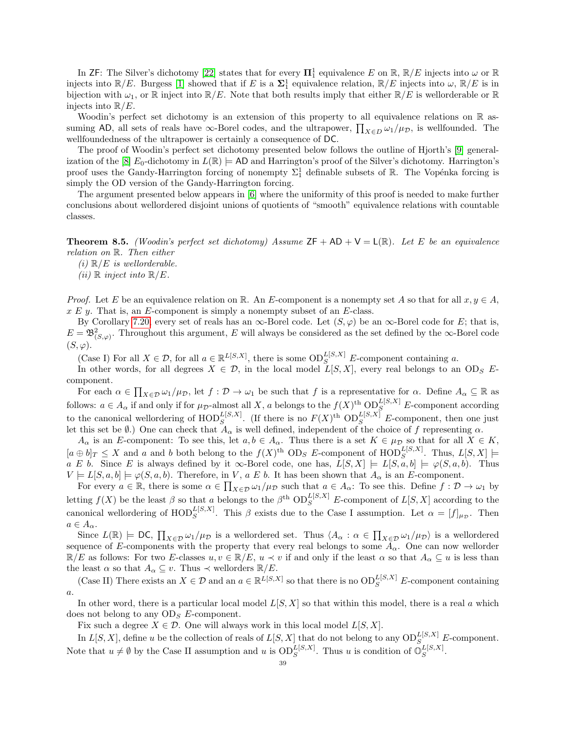In ZF: The Silver's dichotomy [\[22\]](#page-41-1) states that for every  $\mathbf{\Pi}^1_1$  equivalence E on R,  $\mathbb{R}/E$  injects into  $\omega$  or R injects into  $\mathbb{R}/E$ . Burgess [\[1\]](#page-40-17) showed that if E is a  $\Sigma_1^1$  equivalence relation,  $\mathbb{R}/E$  injects into  $\omega$ ,  $\mathbb{R}/E$  is in bijection with  $\omega_1$ , or R inject into  $\mathbb{R}/E$ . Note that both results imply that either  $\mathbb{R}/E$  is wellorderable or R injects into  $\mathbb{R}/E$ .

Woodin's perfect set dichotomy is an extension of this property to all equivalence relations on  $\mathbb R$  assuming AD, all sets of reals have  $\infty$ -Borel codes, and the ultrapower,  $\prod_{X \in D} \omega_1/\mu_{\mathcal{D}}$ , is wellfounded. The wellfoundedness of the ultrapower is certainly a consequence of DC.

The proof of Woodin's perfect set dichotomy presented below follows the outline of Hjorth's [\[9\]](#page-40-15) general-ization of the [\[8\]](#page-40-18)  $E_0$ -dichotomy in  $L(\mathbb{R}) \models$  AD and Harrington's proof of the Silver's dichotomy. Harrington's proof uses the Gandy-Harrington forcing of nonempty  $\Sigma_1^1$  definable subsets of  $\mathbb R$ . The Vopénka forcing is simply the OD version of the Gandy-Harrington forcing.

The argument presented below appears in [\[6\]](#page-40-19) where the uniformity of this proof is needed to make further conclusions about wellordered disjoint unions of quotients of "smooth" equivalence relations with countable classes.

**Theorem 8.5.** (Woodin's perfect set dichotomy) Assume  $ZF + AD + V = L(\mathbb{R})$ . Let E be an equivalence relation on R. Then either

 $(i) \mathbb{R}/E$  is wellorderable.

(*ii*)  $\mathbb R$  *inject into*  $\mathbb R/E$ .

*Proof.* Let E be an equivalence relation on R. An E-component is a nonempty set A so that for all  $x, y \in A$ ,  $x E y$ . That is, an E-component is simply a nonempty subset of an E-class.

By Corollary [7.20,](#page-35-1) every set of reals has an  $\infty$ -Borel code. Let  $(S, \varphi)$  be an  $\infty$ -Borel code for E; that is,  $E = \mathfrak{B}^2_{(S,\varphi)}$ . Throughout this argument, E will always be considered as the set defined by the  $\infty$ -Borel code  $(S,\varphi).$ 

(Case I) For all  $X \in \mathcal{D}$ , for all  $a \in \mathbb{R}^{L[S,X]}$ , there is some  $OD_S^{L[S,X]}$  E-component containing a.

In other words, for all degrees  $X \in \mathcal{D}$ , in the local model  $L[S, X]$ , every real belongs to an OD<sub>S</sub> Ecomponent.

For each  $\alpha \in \prod_{X \in \mathcal{D}} \omega_1/\mu_{\mathcal{D}}$ , let  $f : \mathcal{D} \to \omega_1$  be such that f is a representative for  $\alpha$ . Define  $A_\alpha \subseteq \mathbb{R}$  as follows:  $a \in A_\alpha$  if and only if for  $\mu_{\mathcal{D}}$ -almost all X, a belongs to the  $f(X)$ <sup>th</sup>  $\text{OD}_S^{L[S,X]}$  E-component according to the canonical wellordering of  $\text{HOD}_S^{L[S,X]}$ . (If there is no  $F(X)^{\text{th}}$   $\text{OD}_S^{L[S,X]}$  E-component, then one just let this set be Ø.) One can check that  $A_{\alpha}$  is well defined, independent of the choice of f representing  $\alpha$ .

 $A_{\alpha}$  is an E-component: To see this, let  $a, b \in A_{\alpha}$ . Thus there is a set  $K \in \mu_{\mathcal{D}}$  so that for all  $X \in K$ ,  $[a \oplus b]_T \leq X$  and a and b both belong to the  $f(X)$ <sup>th</sup> OD<sub>S</sub> E-component of HOD<sup>L[S,X]</sup>. Thus,  $L[S, X] \models$ a E b. Since E is always defined by it  $\infty$ -Borel code, one has,  $L[S, X] \models L[S, a, b] \models \varphi(S, a, b)$ . Thus  $V \models L[S, a, b] \models \varphi(S, a, b)$ . Therefore, in V, a E b. It has been shown that  $A_{\alpha}$  is an E-component.

For every  $a \in \mathbb{R}$ , there is some  $\alpha \in \prod_{X \in \mathcal{D}} \omega_1/\mu_{\mathcal{D}}$  such that  $a \in A_{\alpha}$ : To see this. Define  $f: \mathcal{D} \to \omega_1$  by letting  $f(X)$  be the least  $\beta$  so that a belongs to the  $\beta$ <sup>th</sup>  $OD_S^{L[S,X]}$  E-component of  $L[S,X]$  according to the canonical wellordering of  $\text{HOD}_S^{L[S,X]}$ . This  $\beta$  exists due to the Case I assumption. Let  $\alpha = [f]_{\mu_{\mathcal{D}}}$ . Then  $a \in A_{\alpha}$ .

Since  $L(\mathbb{R}) \models \mathsf{DC}, \prod_{X \in \mathcal{D}} \omega_1/\mu_{\mathcal{D}}$  is a wellordered set. Thus  $\langle A_\alpha : \alpha \in \prod_{X \in \mathcal{D}} \omega_1/\mu_{\mathcal{D}} \rangle$  is a wellordered sequence of E-components with the property that every real belongs to some  $A_{\alpha}$ . One can now wellorder  $\mathbb{R}/E$  as follows: For two E-classes  $u, v \in \mathbb{R}/E$ ,  $u \prec v$  if and only if the least  $\alpha$  so that  $A_{\alpha} \subseteq u$  is less than the least  $\alpha$  so that  $A_{\alpha} \subseteq v$ . Thus  $\prec$  wellorders  $\mathbb{R}/E$ .

(Case II) There exists an  $X \in \mathcal{D}$  and an  $a \in \mathbb{R}^{L[S,X]}$  so that there is no  $OD_S^{L[S,X]}$  E-component containing a.

In other word, there is a particular local model  $L[S, X]$  so that within this model, there is a real a which does not belong to any  $OD_S$  E-component.

Fix such a degree  $X \in \mathcal{D}$ . One will always work in this local model  $L[S, X]$ .

In  $L[S, X]$ , define u be the collection of reals of  $L[S, X]$  that do not belong to any  $OD_S^{L[S, X]}$  E-component. Note that  $u \neq \emptyset$  by the Case II assumption and u is  $OD_S^{L[S,X]}$ . Thus u is condition of  $\mathbb{O}_S^{L[S,X]}$  $S^{L[\beta, A]}.$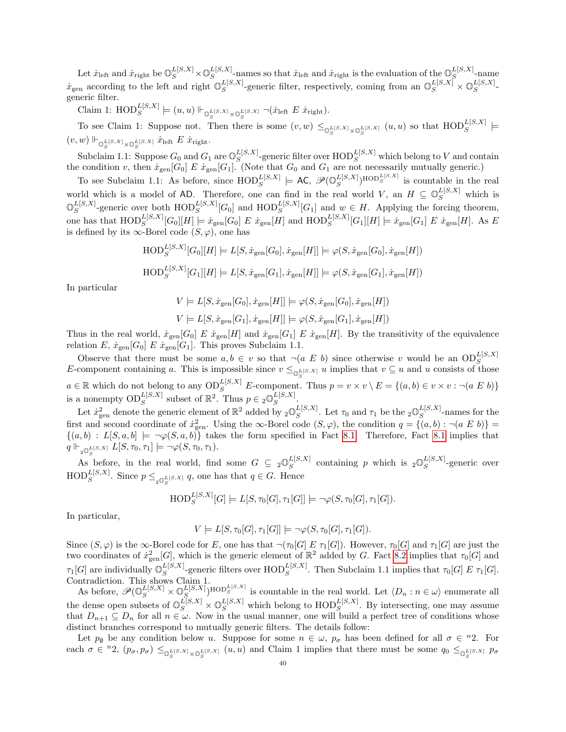Let  $\dot{x}_{\text{left}}$  and  $\dot{x}_{\text{right}}$  be  $\mathbb{O}_S^{L[S,X]} \times \mathbb{O}_S^{L[S,X]}$  $\frac{L[S,X]}{S}$ -names so that  $\dot{x}_{\text{left}}$  and  $\dot{x}_{\text{right}}$  is the evaluation of the  $\mathbb{O}_{S}^{L[S,X]}$  $S^{L[S, A]}$ -name  $\dot{x}_{\text{gen}}$  according to the left and right  $\mathbb{O}_S^{L[S,X]}$  $\mathcal{L}_{S}^{[S,X]}$ -generic filter, respectively, coming from an  $\mathbb{O}_{S}^{L[S,X]} \times \mathbb{O}_{S}^{L[S,X]}$  $S^{L[\mathcal{S},\mathcal{A}]}$ generic filter.

Claim 1:  $\text{HOD}_S^{L[S,X]} \models (u, u) \Vdash_{\mathbb{O}_S^{L[S,X]} \times \mathbb{O}_S^{L[S,X]}} \neg (\dot{x}_{\text{left}} \ E \ \dot{x}_{\text{right}}).$ 

To see Claim 1: Suppose not. Then there is some  $(v, w) \leq_{\mathbb{O}_{S}^{L[S,X]} \times \mathbb{O}_{S}^{L[S,X]}} (u, u)$  so that  $\text{HOD}_{S}^{L[S,X]} \models$  $(v, w) \Vdash_{\mathbb{O}_S^{L[S, X]} \times \mathbb{O}_S^{L[S, X]}} \dot{x}_{\text{left}} E \dot{x}_{\text{right}}.$ 

Subclaim 1.1: Suppose  $G_0$  and  $G_1$  are  $\mathbb{O}_S^{L[S,X]}$  $\sup_{S}^{L[S,X]}$ -generic filter over  $\text{HOD}_{S}^{L[S,X]}$  which belong to V and contain the condition v, then  $\dot{x}_{gen}[G_0] \to \dot{x}_{gen}[G_1]$ . (Note that  $G_0$  and  $G_1$  are not necessarily mutually generic.)

To see Subclaim 1.1: As before, since  $\text{HOD}_S^{L[S,X]} \models \text{AC}, \ \mathscr{P}(\mathbb{O}_S^{L[S,X]})$  $\binom{L[S,X]}{S}$ HOD $\binom{L[S,X]}{S}$  is countable in the real world which is a model of AD. Therefore, one can find in the real world V, an  $H \subseteq \mathbb{O}_S^{L[S,X]}$  which is  $\mathbb{O}_G^{L[S,X]}$  $\mathcal{L}_{S}^{[S,X]}$ -generic over both  $\text{HOD}_{S}^{L[S,X]}[G_0]$  and  $\text{HOD}_{S}^{L[S,X]}[G_1]$  and  $w \in H$ . Applying the forcing theorem, one has that  $\text{HOD}_S^{L[S,X]}[G_0][H] \models \dot{x}_{\text{gen}}[G_0] \ E \ \dot{x}_{\text{gen}}[H]$  and  $\text{HOD}_S^{L[S,X]}[G_1][H] \models \dot{x}_{\text{gen}}[G_1] \ E \ \dot{x}_{\text{gen}}[H]$ . As E is defined by its  $\infty$ -Borel code  $(S, \varphi)$ , one has

$$
\text{HOD}_{S}^{L[S,X]}[G_0][H] \models L[S, \dot{x}_{\text{gen}}[G_0], \dot{x}_{\text{gen}}[H]] \models \varphi(S, \dot{x}_{\text{gen}}[G_0], \dot{x}_{\text{gen}}[H])
$$

$$
\text{HOD}_{S}^{L[S,X]}[G_1][H] \models L[S, \dot{x}_{\text{gen}}[G_1], \dot{x}_{\text{gen}}[H]] \models \varphi(S, \dot{x}_{\text{gen}}[G_1], \dot{x}_{\text{gen}}[H])
$$

In particular

$$
V \models L[S, \dot{x}_{gen}[G_0], \dot{x}_{gen}[H]] \models \varphi(S, \dot{x}_{gen}[G_0], \dot{x}_{gen}[H])
$$
  

$$
V \models L[S, \dot{x}_{gen}[G_1], \dot{x}_{gen}[H]] \models \varphi(S, \dot{x}_{gen}[G_1], \dot{x}_{gen}[H])
$$

Thus in the real world,  $\dot{x}_{gen}[G_0]$  E  $\dot{x}_{gen}[H]$  and  $\dot{x}_{gen}[G_1]$  E  $\dot{x}_{gen}[H]$ . By the transitivity of the equivalence relation E,  $\dot{x}_{gen}[G_0]$  E  $\dot{x}_{gen}[G_1]$ . This proves Subclaim 1.1.

Observe that there must be some  $a, b \in v$  so that  $\neg(a \ E \ b)$  since otherwise v would be an  $OD_S^{L[S,X]}$ E-component containing a. This is impossible since  $v \leq_{\mathbb{O}_S^{L[S,X]}} u$  implies that  $v \subseteq u$  and u consists of those  $a \in \mathbb{R}$  which do not belong to any  $OD_S^{L[S,X]}$  E-component. Thus  $p = v \times v \setminus E = \{(a, b) \in v \times v : \neg(a \ E \ b)\}$ is a nonempty  $OD_S^{L[S,X]}$  subset of  $\mathbb{R}^2$ . Thus  $p \in {}_2\mathbb{O}_S^{L[S,X]}$  $S^{L[3,\Lambda]}.$ 

Let  $\dot{x}_{\text{gen}}^2$  denote the generic element of  $\mathbb{R}^2$  added by  ${}_2\mathbb{O}^{L[S,X]}_S$  $_{S}^{L[S,X]}$ . Let  $\tau_0$  and  $\tau_1$  be the  $_{2}\mathbb{O}_{S}^{L[S,X]}$  $S^{L[\beta,\Lambda]}$ -names for the first and second coordinate of  $\dot{x}_{gen}^2$ . Using the  $\infty$ -Borel code  $(S,\varphi)$ , the condition  $q = \{(a,b) : \neg(a \ E \ b)\}$  ${(a, b) : L[S, a, b] \models \neg \varphi(S, a, b)}$  takes the form specified in Fact [8.1.](#page-36-0) Therefore, Fact [8.1](#page-36-0) implies that  $q \Vdash_{\mathbf{2} \mathbb{O}_S^{L[S,X]}} L[S, \tau_0, \tau_1] \models \neg \varphi(S, \tau_0, \tau_1).$ 

As before, in the real world, find some  $G \subseteq {}_2\mathbb{O}_S^{L[S,X]}$  $\mathbb{E}[S,X]$  containing p which is  $2\mathbb{O}_S^{L[S,X]}$  $S^{\text{L}[\beta,\Lambda]}$ -generic over  $\text{HOD}_S^{L[S,X]}$ . Since  $p \leq_{2\mathbb{O}_S^{L[S,X]}} q$ , one has that  $q \in G$ . Hence

$$
\text{HOD}_S^{L[S,X]}[G] \models L[S, \tau_0[G], \tau_1[G]] \models \neg \varphi(S, \tau_0[G], \tau_1[G]).
$$

In particular,

$$
V \models L[S, \tau_0[G], \tau_1[G]] \models \neg \varphi(S, \tau_0[G], \tau_1[G]).
$$

Since  $(S, \varphi)$  is the  $\infty$ -Borel code for E, one has that  $\neg(\tau_0[G] \to \tau_1[G])$ . However,  $\tau_0[G]$  and  $\tau_1[G]$  are just the two coordinates of  $\dot{x}_{gen}^2[G]$ , which is the generic element of  $\mathbb{R}^2$  added by G. Fact [8.2](#page-36-2) implies that  $\tau_0[G]$  and  $\tau_1[G]$  are individually  $\mathbb{O}_S^{L[S,X]}$  $\frac{L[S,X]}{S}$ -generic filters over  $\text{HOD}_{S}^{L[S,X]}$ . Then Subclaim 1.1 implies that  $\tau_0[G]$  E  $\tau_1[G]$ . Contradiction. This shows Claim 1.

As before,  $\mathscr{P}(\mathbb{O}_{S}^{L[S,X]}\times \mathbb{O}_{S}^{L[S,X]})$  $\binom{L[S,X]}{S}$ HOD<sup>L[S,X]</sup> is countable in the real world. Let  $\langle D_n : n \in \omega \rangle$  enumerate all the dense open subsets of  $\mathbb{O}_S^{L[S,X]} \times \mathbb{O}_S^{L[S,X]}$  which belong to  $\text{HOD}_S^{L[S,X]}$ . By intersecting, one may assume that  $D_{n+1} \subseteq D_n$  for all  $n \in \omega$ . Now in the usual manner, one will build a perfect tree of conditions whose distinct branches correspond to mutually generic filters. The details follow:

Let  $p_{\emptyset}$  be any condition below u. Suppose for some  $n \in \omega$ ,  $p_{\sigma}$  has been defined for all  $\sigma \in {}^{n}2$ . For each  $\sigma \in {}^{n}2, (p_{\sigma}, p_{\sigma}) \leq_{\mathbb{Q}_{S}^{L[S,X]} \times \mathbb{Q}_{S}^{L[S,X]}} (u, u)$  and Claim 1 implies that there must be some  $q_{0} \leq_{\mathbb{Q}_{S}^{L[S,X]}} p_{\sigma}$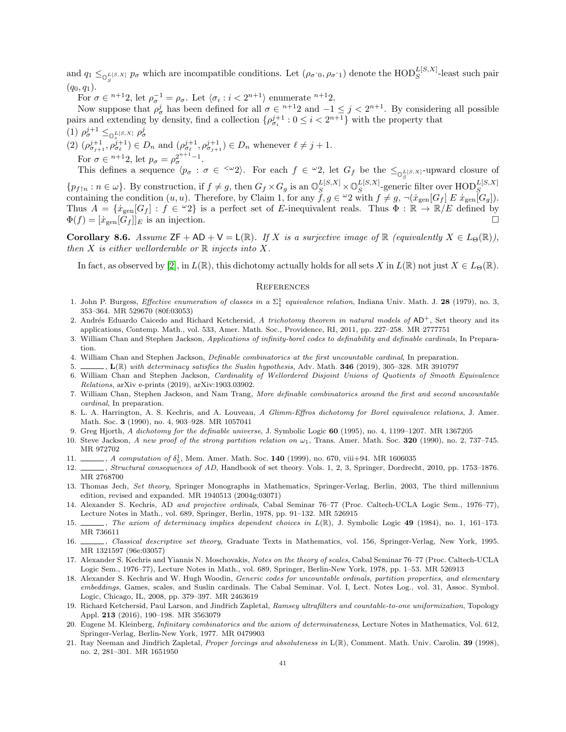and  $q_1 \leq_{\mathbb{Q}_S^{L[S,X]}} p_{\sigma}$  which are incompatible conditions. Let  $(\rho_{\sigma \cap \theta}, \rho_{\sigma \cap 1})$  denote the  $\text{HOD}_S^{L[S,X]}$ -least such pair  $(q_0, q_1).$ 

For  $\sigma \in {}^{n+1}2$ , let  $\rho_{\sigma}^{-1} = \rho_{\sigma}$ . Let  $\langle \sigma_i : i < 2^{n+1} \rangle$  enumerate  ${}^{n+1}2$ .

Now suppose that  $\rho^j_\sigma$  has been defined for all  $\sigma \in {}^{n+1}2$  and  $-1 \leq j < 2^{n+1}$ . By considering all possible pairs and extending by density, find a collection  $\{\rho_{\sigma_i}^{j+1}: 0 \le i < 2^{n+1}\}\$  with the property that

(1)  $\rho_{\sigma}^{j+1} \leq_{\mathbb{Q}_{\sigma}^{L}[S,X]} \rho_{\sigma}^{j}$  $(2)$   $(\rho_{\sigma_{j+1}}^{j+1}, \rho_{\sigma_\ell}^{j+1}) \in D_n$  and  $(\rho_{\sigma_\ell}^{j+1}, \rho_{\sigma_{j+1}}^{j+1}) \in D_n$  whenever  $\ell \neq j+1$ . For  $\sigma \in {}^{n+1}2$ , let  $p_{\sigma} = \rho_{\sigma}^{2^{n+1}-1}$ .

This defines a sequence  $\langle p_{\sigma} : \sigma \in \langle \omega_2 \rangle$ . For each  $f \in \omega_2$ , let  $G_f$  be the  $\leq_{\mathbb{O}_S^{L[S,X]}}$ -upward closure of  $\{p_{f|n} : n \in \omega\}$ . By construction, if  $f \neq g$ , then  $G_f \times G_g$  is an  $\mathbb{O}_S^{L[S,X]} \times \mathbb{O}_S^{L[S,X]}$  $\{p_{f \mid n} : n \in \omega\}$ . By construction, if  $f \neq g$ , then  $G_f \times G_g$  is an  $\mathbb{O}_S^{L[S,X]} \times \mathbb{O}_S^{L[S,X]}$ -generic filter over  $\text{HOD}_S^{L[S,X]}$ <br>containing the condition  $(u, u)$ . Therefore, by Claim 1, for any  $f, g \in {}^{\omega_2}$  with  $f \$ Thus  $A = \{x_{gen}[G_f] : f \in {}^{\omega_2}\}$  is a perfect set of E-inequivalent reals. Thus  $\Phi : \mathbb{R} \to \mathbb{R}/E$  defined by  $\Phi(f) = [\dot{x}_{\text{gen}}[G_f]]_E$  is an injection.

**Corollary 8.6.** Assume  $\mathsf{ZF} + \mathsf{AD} + \mathsf{V} = \mathsf{L}(\mathbb{R})$ . If X is a surjective image of  $\mathbb{R}$  (equivalently  $X \in L_{\Theta}(\mathbb{R})$ ), then X is either wellorderable or  $\mathbb R$  injects into X.

In fact, as observed by [\[2\]](#page-40-20), in  $L(\mathbb{R})$ , this dichotomy actually holds for all sets X in  $L(\mathbb{R})$  not just  $X \in L_{\Theta}(\mathbb{R})$ .

#### **REFERENCES**

- <span id="page-40-17"></span>1. John P. Burgess, *Effective enumeration of classes in a*  $\Sigma_1^1$  *equivalence relation*, Indiana Univ. Math. J. 28 (1979), no. 3, 353–364. MR 529670 (80f:03053)
- <span id="page-40-20"></span>2. Andrés Eduardo Caicedo and Richard Ketchersid, A trichotomy theorem in natural models of  $AD^+$ , Set theory and its applications, Contemp. Math., vol. 533, Amer. Math. Soc., Providence, RI, 2011, pp. 227–258. MR 2777751
- <span id="page-40-2"></span>3. William Chan and Stephen Jackson, Applications of infinity-borel codes to definability and definable cardinals, In Preparation.
- <span id="page-40-0"></span>4. William Chan and Stephen Jackson, Definable combinatorics at the first uncountable cardinal, In preparation.
- <span id="page-40-3"></span>5.  $\ldots$ ,  $\mathbf{L}(\mathbb{R})$  with determinacy satisfies the Suslin hypothesis, Adv. Math. **346** (2019), 305–328. MR 3910797
- <span id="page-40-19"></span>6. William Chan and Stephen Jackson, Cardinality of Wellordered Disjoint Unions of Quotients of Smooth Equivalence Relations, arXiv e-prints (2019), arXiv:1903.03902.
- <span id="page-40-1"></span>7. William Chan, Stephen Jackson, and Nam Trang, More definable combinatorics around the first and second uncountable cardinal, In preparation.
- <span id="page-40-18"></span>8. L. A. Harrington, A. S. Kechris, and A. Louveau, A Glimm-Effros dichotomy for Borel equivalence relations, J. Amer. Math. Soc. 3 (1990), no. 4, 903–928. MR 1057041
- <span id="page-40-15"></span>9. Greg Hjorth, A dichotomy for the definable universe, J. Symbolic Logic 60 (1995), no. 4, 1199–1207. MR 1367205
- <span id="page-40-10"></span>10. Steve Jackson, A new proof of the strong partition relation on  $\omega_1$ , Trans. Amer. Math. Soc. 320 (1990), no. 2, 737-745. MR 972702
- <span id="page-40-11"></span>11.  $\_\_\_\_\_$ , *A computation of*  $\delta^1_5$ , Mem. Amer. Math. Soc. **140** (1999), no. 670, viii+94. MR 1606035
- <span id="page-40-5"></span>12. *Structural consequences of AD*, Handbook of set theory. Vols. 1, 2, 3, Springer, Dordrecht, 2010, pp. 1753–1876. MR 2768700
- <span id="page-40-14"></span>13. Thomas Jech, Set theory, Springer Monographs in Mathematics, Springer-Verlag, Berlin, 2003, The third millennium edition, revised and expanded. MR 1940513 (2004g:03071)
- <span id="page-40-12"></span>14. Alexander S. Kechris, AD and projective ordinals, Cabal Seminar 76–77 (Proc. Caltech-UCLA Logic Sem., 1976–77), Lecture Notes in Math., vol. 689, Springer, Berlin, 1978, pp. 91–132. MR 526915
- <span id="page-40-9"></span>15. , The axiom of determinacy implies dependent choices in  $L(\mathbb{R})$ , J. Symbolic Logic 49 (1984), no. 1, 161–173. MR 736611
- <span id="page-40-6"></span>16. Classical descriptive set theory, Graduate Texts in Mathematics, vol. 156, Springer-Verlag, New York, 1995. MR 1321597 (96e:03057)
- <span id="page-40-8"></span>17. Alexander S. Kechris and Yiannis N. Moschovakis, Notes on the theory of scales, Cabal Seminar 76–77 (Proc. Caltech-UCLA Logic Sem., 1976–77), Lecture Notes in Math., vol. 689, Springer, Berlin-New York, 1978, pp. 1–53. MR 526913
- <span id="page-40-7"></span>18. Alexander S. Kechris and W. Hugh Woodin, Generic codes for uncountable ordinals, partition properties, and elementary embeddings, Games, scales, and Suslin cardinals. The Cabal Seminar. Vol. I, Lect. Notes Log., vol. 31, Assoc. Symbol. Logic, Chicago, IL, 2008, pp. 379–397. MR 2463619
- <span id="page-40-16"></span>19. Richard Ketchersid, Paul Larson, and Jindřich Zapletal, Ramsey ultrafilters and countable-to-one uniformization, Topology Appl. 213 (2016), 190-198. MR 3563079
- <span id="page-40-4"></span>20. Eugene M. Kleinberg, *Infinitary combinatorics and the axiom of determinateness*, Lecture Notes in Mathematics, Vol. 612, Springer-Verlag, Berlin-New York, 1977. MR 0479903
- <span id="page-40-13"></span>21. Itay Neeman and Jindřich Zapletal, Proper forcings and absoluteness in  $L(\mathbb{R})$ , Comment. Math. Univ. Carolin. 39 (1998), no. 2, 281–301. MR 1651950